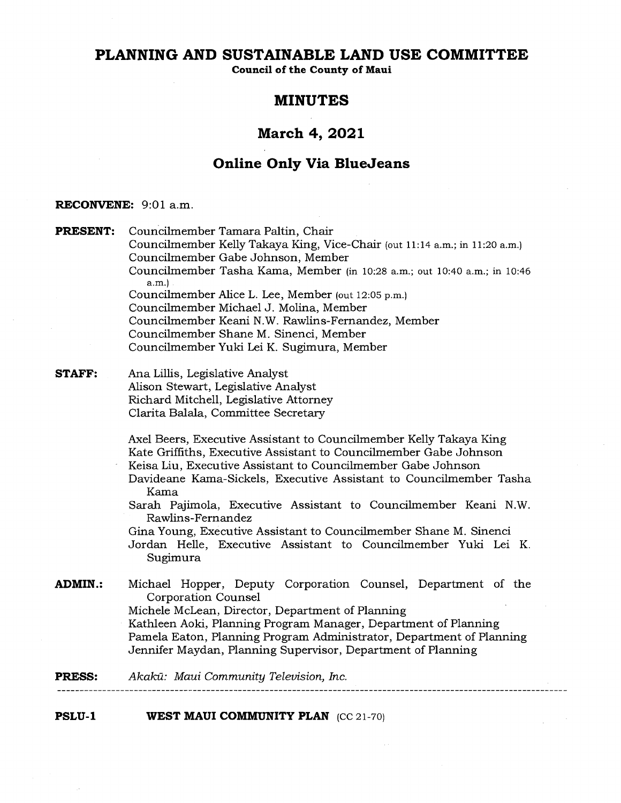# **PLANNING AND SUSTAINABLE LAND USE COMMITTEE**

**Council of the County of Maui** 

# **MINUTES**

# **March 4, 2021**

# **Online Only Via BlueJeans**

## **RECONVENE: 9:01** a.m.

**PRESENT:** Councilmember Tamara Paltin, Chair Councilmember Kelly Takaya King, Vice-Chair (out 11:14 a.m.; in 11:20 a.m.) Councilmember Gabe Johnson, Member Councilmember Tasha Kama, Member (in 10:28 a.m.; out 10:40 a.m.; in 10:46 a.m.) Councilmember Alice L. Lee, Member (out 12:05 p.m.) Councilmember Michael J. Molina, Member Councilmember Keani N.W. Rawlins-Fernandez, Member Councilmember Shane M. Sinenci, Member Councilmember Yuki Lei K. Sugimura, Member **STAFF:** Ana Lillis, Legislative Analyst Alison Stewart, Legislative Analyst Richard Mitchell, Legislative Attorney Clarita Balala, Committee Secretary Axel Beers, Executive Assistant to Councilmember Kelly Takaya King Kate Griffiths, Executive Assistant to Councilmember Gabe Johnson Keisa Liu, Executive Assistant to Councilmember Gabe Johnson Davideane Kama-Sickels, Executive Assistant to Councilmember Tasha Kama Sarah Pajimola, Executive Assistant to Councilmember Keani N.W. Rawlins-Fernandez Gina Young, Executive Assistant to Councilmember Shane M. Sinenci Jordan Helle, Executive Assistant to Councilmember Yuki Lei K. Sugimura **ADMIN.:** Michael Hopper, Deputy Corporation Counsel, Department of the Corporation Counsel Michele McLean, Director, Department of Planning Kathleen Aoki, Planning Program Manager, Department of Planning Pamela Eaton, Planning Program Administrator, Department of Planning Jennifer Maydan, Planning Supervisor, Department of Planning

**PRESS:** Akaka: *Maui Community Television, Inc.*  

**PSLU-1 WEST MAUI COMMUNITY PLAN** (CC 21-70)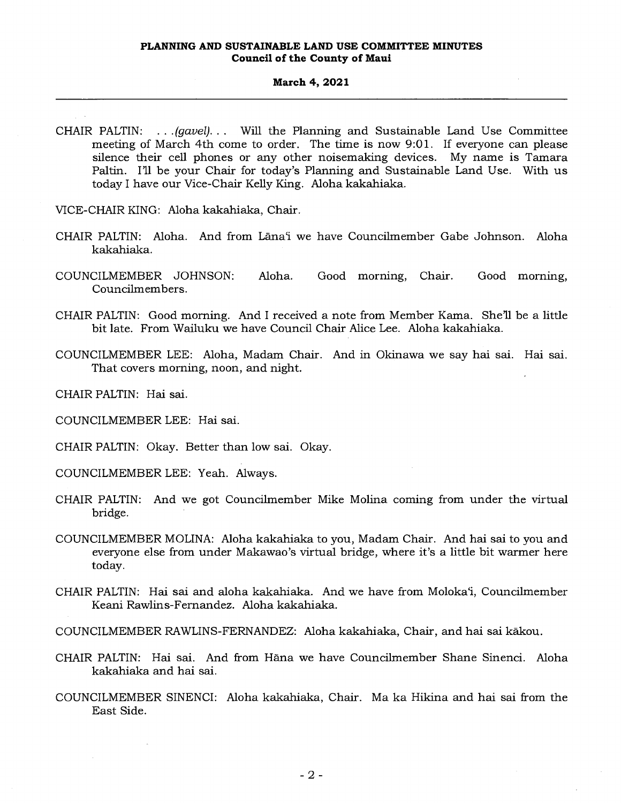CHAIR PALTIN: *. (gavel). . .* Will the Planning and Sustainable Land Use Committee meeting of March 4th come to order. The time is now 9:01. If everyone can please silence their cell phones or any other noisemaking devices. My name is Tamara Paltin. I'll be your Chair for today's Planning and Sustainable Land Use. With us today I have our Vice-Chair Kelly King. Aloha kakahiaka.

VICE-CHAIR KING: Aloha kakahiaka, Chair.

- CHAIR PALTIN: Aloha. And from Lanai we have Councilmember Gabe Johnson. Aloha kakahiaka.
- COUNCILMEMBER JOHNSON: Aloha. Good morning, Chair. Good morning, Councilmembers.
- CHAIR PALTIN: Good morning. And I received a note from Member Kama. She'll be a little bit late. From Wailuku we have Council Chair Alice Lee. Aloha kakahiaka.
- COUNCILMEMBER LEE: Aloha, Madam Chair. And in Okinawa we say hai sal. Hai sai. That covers morning, noon, and night.

CHAIR PALTIN: Hai sai.

COUNCILMEMBER LEE: Hai sai.

CHAIR PALTIN: Okay. Better than low sai. Okay.

COUNCILMEMBER LEE: Yeah. Always.

- CHAIR PALTIN: And we got Councilmember Mike Molina coming from under the virtual bridge.
- COUNCILMEMBER MOLINA: Aloha kakahiaka to you, Madam Chair. And hai sai to you and everyone else from under Makawao's virtual bridge, where it's a little bit warmer here today.
- CHAIR PALTIN: Hai sai and aloha kakahiaka. And we have from Moloka'i, Councilmember Keani Rawlins-Fernandez. Aloha kakahiaka.

COUNCILMEMBER RAWLINS-FERNANDEZ: Aloha kakahiaka, Chair, and hai sai kakou.

- CHAIR PALTIN: Hai sal. And from Hana we have Councilmember Shane Sinenci. Aloha kakahiaka and hai sal.
- COUNCILMEMBER SINENCI: Aloha kakahiaka, Chair. Ma ka Hikina and hai sal from the East Side.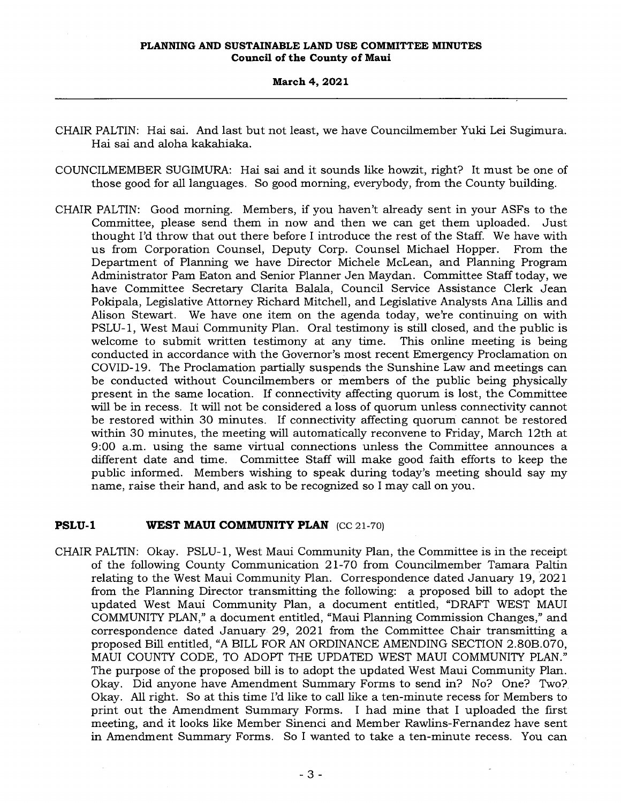## **March 4, 2021**

- CHAIR PALTIN: Hai sai. And last but not least, we have Councilmember Yuki Lei Sugimura. Hai sai and aloha kakahiaka.
- COUNCILMEMBER SUGIMURA: Hai sai and it sounds like howzit, right? It must be one of those good for all languages. So good morning, everybody, from the County building.
- CHAIR PALTIN: Good morning. Members, if you haven't already sent in your ASFs to the Committee, please send them in now and then we can get them uploaded. Just thought I'd throw that out there before I introduce the rest of the Staff. We have with us from Corporation Counsel, Deputy Corp. Counsel Michael Hopper. From the Department of Planning we have Director Michele McLean, and Planning Program Administrator Pam Eaton and Senior Planner Jen Maydan. Committee Staff today, we have Committee Secretary Clarita Balala, Council Service Assistance Clerk Jean Pokipala, Legislative Attorney Richard Mitchell, and Legislative Analysts Ana Lillis and Alison Stewart. We have one item on the agenda today, we're continuing on with PSLU-1, West Maui Community Plan. Oral testimony is still closed, and the public is welcome to submit written testimony at any time. This online meeting is being conducted in accordance with the Governor's most recent Emergency Proclamation on COVID-19. The Proclamation partially suspends the Sunshine Law and meetings can be conducted without Councilmembers or members of the public being physically present in the same location. If connectivity affecting quorum is lost, the Committee will be in recess. It will not be considered a loss of quorum unless connectivity cannot be restored within 30 minutes. If connectivity affecting quorum cannot be restored within 30 minutes, the meeting will automatically reconvene to Friday, March 12th at 9:00 a.m. using the same virtual connections unless the Committee announces a different date and time. Committee Staff will make good faith efforts to keep the public informed. Members wishing to speak during today's meeting should say my name, raise their hand, and ask to be recognized so I may call on you.

## **PSLU-1 WEST MAUI COMMUNITY PLAN** (CC 21-70)

CHAIR PALTIN: Okay. PSLU-1, West Maui Community Plan, the Committee is in the receipt of the following County Communication 21-70 from Councilmember Tamara Paltin relating to the West Maui Community Plan. Correspondence dated January 19, 2021 from the Planning Director transmitting the following: a proposed bill to adopt the updated West Maui Community Plan, a document entitled, "DRAFT WEST MAUI COMMUNITY PLAN," a document entitled, "Maui Planning Commission Changes," and correspondence dated January 29, 2021 from the Committee Chair transmitting a proposed Bill entitled, "A BILL FOR AN ORDINANCE AMENDING SECTION 2.80B.070, MAUI COUNTY CODE, TO ADOPT THE UPDATED WEST MAUI COMMUNITY PLAN." The purpose of the proposed bill is to adopt the updated West Maui Community Plan. Okay. Did anyone have Amendment Summary Forms to send in? No? One? Two? Okay. All right. So at this time I'd like to call like a ten-minute recess for Members to print out the Amendment Summary Forms. I had mine that I uploaded the first meeting, and it looks like Member Sinenci and Member Rawlins-Fernandez have sent in Amendment Summary Forms. So I wanted to take a ten-minute recess. You can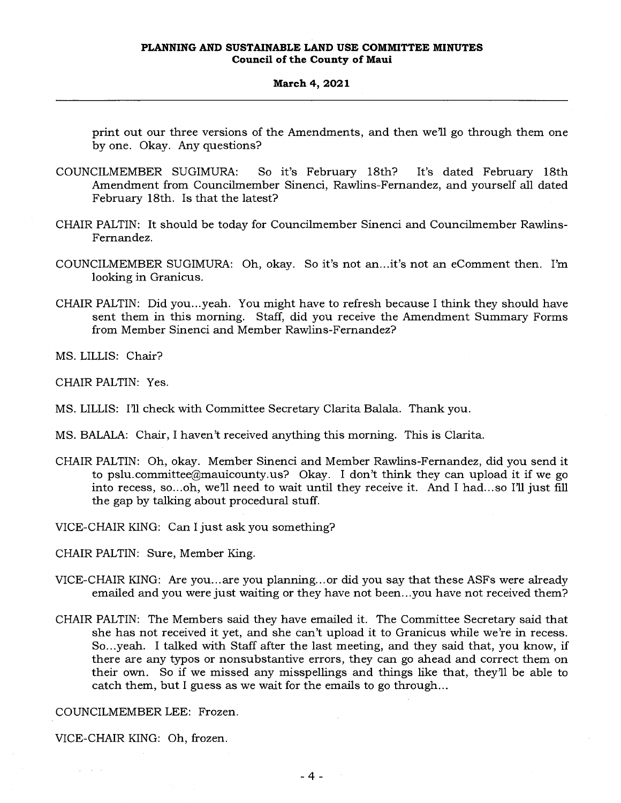print out our three versions of the Amendments, and then we'll go through them one by one. Okay. Any questions?

- COUNCILMEMBER SUGIMURA: So it's February 18th? It's dated February 18th Amendment from Councilmember Sinenci, Rawlins-Fernandez, and yourself all dated February 18th. Is that the latest?
- CHAIR PALTIN: It should be today for Councilmember Sinenci and Councilmember Rawlins-Fernandez.
- COUNCILMEMBER SUGIMURA: Oh, okay. So it's not an...it's not an eComment then. I'm looking in Granicus.
- CHAIR PALTIN: Did you...yeah. You might have to refresh because I think they should have sent them in this morning. Staff, did you receive the Amendment Summary Forms from Member Sinenci and Member Rawlins-Fernandez?

MS. LILLIS: Chair?

CHAIR PALTIN: Yes.

- MS. LILLIS: I'll check with Committee Secretary Clarita Balala. Thank you.
- MS. BALALA: Chair, I haven't received anything this morning. This is Clarita.
- CHAIR PALTIN: Oh, okay. Member Sinenci and Member Rawlins-Fernandez, did you send it to pslu.committee@mauicounty.us? Okay. I don't think they can upload it if we go into recess, so...oh, we'll need to wait until they receive it. And I had...so I'll just fill the gap by talking about procedural stuff.

VICE-CHAIR KING: Can I just ask you something?

CHAIR PALTIN: Sure, Member King.

- VICE-CHAIR KING: Are you... are you planning... or did you say that these ASFs were already emailed and you were just waiting or they have not been...you have not received them?
- CHAIR PALTIN: The Members said they have emailed it. The Committee Secretary said that she has not received it yet, and she can't upload it to Granicus while we're in recess. So...yeah. I talked with Staff after the last meeting, and they said that, you know, if there are any typos or nonsubstantive errors, they can go ahead and correct them on their own. So if we missed any misspellings and things like that, they'll be able to catch them, but I guess as we wait for the emails to go through...

COUNCILMEMBER LEE: Frozen.

VICE-CHAIR KING: Oh, frozen.

 $\chi^2 = \chi^2 = 1$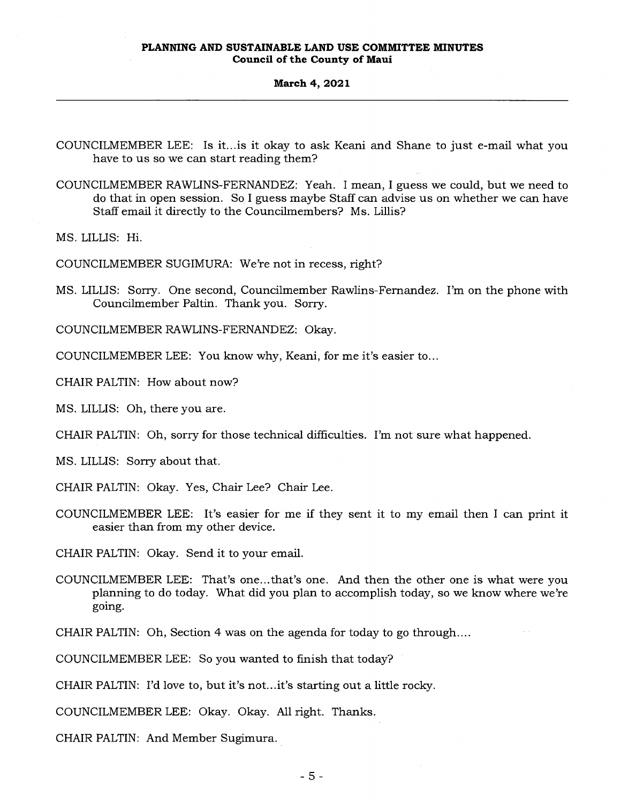## **March 4, 2021**

- COUNCILMEMBER LEE: Is it...is it okay to ask Keani and Shane to just e-mail what you have to us so we can start reading them?
- COUNCILMEMBER RAWLINS-FERNANDEZ: Yeah. I mean, I guess we could, but we need to do that in open session. So I guess maybe Staff can advise us on whether we can have Staff email it directly to the Councilmembers? Ms. Lillis?

MS. LILLIS: Hi.

COUNCILMEMBER SUGIMURA: We're not in recess, right?

MS. LILLIS: Sorry. One second, Councilmember Rawlins-Fernandez. I'm on the phone with Councilmember Paltin. Thank you. Sorry.

COUNCILMEMBER RAWLINS-FERNANDEZ: Okay.

COUNCILMEMBER LEE: You know why, Keani, for me it's easier to...

CHAIR PALTIN: How about now?

MS. LILLIS: Oh, there you are.

CHAIR PALTIN: Oh, sorry for those technical difficulties. I'm not sure what happened.

MS. LILLIS: Sorry about that.

CHAIR PALTIN: Okay. Yes, Chair Lee? Chair Lee.

COUNCILMEMBER LEE: It's easier for me if they sent it to my email then I can print it easier than from my other device.

CHAIR PALTIN: Okay. Send it to your email.

COUNCILMEMBER LEE: That's one...that's one. And then the other one is what were you planning to do today. What did you plan to accomplish today, so we know where we're going.

CHAIR PALTIN: Oh, Section 4 was on the agenda for today to go through....

COUNCILMEMBER LEE: So you wanted to finish that today?

CHAIR PALTIN: I'd love to, but it's not...it's starting out a little rocky.

COUNCILMEMBER LEE: Okay. Okay. All right. Thanks.

CHAIR PALTIN: And Member Sugimura.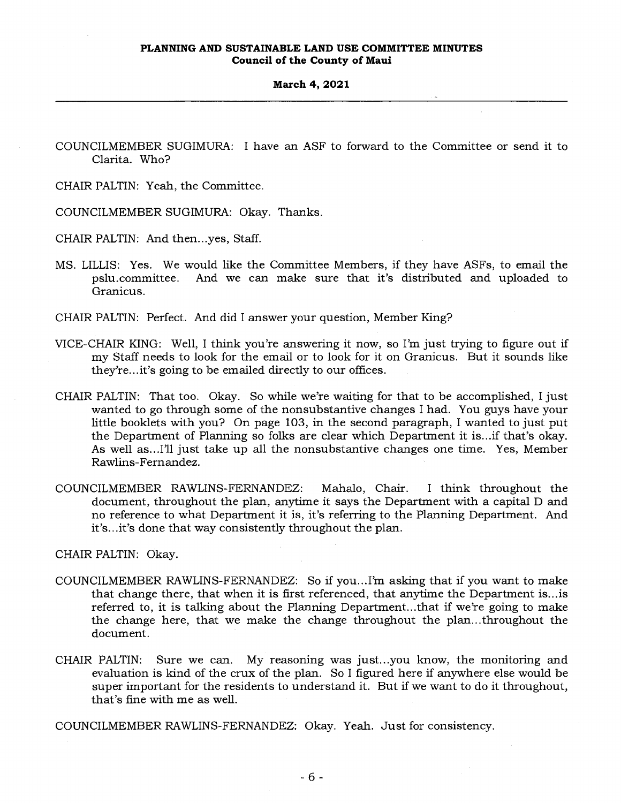COUNCILMEMBER SUGIMURA: I have an ASF to forward to the Committee or send it to Clarita. Who?

CHAIR PALTIN: Yeah, the Committee.

COUNCILMEMBER SUGIMURA: Okay. Thanks.

CHAIR PALTIN: And then...yes, Staff.

MS. LILLIS: Yes. We would like the Committee Members, if they have ASFs, to email the pslu.committee. And we can make sure that it's distributed and uploaded to Granicus.

CHAIR PALTIN: Perfect. And did I answer your question, Member King?

- VICE-CHAIR KING: Well, I think you're answering it now, so I'm just trying to figure out if my Staff needs to look for the email or to look for it on Granicus. But it sounds like they're...it's going to be emailed directly to our offices.
- CHAIR PALTIN: That too. Okay. So while we're waiting for that to be accomplished, I just wanted to go through some of the nonsubstantive changes I had. You guys have your little booklets with you? On page 103, in the second paragraph, I wanted to just put the Department of Planning so folks are clear which Department it is...if that's okay. As well as...I'll just take up all the nonsubstantive changes one time. Yes, Member Rawlins-Fernandez.
- COUNCILMEMBER RAWLINS-FERNANDEZ: Mahalo, Chair. I think throughout the document, throughout the plan, anytime it says the Department with a capital D and no reference to what Department it is, it's referring to the Planning Department. And it's...it's done that way consistently throughout the plan.

CHAIR PALTIN: Okay.

- COUNCILMEMBER RAWLINS-FERNANDEZ: So if you...I'm asking that if you want to make that change there, that when it is first referenced, that anytime the Department is...is referred to, it is talking about the Planning Department...that if we're going to make the change here, that we make the change throughout the plan...throughout the document.
- CHAIR PALTIN: Sure we can. My reasoning was just...you know, the monitoring and evaluation is kind of the crux of the plan. So I figured here if anywhere else would be super important for the residents to understand it. But if we want to do it throughout, that's fine with me as well.

COUNCILMEMBER RAWLINS-FERNANDEZ: Okay. Yeah. Just for consistency.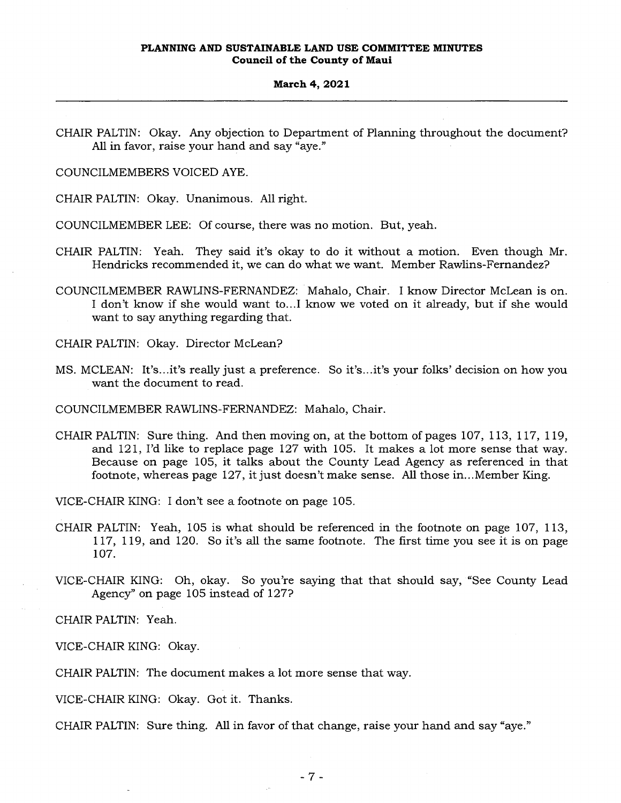## **March 4, 2021**

CHAIR PALTIN: Okay. Any objection to Department of Planning throughout the document? All in favor, raise your hand and say "aye."

COUNCILMEMBERS VOICED AYE.

CHAIR PALTIN: Okay. Unanimous. All right.

COUNCILMEMBER LEE: Of course, there was no motion. But, yeah.

- CHAIR PALTIN: Yeah. They said it's okay to do it without a motion. Even though Mr. Hendricks recommended it, we can do what we want. Member Rawlins-Fernandez?
- COUNCILMEMBER RAWLINS-FERNANDEZ: Mahalo, Chair. I know Director McLean is on. I don't know if she would want to...I know we voted on it already, but if she would want to say anything regarding that.

CHAIR PALTIN: Okay. Director McLean?

MS. MCLEAN: It's...it's really just a preference. So it's...it's your folks' decision on how you want the document to read.

COUNCILMEMBER RAWLINS-FERNANDEZ: Mahalo, Chair.

CHAIR PALTIN: Sure thing. And then moving on, at the bottom of pages 107, 113, 117, 119, and 121, I'd like to replace page 127 with 105. It makes a lot more sense that way. Because on page 105, it talks about the County Lead Agency as referenced in that footnote, whereas page 127, it just doesn't make sense. All those in...Member King.

VICE-CHAIR KING: I don't see a footnote on page 105.

- CHAIR PALTIN: Yeah, 105 is what should be referenced in the footnote on page 107, 113, 117, 119, and 120. So it's all the same footnote. The first time you see it is on page 107.
- VICE-CHAIR KING: Oh, okay. So you're saying that that should say, "See County Lead Agency" on page 105 instead of 127?

CHAIR PALTIN: Yeah.

VICE-CHAIR KING: Okay.

CHAIR PALTIN: The document makes a lot more sense that way.

VICE-CHAIR KING: Okay. Got it. Thanks.

CHAIR PALTIN: Sure thing. All in favor of that change, raise your hand and say "aye."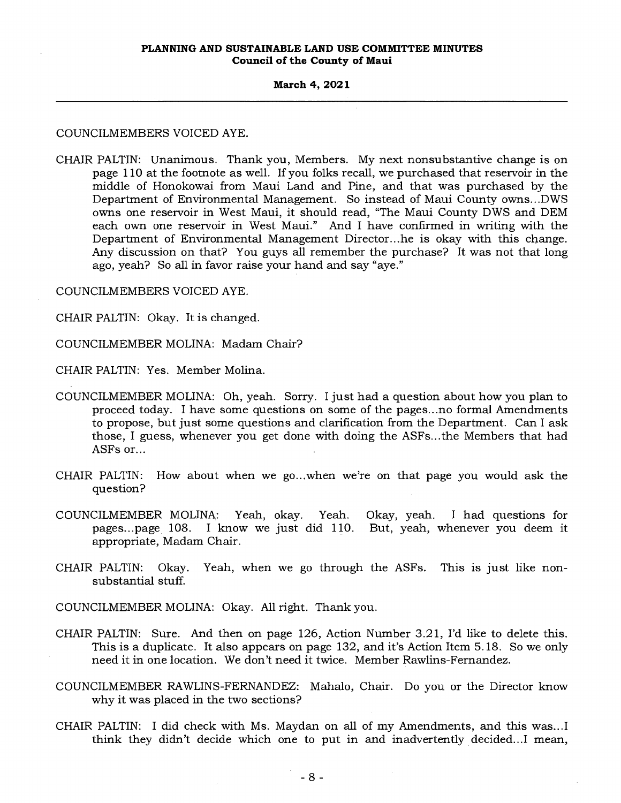## **March 4, 2021**

## COUNCILMEMBERS VOICED AYE.

CHAIR PALTIN: Unanimous. Thank you, Members. My next nonsubstantive change is on page 110 at the footnote as well. If you folks recall, we purchased that reservoir in the middle of Honokowai from Maui Land and Pine, and that was purchased by the Department of Environmental Management. So instead of Maui County owns...DWS owns one reservoir in West Maui, it should read, "The Maui County DWS and DEM each own one reservoir in West Maui." And I have confirmed in writing with the Department of Environmental Management Director...he is okay with this change. Any discussion on that? You guys all remember the purchase? It was not that long ago, yeah? So all in favor raise your hand and say "aye."

COUNCILMEMBERS VOICED AYE.

CHAIR PALTIN: Okay. It is changed.

COUNCILMEMBER MOLINA: Madam Chair?

CHAIR PALTIN: Yes. Member Molina.

- COUNCILMEMBER MOLINA: Oh, yeah. Sorry. I just had a question about how you plan to proceed today. I have some questions on some of the pages...no formal Amendments to propose, but just some questions and clarification from the Department. Can I ask those, I guess, whenever you get done with doing the ASFs...the Members that had ASFs or...
- CHAIR PALTIN: How about when we go...when we're on that page you would ask the question?
- COUNCILMEMBER MOLINA: Yeah, okay. Yeah. Okay, yeah. I had questions for pages...page 108. I know we just did 110. But, yeah, whenever you deem it appropriate, Madam Chair.
- CHAIR PALTIN: Okay. Yeah, when we go through the ASFs. This is just like nonsubstantial stuff.
- COUNCILMEMBER MOLINA: Okay. All right. Thank you.
- CHAIR PALTIN: Sure. And then on page 126, Action Number 3.21, I'd like to delete this. This is a duplicate. It also appears on page 132, and it's Action Item 5.18. So we only need it in one location. We don't need it twice. Member Rawlins-Fernandez.
- COUNCILMEMBER RAWLINS-FERNANDEZ: Mahalo, Chair. Do you or the Director know why it was placed in the two sections?
- CHAIR PALTIN: I did check with Ms. Maydan on all of my Amendments, and this was...I think they didn't decide which one to put in and inadvertently decided...I mean,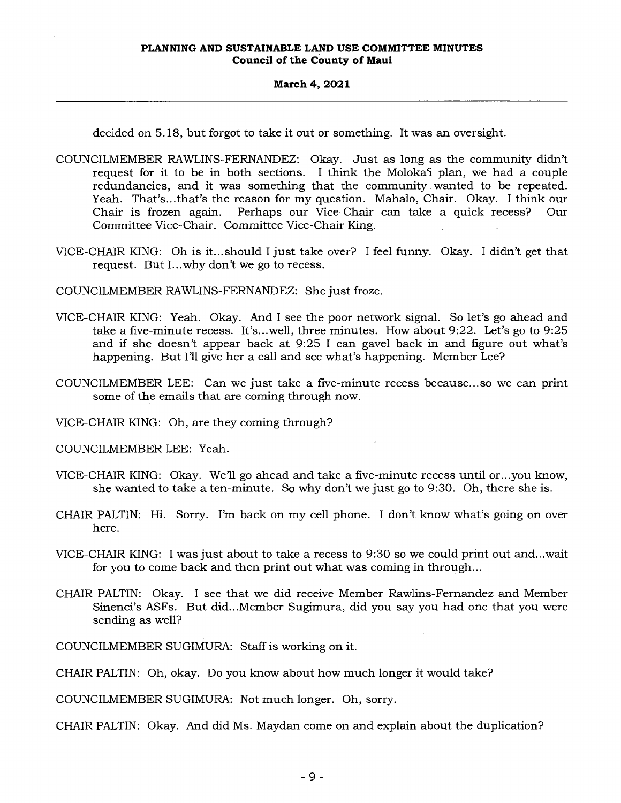decided on 5.18, but forgot to take it out or something. It was an oversight.

- COUNCILMEMBER RAWLINS-FERNANDEZ: Okay. Just as long as the community didn't request for it to be in both sections. I think the Moloka'i plan, we had a couple redundancies, and it was something that the community wanted to be repeated. Yeah. That's...that's the reason for my question. Mahalo, Chair. Okay. I think our Chair is frozen again. Perhaps our Vice-Chair can take a quick recess? Our Committee Vice-Chair. Committee Vice-Chair King.
- VICE-CHAIR KING: Oh is it...should I just take over? I feel funny. Okay. I didn't get that request. But I...why don't we go to recess.

COUNCILMEMBER RAWLINS-FERNANDEZ: She just froze.

- VICE-CHAIR KING: Yeah. Okay. And I see the poor network signal. So let's go ahead and take a five-minute recess. It's...well, three minutes. How about 9:22. Let's go to 9:25 and if she doesn't appear back at 9:25 I can gavel back in and figure out what's happening. But I'll give her a call and see what's happening. Member Lee?
- COUNCILMEMBER LEE: Can we just take a five-minute recess because...so we can print some of the emails that are coming through now.

VICE-CHAIR KING: Oh, are they coming through?

COUNCILMEMBER LEE: Yeah.

- VICE-CHAIR KING: Okay. We'll go ahead and take a five-minute recess until or...you know, she wanted to take a ten-minute. So why don't we just go to 9:30. Oh, there she is.
- CHAIR PALTIN: Hi. Sorry. I'm back on my cell phone. I don't know what's going on over here.
- VICE-CHAIR KING: I was just about to take a recess to 9:30 so we could print out and...wait for you to come back and then print out what was coming in through...
- CHAIR PALTIN: Okay. I see that we did receive Member Rawlins-Fernandez and Member Sinenci's ASFs. But did...Member Sugimura, did you say you had one that you were sending as well?

COUNCILMEMBER SUGIMURA: Staff is working on it.

CHAIR PALTIN: Oh, okay. Do you know about how much longer it would take?

COUNCILMEMBER SUGIMURA: Not much longer. Oh, sorry.

CHAIR PALTIN: Okay. And did Ms. Maydan come on and explain about the duplication?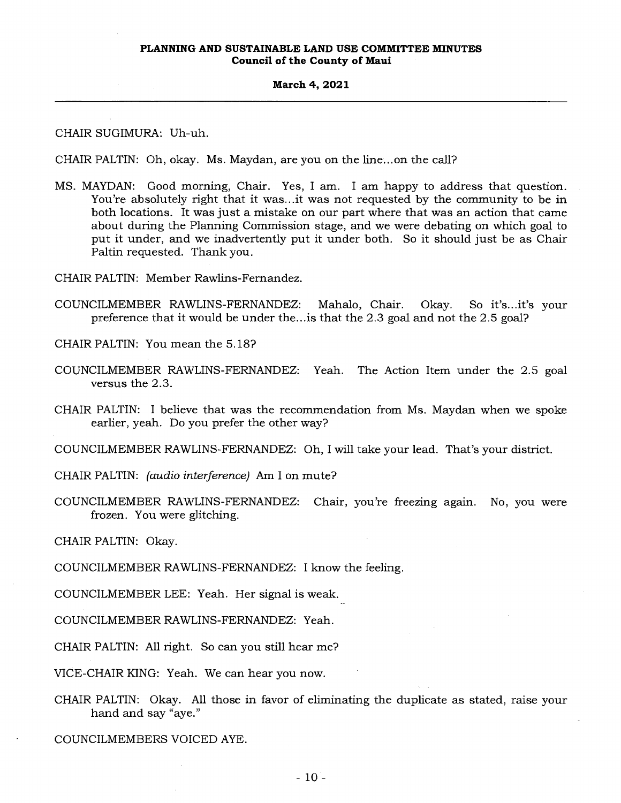#### **March 4, 2021**

CHAIR SUGIMURA: Uh-uh.

CHAIR PALTIN: Oh, okay. Ms. Maydan, are you on the line...on the call?

MS. MAYDAN: Good morning, Chair. Yes, I am. I am happy to address that question. You're absolutely right that it was...it was not requested by the community to be in both locations. It was just a mistake on our part where that was an action that came about during the Planning Commission stage, and we were debating on which goal to put it under, and we inadvertently put it under both. So it should just be as Chair Paltin requested. Thank you.

CHAIR PALTIN: Member Rawlins-Fernandez.

COUNCILMEMBER RAWLINS-FERNANDEZ: Mahalo, Chair. Okay. So it's...it's your preference that it would be under the...is that the 2.3 goal and not the 2.5 goal?

CHAIR PALTIN: You mean the 5.18?

- COUNCILMEMBER RAWLINS-FERNANDEZ: Yeah. The Action Item under the 2.5 goal versus the 2.3.
- CHAIR PALTIN: I believe that was the recommendation from Ms. Maydan when we spoke earlier, yeah. Do you prefer the other way?

COUNCILMEMBER RAWLINS-FERNANDEZ: Oh, I will take your lead. That's your district.

CHAIR PALTIN: *(audio interference)* Am I on mute?

COUNCILMEMBER RAWLINS-FERNANDEZ: Chair, you're freezing again. No, you were frozen. You were glitching.

CHAIR PALTIN: Okay.

COUNCILMEMBER RAWLINS-FERNANDEZ: I know the feeling.

COUNCILMEMBER LEE: Yeah. Her signal is weak.

COUNCILMEMBER RAWLINS-FERNANDEZ: Yeah.

CHAIR PALTIN: All right. So can you still hear me?

VICE-CHAIR KING: Yeah. We can hear you now.

CHAIR PALTIN: Okay. All those in favor of eliminating the duplicate as stated, raise your hand and say "aye."

COUNCILMEMBERS VOICED AYE.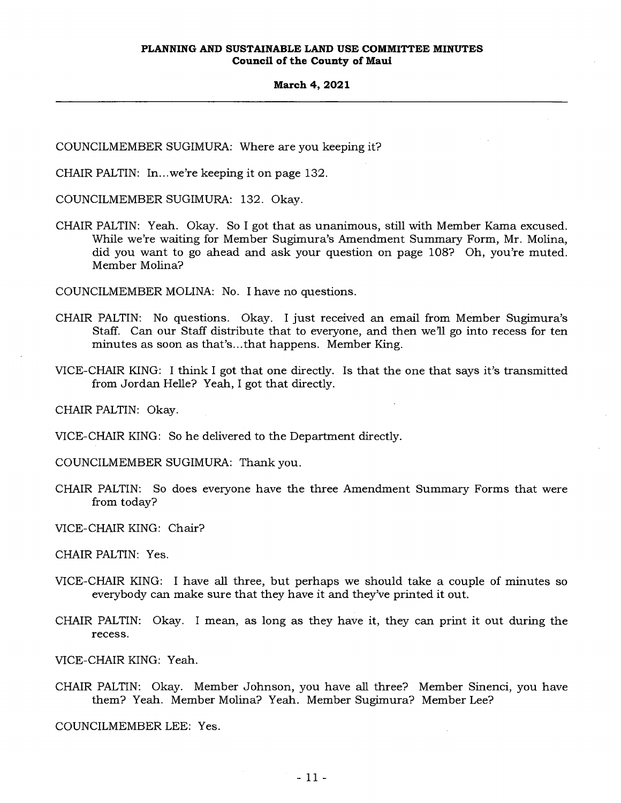COUNCILMEMBER SUGIMURA: Where are you keeping it?

CHAIR PALTIN: In...we're keeping it on page 132.

COUNCILMEMBER SUGIMURA: 132. Okay.

CHAIR PALTIN: Yeah. Okay. So I got that as unanimous, still with Member Kama excused. While we're waiting for Member Sugimura's Amendment Summary Form, Mr. Molina, did you want to go ahead and ask your question on page 108? Oh, you're muted. Member Molina?

COUNCILMEMBER MOLINA: No. I have no questions.

- CHAIR PALTIN: No questions. Okay. I just received an email from Member Sugimura's Staff. Can our Staff distribute that to everyone, and then we'll go into recess for ten minutes as soon as that's...that happens. Member King.
- VICE-CHAIR KING: I think I got that one directly. Is that the one that says it's transmitted from Jordan Helle? Yeah, I got that directly.

CHAIR PALTIN: Okay.

VICE-CHAIR KING: So he delivered to the Department directly.

COUNCILMEMBER SUGIMURA: Thank you.

CHAIR PALTIN: So does everyone have the three Amendment Summary Forms that were from today?

VICE-CHAIR KING: Chair?

CHAIR PALTIN: Yes.

- VICE-CHAIR KING: I have all three, but perhaps we should take a couple of minutes so everybody can make sure that they have it and they've printed it out.
- CHAIR PALTIN: Okay. I mean, as long as they have it, they can print it out during the recess.

VICE-CHAIR KING: Yeah.

CHAIR PALTIN: Okay. Member Johnson, you have all three? Member Sinenci, you have them? Yeah. Member Molina? Yeah. Member Sugimura? Member Lee?

COUNCILMEMBER LEE: Yes.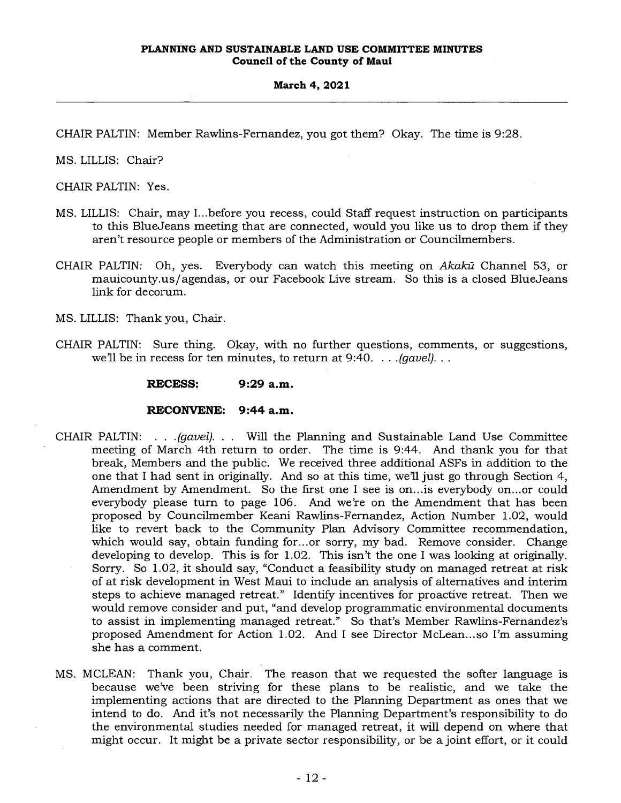CHAIR PALTIN: Member Rawlins-Fernandez, you got them? Okay. The time is 9:28.

MS. LILLIS: Chair?

CHAIR PALTIN: Yes.

- MS. LILLIS: Chair, may I...before you recess, could Staff request instruction on participants to this BlueJeans meeting that are connected, would you like us to drop them if they aren't resource people or members of the Administration or Councilmembers.
- CHAIR PALTIN: Oh, yes. Everybody can watch this meeting on Aka*lca* Channel 53, or mauicounty.us/agendas, or our Facebook Live stream. So this is a closed BlueJeans link for decorum.

MS. LILLIS: Thank you, Chair.

CHAIR PALTIN: Sure thing. Okay, with no further questions, comments, or suggestions, we'll be in recess for ten minutes, to return at 9:40. . . *.(gavel). . .* 

**RECESS: 9:29 a.m.** 

#### **RECONVENE: 9:44 a.m.**

- CHAIR PALTIN: . . *.(gavel). . .* Will the Planning and Sustainable Land Use Committee meeting of March 4th return to order. The time is 9:44. And thank you for that break, Members and the public. We received three additional ASFs in addition to the one that I had sent in originally. And so at this time, we'll just go through Section 4, Amendment by Amendment. So the first one I see is on...is everybody on...or could everybody please turn to page 106. And we're on the Amendment that has been proposed by Councilmember Keani Rawlins-Fernandez, Action Number 1.02, would like to revert back to the Community Plan Advisory Committee recommendation, which would say, obtain funding for...or sorry, my bad. Remove consider. Change developing to develop. This is for 1.02. This isn't the one I was looking at originally. Sorry. So 1.02, it should say, "Conduct a feasibility study on managed retreat at risk of at risk development in West Maui to include an analysis of alternatives and interim steps to achieve managed retreat." Identify incentives for proactive retreat. Then we would remove consider and put, "and develop programmatic environmental documents to assist in implementing managed retreat." So that's Member Rawlins-Fernandez's proposed Amendment for Action 1.02. And I see Director McLean...so I'm assuming she has a comment.
- MS. MCLEAN: Thank you, Chair. The reason that we requested the softer language is because we've been striving for these plans to be realistic, and we take the implementing actions that are directed to the Planning Department as ones that we intend to do. And it's not necessarily the Planning Department's responsibility to do the environmental studies needed for managed retreat, it will depend on where that might occur. It might be a private sector responsibility, or be a joint effort, or it could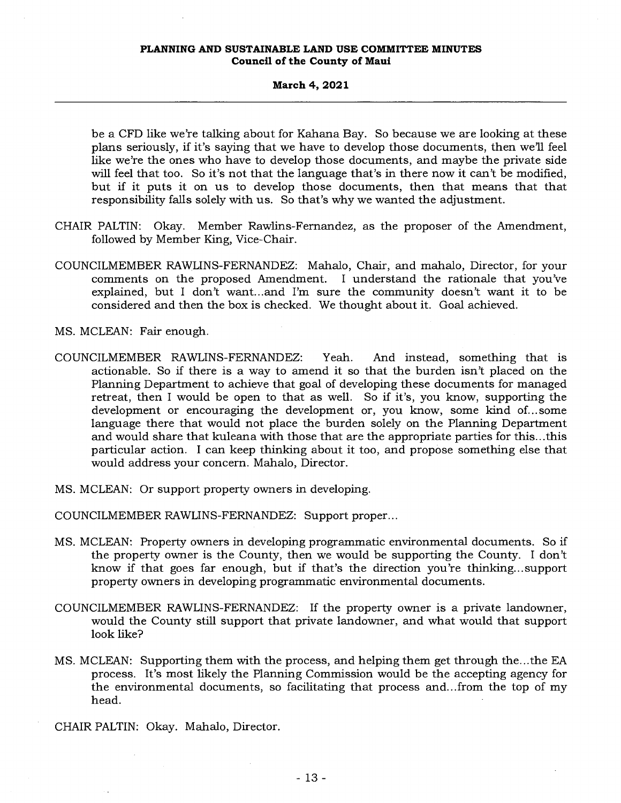#### **March 4, 2021**

be a CFD like we're talking about for Kahana Bay. So because we are looking at these plans seriously, if it's saying that we have to develop those documents, then we'll feel like we're the ones who have to develop those documents, and maybe the private side will feel that too. So it's not that the language that's in there now it can't be modified, but if it puts it on us to develop those documents, then that means that that responsibility falls solely with us. So that's why we wanted the adjustment.

- CHAIR PALTIN: Okay. Member Rawlins-Fernandez, as the proposer of the Amendment, followed by Member King, Vice-Chair.
- COUNCILMEMBER RAWLINS-FERNANDEZ: Mahalo, Chair, and mahalo, Director, for your comments on the proposed Amendment. I understand the rationale that you've explained, but I don't want...and I'm sure the community doesn't want it to be considered and then the box is checked. We thought about it. Goal achieved.
- MS. MCLEAN: Fair enough.
- COUNCILMEMBER RAWLINS-FERNANDEZ: Yeah. And instead, something that is actionable. So if there is a way to amend it so that the burden isn't placed on the Planning Department to achieve that goal of developing these documents for managed retreat, then I would be open to that as well. So if it's, you know, supporting the development or encouraging the development or, you know, some kind of... some language there that would not place the burden solely on the Planning Department and would share that kuleana with those that are the appropriate parties for this...this particular action. I can keep thinking about it too, and propose something else that would address your concern. Mahalo, Director.
- MS. MCLEAN: Or support property owners in developing.

COUNCILMEMBER RAWLINS-FERNANDEZ: Support proper...

- MS. MCLEAN: Property owners in developing programmatic environmental documents. So if the property owner is the County, then we would be supporting the County. I don't know if that goes far enough, but if that's the direction you're thinking... support property owners in developing programmatic environmental documents.
- COUNCILMEMBER RAWLINS-FERNANDEZ: If the property owner is a private landowner, would the County still support that private landowner, and what would that support look like?
- MS. MCLEAN: Supporting them with the process, and helping them get through the...the EA process. It's most likely the Planning Commission would be the accepting agency for the environmental documents, so facilitating that process and...from the top of my head.

CHAIR PALTIN: Okay. Mahalo, Director.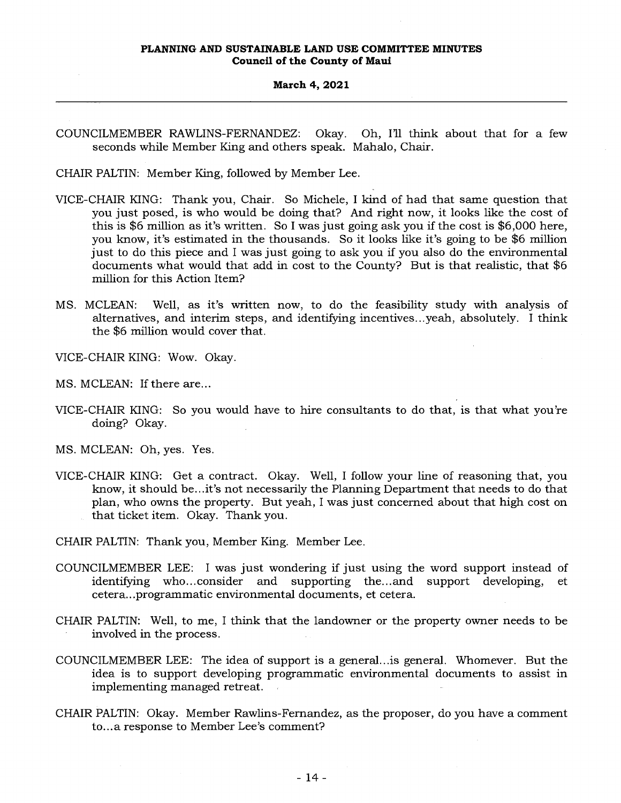COUNCILMEMBER RAWLINS-FERNANDEZ: Okay. Oh, I'll think about that for a few seconds while Member King and others speak. Mahalo, Chair.

CHAIR PALTIN: Member King, followed by Member Lee.

- VICE-CHAIR KING: Thank you, Chair. So Michele, I kind of had that same question that you just posed, is who would be doing that? And right now, it looks like the cost of this is \$6 million as it's written. So I was just going ask you if the cost is \$6,000 here, you know, it's estimated in the thousands. So it looks like it's going to be \$6 million just to do this piece and I was just going to ask you if you also do the environmental documents what would that add in cost to the County? But is that realistic, that \$6 million for this Action Item?
- MS. MCLEAN: Well, as it's written now, to do the feasibility study with analysis of alternatives, and interim steps, and identifying incentives...yeah, absolutely. I think the \$6 million would cover that.
- VICE-CHAIR KING: Wow. Okay.
- MS. MCLEAN: If there are...
- VICE-CHAIR KING: So you would have to hire consultants to do that, is that what you're doing? Okay.
- MS. MCLEAN: Oh, yes. Yes.
- VICE-CHAIR KING: Get a contract. Okay. Well, I follow your line of reasoning that, you know, it should be...it's not necessarily the Planning Department that needs to do that plan, who owns the property. But yeah, I was just concerned about that high cost on that ticket item. Okay. Thank you.
- CHAIR PALTIN: Thank you, Member King. Member Lee.
- COUNCILMEMBER LEE: I was just wondering if just using the word support instead of identifying who...consider and supporting the...and support developing, et supporting the... and support developing, et cetera...programmatic environmental documents, et cetera.
- CHAIR PALTIN: Well, to me, I think that the landowner or the property owner needs to be involved in the process.
- COUNCILMEMBER LEE: The idea of support is a general...is general. Whomever. But the idea is to support developing programmatic environmental documents to assist in implementing managed retreat.
- CHAIR PALTIN: Okay. Member Rawlins-Fernandez, as the proposer, do you have a comment to...a response to Member Lee's comment?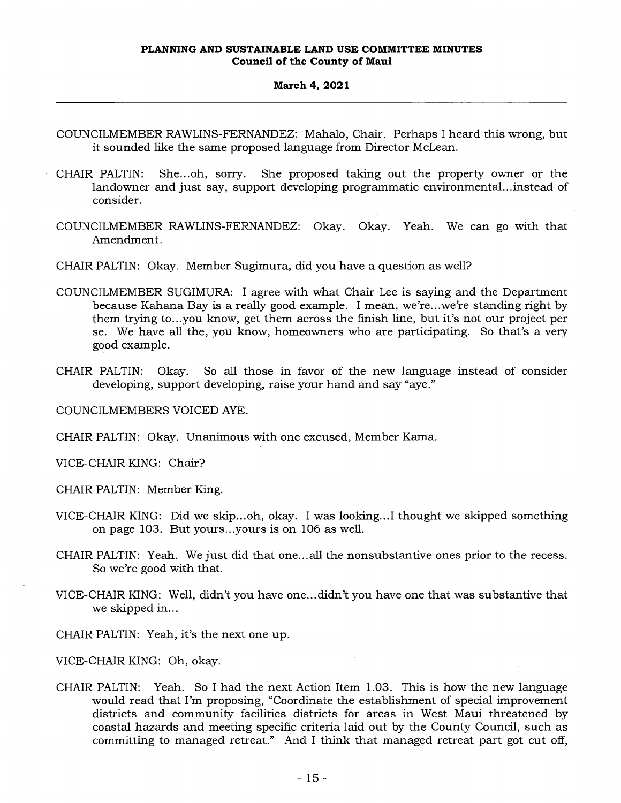- COUNCILMEMBER RAWLINS-FERNANDEZ: Mahalo, Chair. Perhaps I heard this wrong, but it sounded like the same proposed language from Director McLean.
- CHAIR PALTIN: She... oh, sorry. She proposed taking out the property owner or the landowner and just say, support developing programmatic environmental...instead of consider.
- COUNCILMEMBER RAWLINS-FERNANDEZ: Okay. Okay. Yeah. We can go with that Amendment.
- CHAIR PALTIN: Okay. Member Sugimura, did you have a question as well?
- COUNCILMEMBER SUGIMURA: I agree with what Chair Lee is saying and the Department because Kahana Bay is a really good example. I mean, we're...we're standing right by them trying to...you know, get them across the finish line, but it's not our project per se. We have all the, you know, homeowners who are participating. So that's a very good example.
- CHAIR PALTIN: Okay. So all those in favor of the new language instead of consider developing, support developing, raise your hand and say "aye."

COUNCILMEMBERS VOICED AYE.

CHAIR PALTIN: Okay. Unanimous with one excused, Member Kama.

VICE-CHAIR KING: Chair?

CHAIR PALTIN: Member King.

- VICE-CHAIR KING: Did we skip...oh, okay. I was looking...I thought we skipped something on page 103. But yours...yours is on 106 as well.
- CHAIR PALTIN: Yeah. We just did that one...all the nonsubstantive ones prior to the recess. So we're good with that.
- VICE-CHAIR KING: Well, didn't you have one...didn't you have one that was substantive that we skipped in...

CHAIR PALTIN: Yeah, it's the next one up.

VICE-CHAIR KING: Oh, okay.

CHAIR PALTIN: Yeah. So I had the next Action Item 1.03. This is how the new language would read that I'm proposing, "Coordinate the establishment of special improvement districts and community facilities districts for areas in West Maui threatened by coastal hazards and meeting specific criteria laid out by the County Council, such as committing to managed retreat." And I think that managed retreat part got cut off,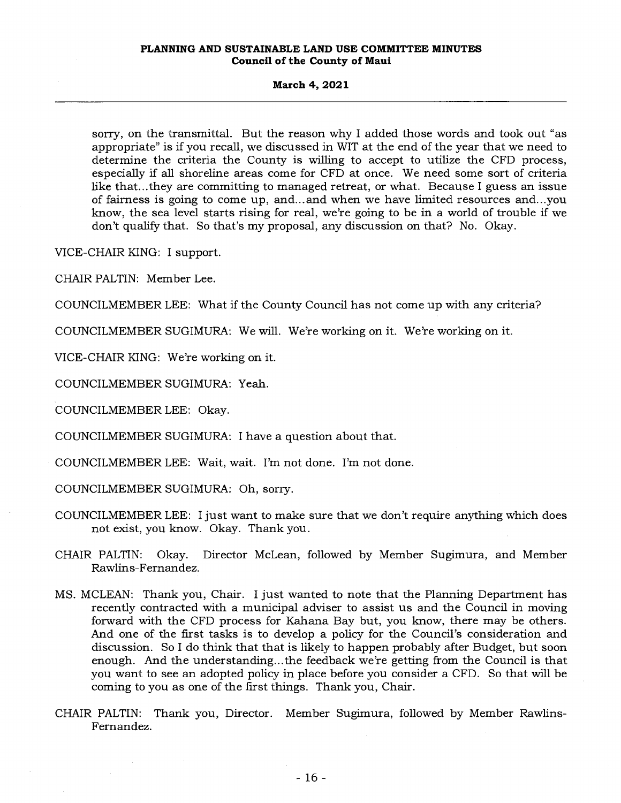#### **March 4, 2021**

sorry, on the transmittal. But the reason why I added those words and took out "as appropriate" is if you recall, we discussed in WIT at the end of the year that we need to determine the criteria the County is willing to accept to utilize the CFD process, especially if all shoreline areas come for CFD at once. We need some sort of criteria like that...they are committing to managed retreat, or what. Because I guess an issue of fairness is going to come up, and...and when we have limited resources and...you know, the sea level starts rising for real, we're going to be in a world of trouble if we don't qualify that. So that's my proposal, any discussion on that? No. Okay.

VICE-CHAIR KING: I support.

CHAIR PALTIN: Member Lee.

COUNCILMEMBER LEE: What if the County Council has not come up with any criteria?

COUNCILMEMBER SUGIMURA: We will. We're working on it. We're working on it.

VICE-CHAIR KING: We're working on it.

COUNCILMEMBER SUGIMURA: Yeah.

COUNCILMEMBER LEE: Okay.

COUNCILMEMBER SUGIMURA: I have a question about that.

COUNCILMEMBER LEE: Wait, wait. I'm not done. I'm not done.

COUNCILMEMBER SUGIMURA: Oh, sorry.

- COUNCILMEMBER LEE: I just want to make sure that we don't require anything which does not exist, you know. Okay. Thank you.
- CHAIR PALTIN: Okay. Director McLean, followed by Member Sugimura, and Member Rawlins-Fernandez.
- MS. MCLEAN: Thank you, Chair. I just wanted to note that the Planning Department has recently contracted with a municipal adviser to assist us and the Council in moving forward with the CFD process for Kahana Bay but, you know, there may be others. And one of the first tasks is to develop a policy for the Council's consideration and discussion. So I do think that that is likely to happen probably after Budget, but soon enough. And the understanding...the feedback we're getting from the Council is that you want to see an adopted policy in place before you consider a CFD. So that will be coming to you as one of the first things. Thank you, Chair.
- CHAIR PALTIN: Thank you, Director. Member Sugimura, followed by Member Rawlins-Fernandez.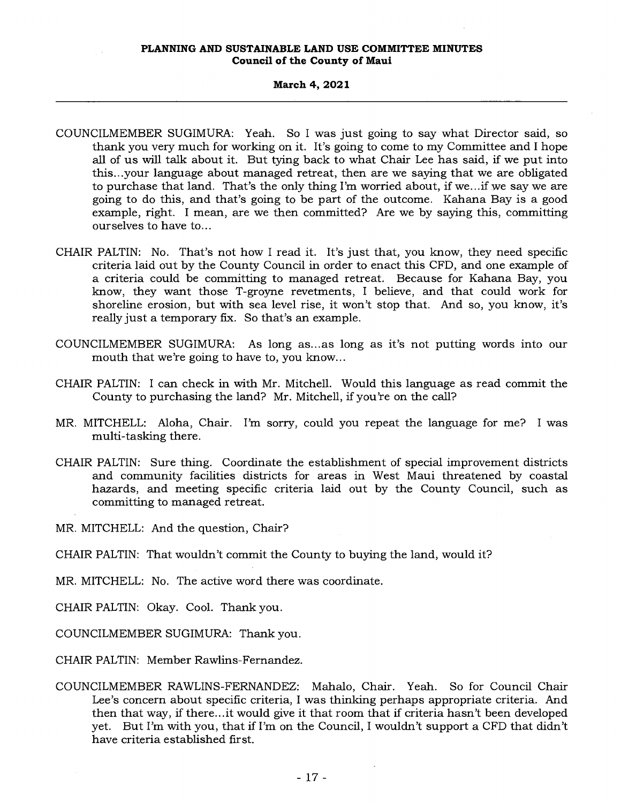## **March 4, 2021**

- COUNCILMEMBER SUGIMURA: Yeah. So I was just going to say what Director said, so thank you very much for working on it. It's going to come to my Committee and I hope all of us will talk about it. But tying back to what Chair Lee has said, if we put into this...your language about managed retreat, then are we saying that we are obligated to purchase that land. That's the only thing I'm worried about, if we...if we say we are going to do this, and that's going to be part of the outcome. Kahana Bay is a good example, right. I mean, are we then committed? Are we by saying this, committing ourselves to have to...
- CHAIR PALTIN: No. That's not how I read it. It's just that, you know, they need specific criteria laid out by the County Council in order to enact this CFD, and one example of a criteria could be committing to managed retreat. Because for Kahana Bay, you know, they want those T-groyne revetments, I believe, and that could work for shoreline erosion, but with sea level rise, it won't stop that. And so, you know, it's really just a temporary fix. So that's an example.
- COUNCILMEMBER SUGIMURA: As long as... as long as it's not putting words into our mouth that we're going to have to, you know...
- CHAIR PALTIN: I can check in with Mr. Mitchell. Would this language as read commit the County to purchasing the land? Mr. Mitchell, if you're on the call?
- MR. MITCHELL: Aloha, Chair. I'm sorry, could you repeat the language for me? I was multi-tasking there.
- CHAIR PALTIN: Sure thing. Coordinate the establishment of special improvement districts and community facilities districts for areas in West Maui threatened by coastal hazards, and meeting specific criteria laid out by the County Council, such as committing to managed retreat.

MR. MITCHELL: And the question, Chair?

CHAIR PALTIN: That wouldn't commit the County to buying the land, would it?

MR. MITCHELL: No. The active word there was coordinate.

CHAIR PALTIN: Okay. Cool. Thank you.

COUNCILMEMBER SUGIMURA: Thank you.

CHAIR PALTIN: Member Rawlins-Fernandez.

COUNCILMEMBER RAWLINS-FERNANDEZ: Mahalo, Chair. Yeah. So for Council Chair Lee's concern about specific criteria, I was thinking perhaps appropriate criteria. And then that way, if there...it would give it that room that if criteria hasn't been developed yet. But I'm with you, that if I'm on the Council, I wouldn't support a CFD that didn't have criteria established first.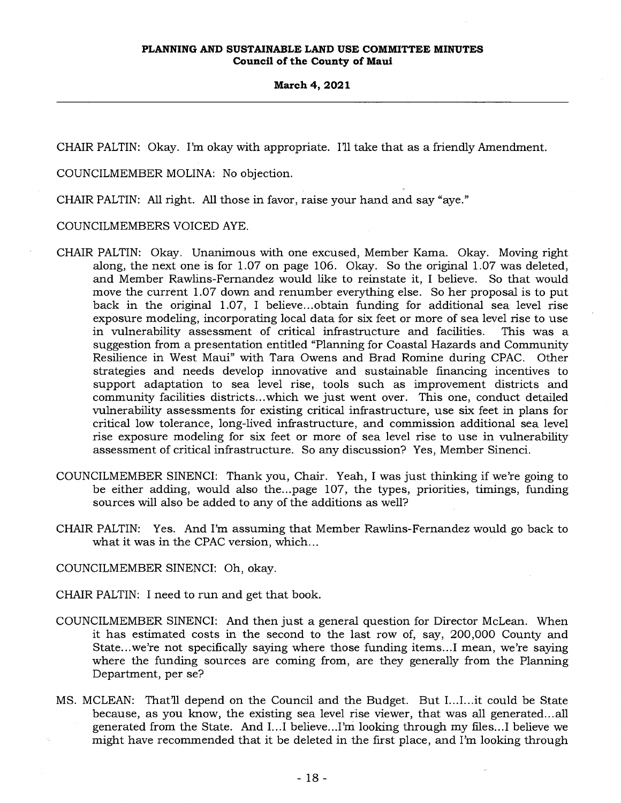CHAIR PALTIN: Okay. I'm okay with appropriate. I'll take that as a friendly Amendment.

COUNCILMEMBER MOLINA: No objection.

CHAIR PALTIN: All right. All those in favor, raise your hand and say "aye."

COUNCILMEMBERS VOICED AYE.

- CHAIR PALTIN: Okay. Unanimous with one excused, Member Kama. Okay. Moving right along, the next one is for 1.07 on page 106. Okay. So the original 1.07 was deleted, and Member Rawlins-Fernandez would like to reinstate it, I believe. So that would move the current 1.07 down and renumber everything else. So her proposal is to put back in the original 1.07, I believe...obtain funding for additional sea level rise exposure modeling, incorporating local data for six feet or more of sea level rise to use in vulnerability assessment of critical infrastructure and facilities. This was a suggestion from a presentation entitled "Planning for Coastal Hazards and Community Resilience in West Maui" with Tara Owens and Brad Romine during CPAC. Other strategies and needs develop innovative and sustainable financing incentives to support adaptation to sea level rise, tools such as improvement districts and community facilities districts...which we just went over. This one, conduct detailed vulnerability assessments for existing critical infrastructure, use six feet in plans for critical low tolerance, long-lived infrastructure, and commission additional sea level rise exposure modeling for six feet or more of sea level rise to use in vulnerability assessment of critical infrastructure. So any discussion? Yes, Member Sinenci.
- COUNCILMEMBER SINENCI: Thank you, Chair. Yeah, I was just thinking if we're going to be either adding, would also the...page 107, the types, priorities, timings, funding sources will also be added to any of the additions as well?
- CHAIR PALTIN: Yes. And I'm assuming that Member Rawlins-Fernandez would go back to what it was in the CPAC version, which...

COUNCILMEMBER SINENCI: Oh, okay.

- CHAIR PALTIN: I need to run and get that book.
- COUNCILMEMBER SINENCI: And then just a general question for Director McLean. When it has estimated costs in the second to the last row of, say, 200,000 County and State...we're not specifically saying where those funding items...I mean, we're saying where the funding sources are coming from, are they generally from the Planning Department, per se?
- MS. MCLEAN: That'll depend on the Council and the Budget. But I...I...it could be State because, as you know, the existing sea level rise viewer, that was all generated... all generated from the State. And I...I believe...I'm looking through my files...I believe we might have recommended that it be deleted in the first place, and I'm looking through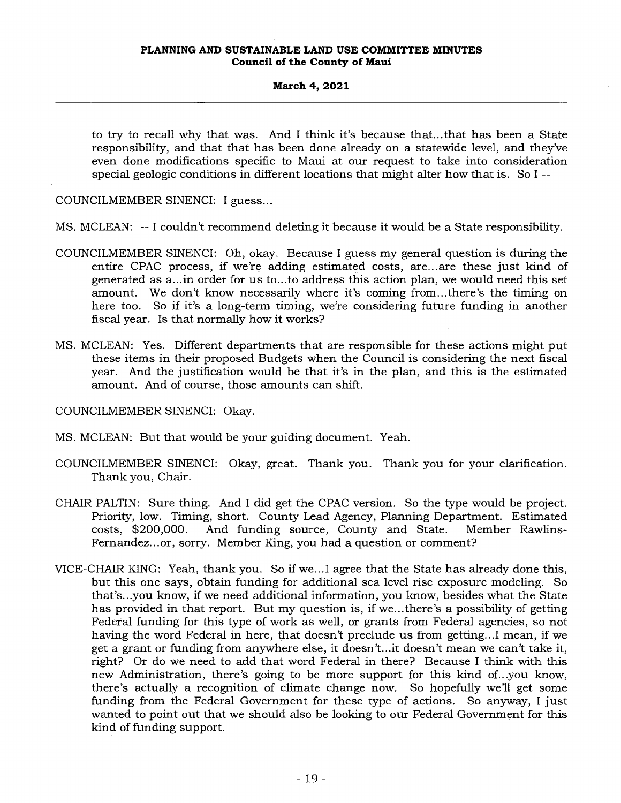to try to recall why that was. And I think it's because that...that has been a State responsibility, and that that has been done already on a statewide level, and they've even done modifications specific to Maui at our request to take into consideration special geologic conditions in different locations that might alter how that is. So I --

COUNCILMEMBER SINENCI: I guess...

MS. MCLEAN: -- I couldn't recommend deleting it because it would be a State responsibility.

- COUNCILMEMBER SINENCI: Oh, okay. Because I guess my general question is during the entire CPAC process, if we're adding estimated costs, are...are these just kind of generated as a...in order for us to...to address this action plan, we would need this set amount. We don't know necessarily where it's coming from...there's the timing on here too. So if it's a long-term timing, we're considering future funding in another fiscal year. Is that normally how it works?
- MS. MCLEAN: Yes. Different departments that are responsible for these actions might put these items in their proposed Budgets when the Council is considering the next fiscal year. And the justification would be that it's in the plan, and this is the estimated amount. And of course, those amounts can shift.

COUNCILMEMBER SINENCI: Okay.

- MS. MCLEAN: But that would be your guiding document. Yeah.
- COUNCILMEMBER SINENCI: Okay, great. Thank you. Thank you for your clarification. Thank you, Chair.
- CHAIR PALTIN: Sure thing. And I did get the CPAC version. So the type would be project. Priority, low. Timing, short. County Lead Agency, Planning Department. Estimated costs, \$200,000. And funding source, County and State. Member Rawlins-Fernandez...or, sorry. Member King, you had a question or comment?
- VICE-CHAIR KING: Yeah, thank you. So if we...I agree that the State has already done this, but this one says, obtain funding for additional sea level rise exposure modeling. So that's...you know, if we need additional information, you know, besides what the State has provided in that report. But my question is, if we...there's a possibility of getting Federal funding for this type of work as well, or grants from Federal agencies, so not having the word Federal in here, that doesn't preclude us from getting...I mean, if we get a grant or funding from anywhere else, it doesn't...it doesn't mean we can't take it, right? Or do we need to add that word Federal in there? Because I think with this new Administration, there's going to be more support for this kind of...you know, there's actually a recognition of climate change now. So hopefully we'll get some funding from the Federal Government for these type of actions. So anyway, I just wanted to point out that we should also be looking to our Federal Government for this kind of funding support.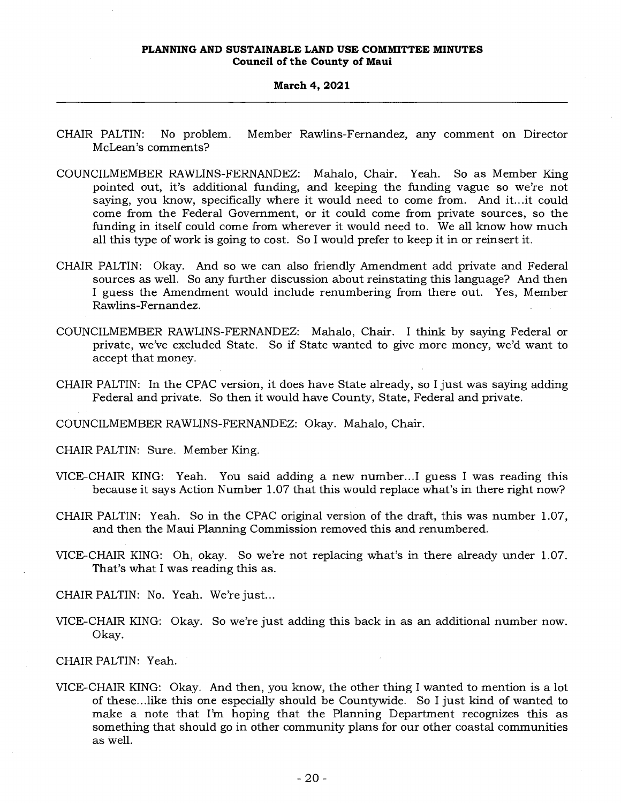#### **March 4, 2021**

- CHAIR PALTIN: No problem. Member Rawlins-Fernandez, any comment on Director McLean's comments?
- COUNCILMEMBER RAWLINS-FERNANDEZ: Mahalo, Chair. Yeah. So as Member King pointed out, it's additional funding, and keeping the funding vague so we're not saying, you know, specifically where it would need to come from. And it...it could come from the Federal Government, or it could come from private sources, so the funding in itself could come from wherever it would need to. We all know how much all this type of work is going to cost. So I would prefer to keep it in or reinsert it.
- CHAIR PALTIN: Okay. And so we can also friendly Amendment add private and Federal sources as well. So any further discussion about reinstating this language? And then I guess the Amendment would include renumbering from there out. Yes, Member Rawlins-Fernandez.
- COUNCILMEMBER RAWLINS-FERNANDEZ: Mahalo, Chair. I think by saying Federal or private, we've excluded State. So if State wanted to give more money, we'd want to accept that money.
- CHAIR PALTIN: In the CPAC version, it does have State already, so I just was saying adding Federal and private. So then it would have County, State, Federal and private.

COUNCILMEMBER RAWLINS-FERNANDEZ: Okay. Mahalo, Chair.

- CHAIR PALTIN: Sure. Member King.
- VICE-CHAIR KING: Yeah. You said adding a new number...I guess I was reading this because it says Action Number 1.07 that this would replace what's in there right now?
- CHAIR PALTIN: Yeah. So in the CPAC original version of the draft, this was number 1.07, and then the Maui Planning Commission removed this and renumbered.
- VICE-CHAIR KING: Oh, okay. So we're not replacing what's in there already under 1.07. That's what I was reading this as.
- CHAIR PALTIN: No. Yeah. We're just...
- VICE-CHAIR KING: Okay. So we're just adding this back in as an additional number now. Okay.

CHAIR PALTIN: Yeah.

VICE-CHAIR KING: Okay. And then, you know, the other thing I wanted to mention is a lot of these...like this one especially should be Countywide. So I just kind of wanted to make a note that I'm hoping that the Planning Department recognizes this as something that should go in other community plans for our other coastal communities as well.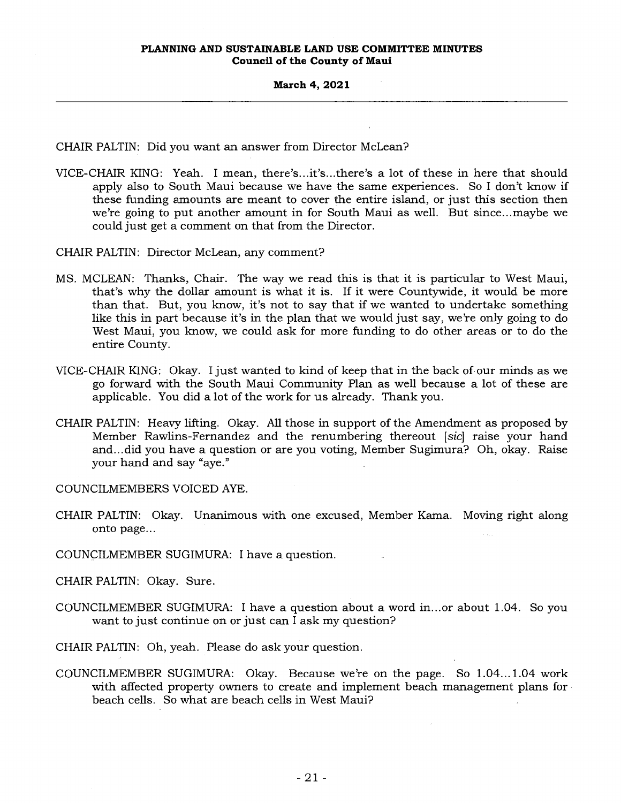CHAIR PALTIN: Did you want an answer from Director McLean?

- VICE-CHAIR KING: Yeah. I mean, there's...it's...there's a lot of these in here that should apply also to South Maui because we have the same experiences. So I don't know if these funding amounts are meant to cover the entire island, or just this section then we're going to put another amount in for South Maui as well. But since...maybe we could just get a comment on that from the Director.
- CHAIR PALTIN: Director McLean, any comment?
- MS. MCLEAN: Thanks, Chair. The way we read this is that it is particular to West Maui, that's why the dollar amount is what it is. If it were Countywide, it would be more than that. But, you know, it's not to say that if we wanted to undertake something like this in part because it's in the plan that we would just say, we're only going to do West Maui, you know, we could ask for more funding to do other areas or to do the entire County.
- VICE-CHAIR KING: Okay. I just wanted to kind of keep that in the back of our minds as we go forward with the South Maui Community Plan as well because a lot of these are applicable. You did a lot of the work for us already. Thank you.
- CHAIR PALTIN: Heavy lifting. Okay. All those in support of the Amendment as proposed by Member Rawlins-Fernandez and the renumbering thereout *[sic]* raise your hand and...did you have a question or are you voting, Member Sugimura? Oh, okay. Raise your hand and say "aye."

COUNCILMEMBERS VOICED AYE.

- CHAIR PALTIN: Okay. Unanimous with one excused, Member Kama. Moving right along onto page...
- COUNCILMEMBER SUGIMURA: I have a question.

CHAIR PALTIN: Okay. Sure.

- COUNCILMEMBER SUGIMURA: I have a question about a word in...or about 1.04. So you want to just continue on or just can I ask my question?
- CHAIR PALTIN: Oh, yeah. Please do ask your question.
- COUNCILMEMBER SUGIMURA: Okay. Because we're on the page. So 1.04...1.04 work with affected property owners to create and implement beach management plans for beach cells. So what are beach cells in West Maui?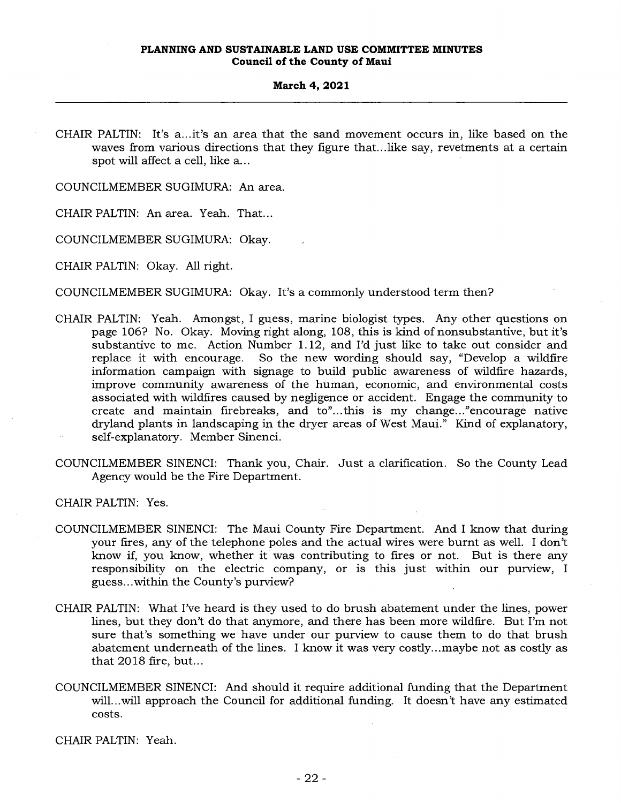CHAIR PALTIN: It's a...it's an area that the sand movement occurs in, like based on the waves from various directions that they figure that...like say, revetments at a certain spot will affect a cell, like a...

COUNCILMEMBER SUGIMURA: An area.

CHAIR PALTIN: An area. Yeah. That...

COUNCILMEMBER SUGIMURA: Okay.

CHAIR PALTIN: Okay. All right.

COUNCILMEMBER SUGIMURA: Okay. It's a commonly understood term then?

- CHAIR PALTIN: Yeah. Amongst, I guess, marine biologist types. Any other questions on page 106? No. Okay. Moving right along, 108, this is kind of nonsubstantive, but it's substantive to me. Action Number 1.12, and I'd just like to take out consider and replace it with encourage. So the new wording should say, "Develop a wildfire information campaign with signage to build public awareness of wildfire hazards, improve community awareness of the human, economic, and environmental costs associated with wildfires caused by negligence or accident. Engage the community to create and maintain firebreaks, and to"...this is my change..."encourage native dryland plants in landscaping in the dryer areas of West Maui." Kind of explanatory, self-explanatory. Member Sinenci.
- COUNCILMEMBER SINENCI: Thank you, Chair. Just a clarification. So the County Lead Agency would be the Fire Department.

CHAIR PALTIN: Yes.

- COUNCILMEMBER SINENCI: The Maui County Fire Department. And I know that during your fires, any of the telephone poles and the actual wires were burnt as well. I don't know if, you know, whether it was contributing to fires or not. But is there any responsibility on the electric company, or is this just within our purview, I guess...within the County's purview?
- CHAIR PALTIN: What I've heard is they used to do brush abatement under the lines, power lines, but they don't do that anymore, and there has been more wildfire. But I'm not sure that's something we have under our purview to cause them to do that brush abatement underneath of the lines. I know it was very costly...maybe not as costly as that 2018 fire, but...
- COUNCILMEMBER SINENCI: And should it require additional funding that the Department will...will approach the Council for additional funding. It doesn't have any estimated costs.

CHAIR PALTIN: Yeah.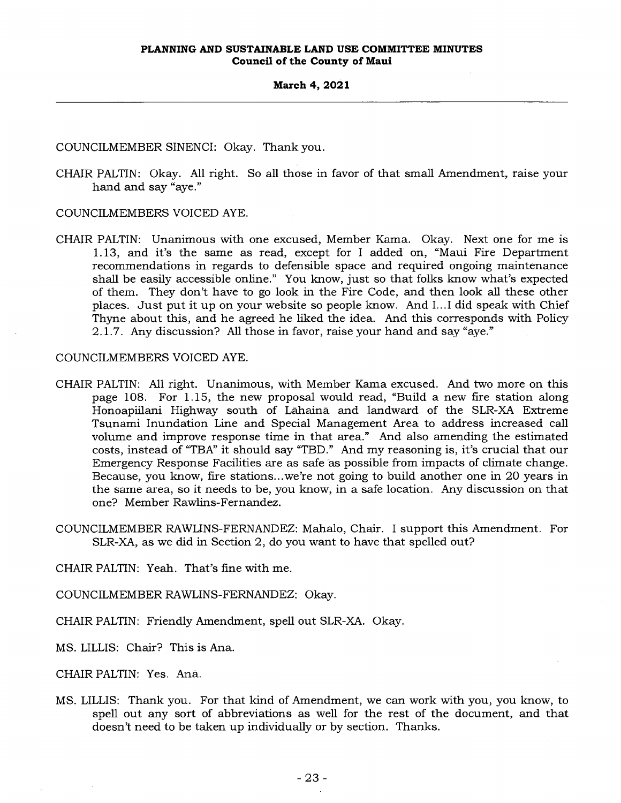COUNCILMEMBER SINENCI: Okay. Thank you.

CHAIR PALTIN: Okay. All right. So all those in favor of that small Amendment, raise your hand and say "aye."

COUNCILMEMBERS VOICED AYE.

CHAIR PALTIN: Unanimous with one excused, Member Kama. Okay. Next one for me is 1.13, and it's the same as read, except for I added on, "Maui Fire Department recommendations in regards to defensible space and required ongoing maintenance shall be easily accessible online." You know, just so that folks know what's expected of them. They don't have to go look in the Fire Code, and then look all these other places. Just put it up on your website so people know. And I...I did speak with Chief Thyne about this, and he agreed he liked the idea. And this corresponds with Policy 2.1.7. Any discussion? All those in favor, raise your hand and say "aye."

COUNCILMEMBERS VOICED AYE.

- CHAIR PALTIN: All right. Unanimous, with Member Kama excused. And two more on this page 108. For 1.15, the new proposal would read, "Build a new fire station along Honoapiilani Highway south of Lahaina and landward of the SLR-XA Extreme Tsunami Inundation Line and Special Management Area to address increased call volume and improve response time in that area." And also amending the estimated costs, instead of "TBA" it should say "TBD." And my reasoning is, it's crucial that our Emergency Response Facilities are as safe as possible from impacts of climate change. Because, you know, fire stations...we're not going to build another one in 20 years in the same area, so it needs to be, you know, in a safe location. Any discussion on that one? Member Rawlins-Fernandez.
- COUNCILMEMBER RAWLINS-FERNANDEZ: Mahalo, Chair. I support this Amendment. For SLR-XA, as we did in Section 2, do you want to have that spelled out?

CHAIR PALTIN: Yeah. That's fine with me.

COUNCILMEMBER RAWLINS-FERNANDEZ: Okay.

CHAIR PALTIN: Friendly Amendment, spell out SLR-XA. Okay.

MS. LILLIS: Chair? This is Ana.

CHAIR PALTIN: Yes. Ana.

MS. LILLIS: Thank you. For that kind of Amendment, we can work with you, you know, to spell out any sort of abbreviations as well for the rest of the document, and that doesn't need to be taken up individually or by section. Thanks.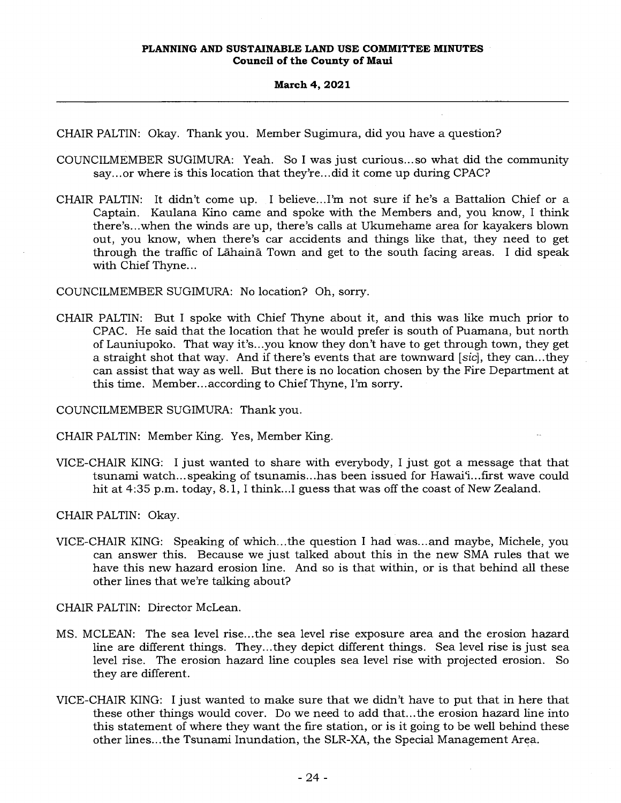CHAIR PALTIN: Okay. Thank you. Member Sugimura, did you have a question?

- COUNCILMEMBER SUGIMURA: Yeah. So I was just curious... so what did the community say... or where is this location that they're... did it come up during CPAC?
- CHAIR PALTIN: It didn't come up. I believe...I'm not sure if he's a Battalion Chief or a Captain. Kaulana Kino came and spoke with the Members and, you know, I think there's...when the winds are up, there's calls at Ukumehame area for kayakers blown out, you know, when there's car accidents and things like that, they need to get through the traffic of Lahaina. Town and get to the south facing areas. I did speak with Chief Thyne...

COUNCILMEMBER SUGIMURA: No location? Oh, sorry.

CHAIR PALTIN: But I spoke with Chief Thyne about it, and this was like much prior to CPAC. He said that the location that he would prefer is south of Puamana, but north of Launiupoko. That way it's...you know they don't have to get through town, they get a straight shot that way. And if there's events that are townward *[sic],* they can...they can assist that way as well. But there is no location chosen by the Fire Department at this time. Member...according to Chief Thyne, I'm sorry.

COUNCILMEMBER SUGIMURA: Thank you.

CHAIR PALTIN: Member King. Yes, Member King.

VICE-CHAIR KING: I just wanted to share with everybody, I just got a message that that tsunami watch...speaking of tsunamis...has been issued for Hawai'i...first wave could hit at 4:35 p.m. today, 8.1, I think...I guess that was off the coast of New Zealand.

CHAIR PALTIN: Okay.

VICE-CHAIR KING: Speaking of which...the question I had was...and maybe, Michele, you can answer this. Because we just talked about this in the new SMA rules that we have this new hazard erosion line. And so is that within, or is that behind all these other lines that we're talking about?

CHAIR PALTIN: Director McLean.

- MS. MCLEAN: The sea level rise...the sea level rise exposure area and the erosion hazard line are different things. They...they depict different things. Sea level rise is just sea level rise. The erosion hazard line couples sea level rise with projected erosion. So they are different.
- VICE-CHAIR KING: I just wanted to make sure that we didn't have to put that in here that these other things would cover. Do we need to add that...the erosion hazard line into this statement of where they want the fire station, or is it going to be well behind these other lines...the Tsunami Inundation, the SLR-XA, the Special Management Area.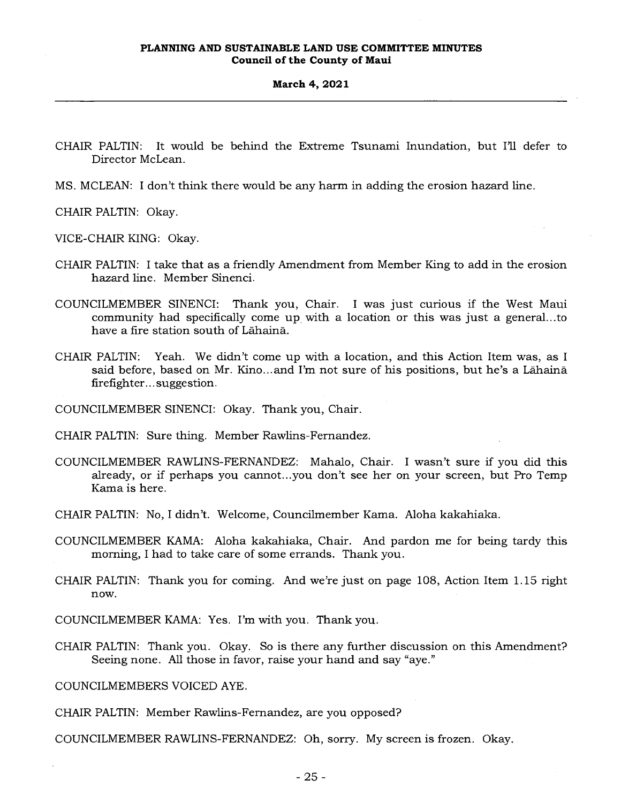- CHAIR PALTIN: It would be behind the Extreme Tsunami Inundation, but I'll defer to Director McLean.
- MS. MCLEAN: I don't think there would be any harm in adding the erosion hazard line.

CHAIR PALTIN: Okay.

VICE-CHAIR KING: Okay.

- CHAIR PALTIN: I take that as a friendly Amendment from Member King to add in the erosion hazard line. Member Sinenci.
- COUNCILMEMBER SINENCI: Thank you, Chair. I was just curious if the West Maui community had specifically come up with a location or this was just a general...to have a fire station south of Lahaina.
- CHAIR PALTIN: Yeah. We didn't come up with a location, and this Action Item was, as I said before, based on Mr. Kino... and I'm not sure of his positions, but he's a Lahaina firefighter... suggestion.

COUNCILMEMBER SINENCI: Okay. Thank you, Chair.

CHAIR PALTIN: Sure thing. Member Rawlins-Fernandez.

- COUNCILMEMBER RAWLINS-FERNANDEZ: Mahalo, Chair. I wasn't sure if you did this already, or if perhaps you cannot...you don't see her on your screen, but Pro Temp Kama is here.
- CHAIR PALTIN: No, I didn't. Welcome, Councilmember Kama. Aloha kakahiaka.
- COUNCILMEMBER KAMA: Aloha kakahiaka, Chair. And pardon me for being tardy this morning, I had to take care of some errands. Thank you.
- CHAIR PALTIN: Thank you for coming. And we're just on page 108, Action Item 1.15 right now.

COUNCILMEMBER KAMA: Yes. I'm with you. Thank you.

CHAIR PALTIN: Thank you. Okay. So is there any further discussion on this Amendment? Seeing none. All those in favor, raise your hand and say "aye."

COUNCILMEMBERS VOICED AYE.

CHAIR PALTIN: Member Rawlins-Fernandez, are you opposed?

COUNCILMEMBER RAWLINS-FERNANDEZ: Oh, sorry. My screen is frozen. Okay.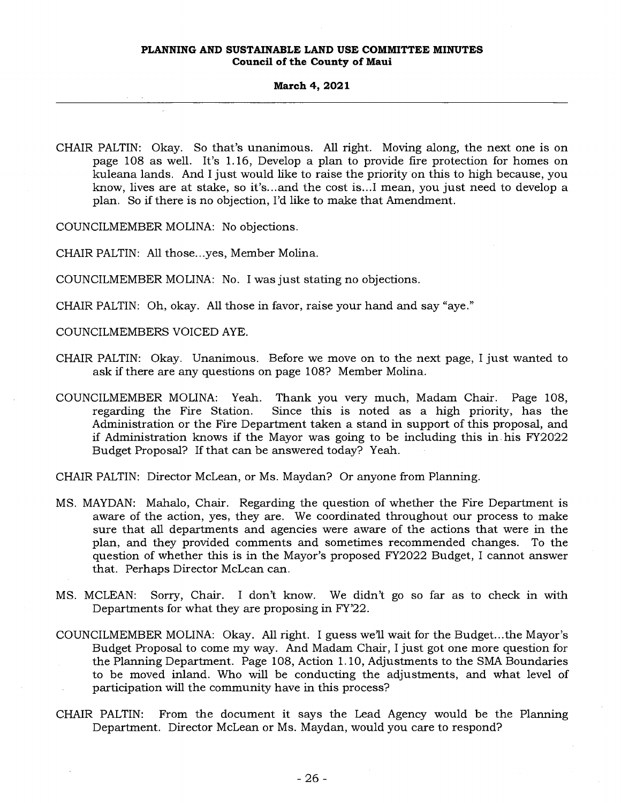#### **March 4, 2021**

CHAIR PALTIN: Okay. So that's unanimous. All right. Moving along, the next one is on page 108 as well. It's 1.16, Develop a plan to provide fire protection for homes on kuleana lands. And I just would like to raise the priority on this to high because, you know, lives are at stake, so it's...and the cost is...I mean, you just need to develop a plan. So if there is no objection, I'd like to make that Amendment.

COUNCILMEMBER MOLINA: No objections.

CHAIR PALTIN: All those...yes, Member Molina.

COUNCILMEMBER MOLINA: No. I was just stating no objections.

CHAIR PALTIN: Oh, okay. All those in favor, raise your hand and say "aye."

COUNCILMEMBERS VOICED AYE.

- CHAIR PALTIN: Okay. Unanimous. Before we move on to the next page, I just wanted to ask if there are any questions on page 108? Member Molina.
- COUNCILMEMBER MOLINA: Yeah. Thank you very much, Madam Chair. Page 108, regarding the Fire Station. Since this is noted as a high priority, has the Administration or the Fire Department taken a stand in support of this proposal, and if Administration knows if the Mayor was going to be including this in his FY2022 Budget Proposal? If that can be answered today? Yeah.

CHAIR PALTIN: Director McLean, or Ms. Maydan? Or anyone from Planning.

- MS. MAYDAN: Mahalo, Chair. Regarding the question of whether the Fire Department is aware of the action, yes, they are. We coordinated throughout our process to make sure that all departments and agencies were aware of the actions that were in the plan, and they provided comments and sometimes recommended changes. To the question of whether this is in the Mayor's proposed FY2022 Budget, I cannot answer that. Perhaps Director McLean can.
- MS. MCLEAN: Sorry, Chair. I don't know. We didn't go so far as to check in with Departments for what they are proposing in FY'22.
- COUNCILMEMBER MOLINA: Okay. All right. I guess we'll wait for the Budget...the Mayor's Budget Proposal to come my way. And Madam Chair, I just got one more question for the Planning Department. Page 108, Action 1.10, Adjustments to the SMA Boundaries to be moved inland. Who will be conducting the adjustments, and what level of participation will the community have in this process?
- CHAIR PALTIN: From the document it says the Lead Agency would be the Planning Department. Director McLean or Ms. Maydan, would you care to respond?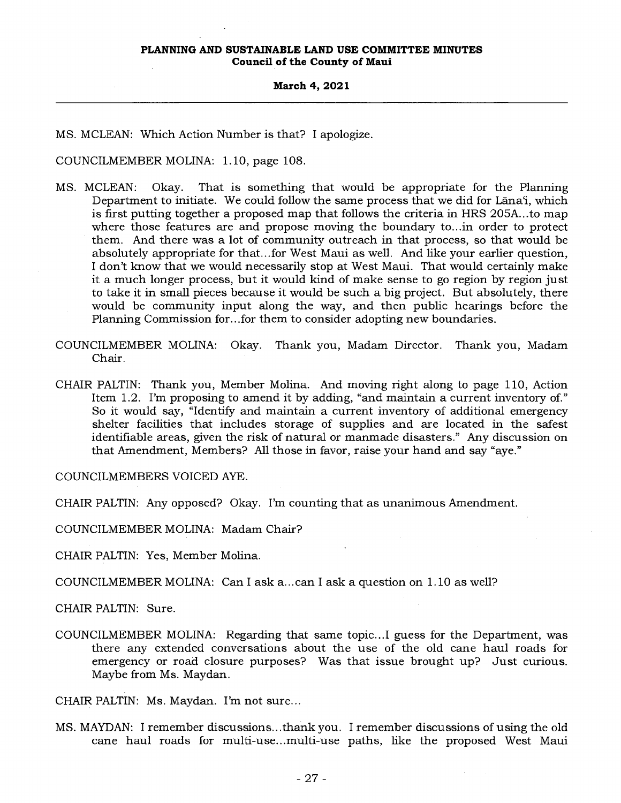#### **March 4, 2021**

MS. MCLEAN: Which Action Number is that? I apologize.

COUNCILMEMBER MOLINA: 1.10, page 108.

- MS. MCLEAN: Okay. That is something that would be appropriate for the Planning Department to initiate. We could follow the same process that we did for Lana'i, which is first putting together a proposed map that follows the criteria in HRS 205A...to map where those features are and propose moving the boundary to...in order to protect them. And there was a lot of community outreach in that process, so that would be absolutely appropriate for that...for West Maui as well. And like your earlier question, I don't know that we would necessarily stop at West Maui. That would certainly make it a much longer process, but it would kind of make sense to go region by region just to take it in small pieces because it would be such a big project. But absolutely, there would be community input along the way, and then public hearings before the Planning Commission for...for them to consider adopting new boundaries.
- COUNCILMEMBER MOLINA: Okay. Thank you, Madam Director. Thank you, Madam Chair.
- CHAIR PALTIN: Thank you, Member Molina. And moving right along to page 110, Action Item 1.2. I'm proposing to amend it by adding, "and maintain a current inventory of." So it would say, "Identify and maintain a current inventory of additional emergency shelter facilities that includes storage of supplies and are located in the safest identifiable areas, given the risk of natural or manmade disasters." Any discussion on that Amendment, Members? All those in favor, raise your hand and say "aye."

COUNCILMEMBERS VOICED AYE.

CHAIR PALTIN: Any opposed? Okay. I'm counting that as unanimous Amendment.

COUNCILMEMBER MOLINA: Madam Chair?

CHAIR PALTIN: Yes, Member Molina.

COUNCILMEMBER MOLINA: Can I ask a...can I ask a question on 1.10 as well?

CHAIR PALTIN: Sure.

COUNCILMEMBER MOLINA: Regarding that same topic...I guess for the Department, was there any extended conversations about the use of the old cane haul roads for emergency or road closure purposes? Was that issue brought up? Just curious. Maybe from Ms. Maydan.

CHAIR PALTIN: Ms. Maydan. I'm not sure...

MS. MAYDAN: I remember discussions...thank you. I remember discussions of using the old cane haul roads for multi-use...multi-use paths, like the proposed West Maui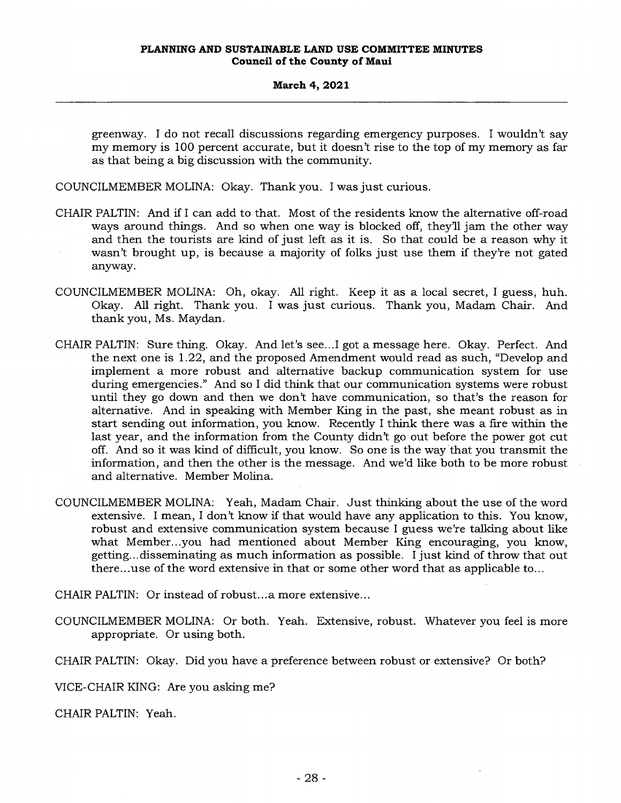greenway. I do not recall discussions regarding emergency purposes. I wouldn't say my memory is 100 percent accurate, but it doesn't rise to the top of my memory as far as that being a big discussion with the community.

COUNCILMEMBER MOLINA: Okay. Thank you. I was just curious.

- CHAIR PALTIN: And if I can add to that. Most of the residents know the alternative off-road ways around things. And so when one way is blocked off, they'll jam the other way and then the tourists are kind of just left as it is. So that could be a reason why it wasn't brought up, is because a majority of folks just use them if they're not gated anyway.
- COUNCILMEMBER MOLINA: Oh, okay. All right. Keep it as a local secret, I guess, huh. Okay. All right. Thank you. I was just curious. Thank you, Madam Chair. And thank you, Ms. Maydan.
- CHAIR PALTIN: Sure thing. Okay. And let's see...I got a message here. Okay. Perfect. And the next one is 1.22, and the proposed Amendment would read as such, "Develop and implement a more robust and alternative backup communication system for use during emergencies." And so I did think that our communication systems were robust until they go down and then we don't have communication, so that's the reason for alternative. And in speaking with Member King in the past, she meant robust as in start sending out information, you know. Recently I think there was a fire within the last year, and the information from the County didn't go out before the power got cut off. And so it was kind of difficult, you know. So one is the way that you transmit the information, and then the other is the message. And we'd like both to be more robust and alternative. Member Molina.
- COUNCILMEMBER MOLINA: Yeah, Madam Chair. Just thinking about the use of the word extensive. I mean, I don't know if that would have any application to this. You know, robust and extensive communication system because I guess we're talking about like what Member...you had mentioned about Member King encouraging, you know, getting...disseminating as much information as possible. I just kind of throw that out there...use of the word extensive in that or some other word that as applicable to...

CHAIR PALTIN: Or instead of robust...a more extensive...

- COUNCILMEMBER MOLINA: Or both. Yeah. Extensive, robust. Whatever you feel is more appropriate. Or using both.
- CHAIR PALTIN: Okay. Did you have a preference between robust or extensive? Or both?

VICE-CHAIR KING: Are you asking me?

CHAIR PALTIN: Yeah.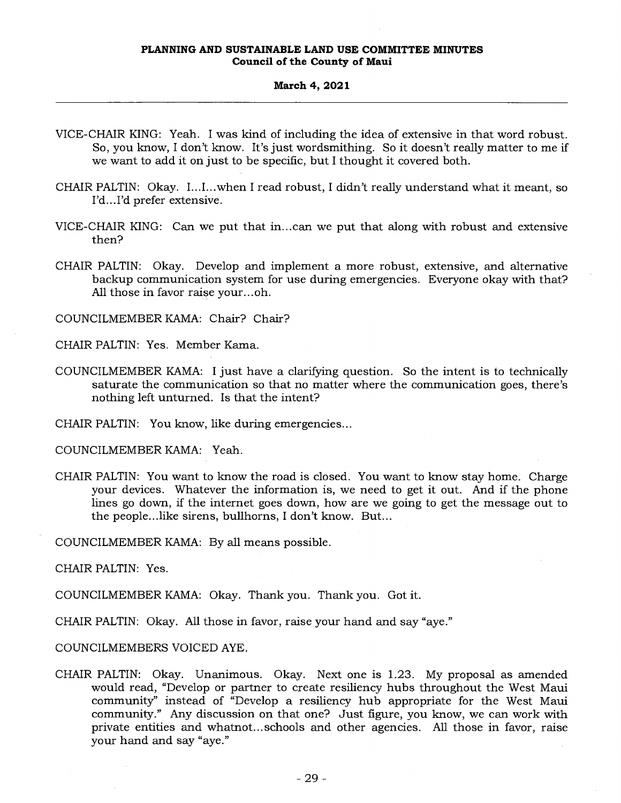#### **March 4, 2021**

- VICE-CHAIR KING: Yeah. I was kind of including the idea of extensive in that word robust. So, you know, I don't know. It's just wordsmithing. So it doesn't really matter to me if we want to add it on just to be specific, but I thought it covered both.
- CHAIR PALTIN: Okay. I...I...when I read robust, I didn't really understand what it meant, so I'd...I'd prefer extensive.
- VICE-CHAIR KING: Can we put that in...can we put that along with robust and extensive then?
- CHAIR PALTIN: Okay. Develop and implement a more robust, extensive, and alternative backup communication system for use during emergencies. Everyone okay with that? All those in favor raise your...oh.

COUNCILMEMBER KAMA: Chair? Chair?

CHAIR PALTIN: Yes. Member Kama.

- COUNCILMEMBER KAMA: I just have a clarifying question. So the intent is to technically saturate the communication so that no matter where the communication goes, there's nothing left unturned. Is that the intent?
- CHAIR PALTIN: You know, like during emergencies...

COUNCILMEMBER KAMA: Yeah.

CHAIR PALTIN: You want to know the road is closed. You want to know stay home. Charge your devices. Whatever the information is, we need to get it out. And if the phone lines go down, if the internet goes down, how are we going to get the message out to the people...like sirens, bullhorns, I don't know. But...

COUNCILMEMBER KAMA: By all means possible.

CHAIR PALTIN: Yes.

COUNCILMEMBER KAMA: Okay. Thank you. Thank you. Got it.

CHAIR PALTIN: Okay. All those in favor, raise your hand and say "aye."

COUNCILMEMBERS VOICED AYE.

CHAIR PALTIN: Okay. Unanimous. Okay. Next one is 1.23. My proposal as amended would read, "Develop or partner to create resiliency hubs throughout the West Maui community" instead of "Develop a resiliency hub appropriate for the West Maui community." Any discussion on that one? Just figure, you know, we can work with private entities and whatnot... schools and other agencies. All those in favor, raise your hand and say "aye."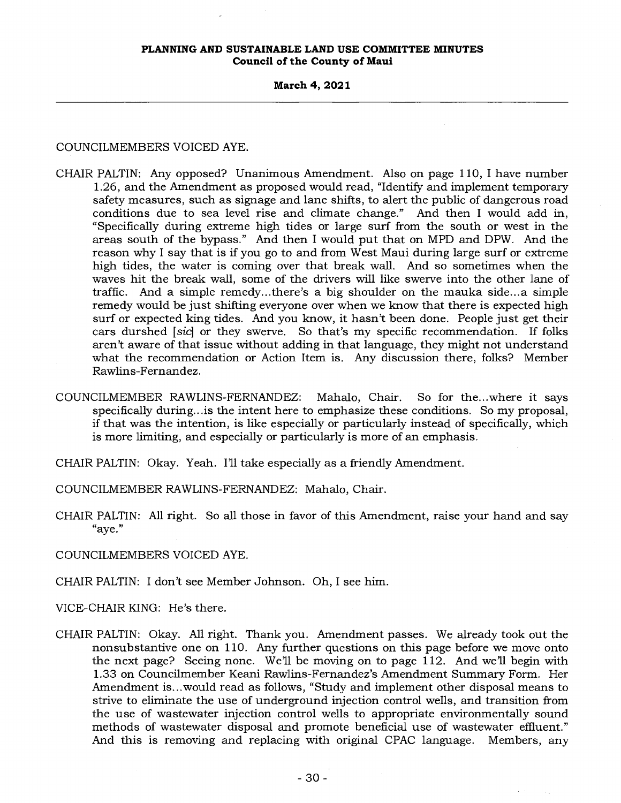**March 4, 2021** 

COUNCILMEMBERS VOICED AYE.

- CHAIR PALTIN: Any opposed? Unanimous Amendment. Also on page 110, I have number 1.26, and the Amendment as proposed would read, "Identify and implement temporary safety measures, such as signage and lane shifts, to alert the public of dangerous road conditions due to sea level rise and climate change." And then I would add in, "Specifically during extreme high tides or large surf from the south or west in the areas south of the bypass." And then I would put that on MPD and DPW. And the reason why I say that is if you go to and from West Maui during large surf or extreme high tides, the water is coming over that break wall. And so sometimes when the waves hit the break wall, some of the drivers will like swerve into the other lane of traffic. And a simple remedy...there's a big shoulder on the mauka side...a simple remedy would be just shifting everyone over when we know that there is expected high surf or expected king tides. And you know, it hasn't been done. People just get their cars durshed *[sic]* or they swerve. So that's my specific recommendation. If folks aren't aware of that issue without adding in that language, they might not understand what the recommendation or Action Item is. Any discussion there, folks? Member Rawlins-Fernandez.
- COUNCILMEMBER RAWLINS-FERNANDEZ: Mahalo, Chair. So for the...where it says specifically during...is the intent here to emphasize these conditions. So my proposal, if that was the intention, is like especially or particularly instead of specifically, which is more limiting, and especially or particularly is more of an emphasis.
- CHAIR PALTIN: Okay. Yeah. I'll take especially as a friendly Amendment.

COUNCILMEMBER RAWLINS-FERNANDEZ: Mahalo, Chair.

CHAIR PALTIN: All right. So all those in favor of this Amendment, raise your hand and say "aye."

COUNCILMEMBERS VOICED AYE.

CHAIR PALTIN: I don't see Member Johnson. Oh, I see him.

VICE-CHAIR KING: He's there.

CHAIR PALTIN: Okay. All right. Thank you. Amendment passes. We already took out the nonsubstantive one on 110. Any further questions on this page before we move onto the next page? Seeing none. We'll be moving on to page 112. And well begin with 1.33 on Councilmember Keani Rawlins-Fernandez's Amendment Summary Form. Her Amendment is...would read as follows, "Study and implement other disposal means to strive to eliminate the use of underground injection control wells, and transition from the use of wastewater injection control wells to appropriate environmentally sound methods of wastewater disposal and promote beneficial use of wastewater effluent." And this is removing and replacing with original CPAC language. Members, any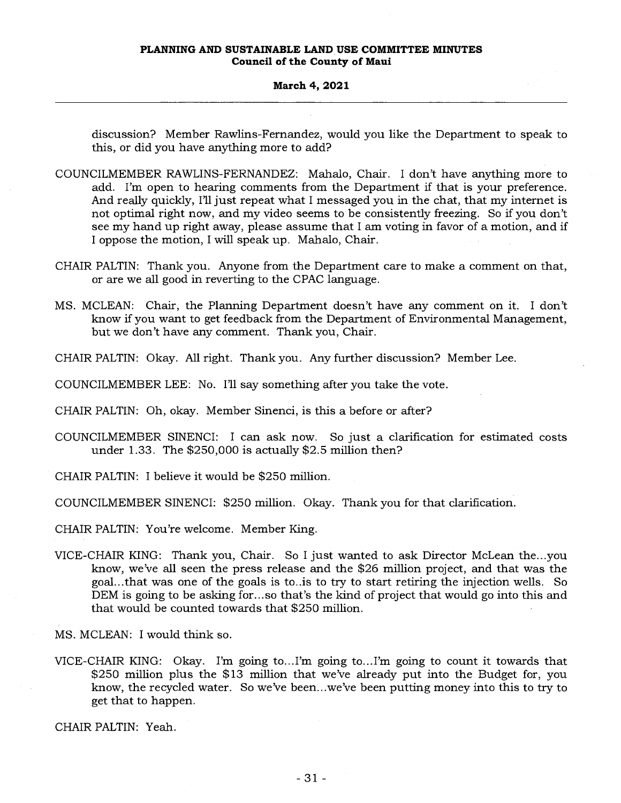#### **March 4, 2021**

discussion? Member Rawlins-Fernandez, would you like the Department to speak to this, or did you have anything more to add?

- COUNCILMEMBER RAWLINS-FERNANDEZ: Mahalo, Chair. I don't have anything more to add. I'm open to hearing comments from the Department if that is your preference. And really quickly, I'll just repeat what I messaged you in the chat, that my internet is not optimal right now, and my video seems to be consistently freezing. So if you don't see my hand up right away, please assume that I am voting in favor of a motion, and if I oppose the motion, I will speak up. Mahalo, Chair.
- CHAIR PALTIN: Thank you. Anyone from the Department care to make a comment on that, or are we all good in reverting to the CPAC language.
- MS. MCLEAN: Chair, the Planning Department doesn't have any comment on it. I don't know if you want to get feedback from the Department of Environmental Management, but we don't have any comment. Thank you, Chair.
- CHAIR PALTIN: Okay. All right. Thank you. Any further discussion? Member Lee.

COUNCILMEMBER LEE: No. I'll say something after you take the vote.

- CHAIR PALTIN: Oh, okay. Member Sinenci, is this a before or after?
- COUNCILMEMBER SINENCI: I can ask now. So just a clarification for estimated costs under 1.33. The \$250,000 is actually \$2.5 million then?
- CHAIR PALTIN: I believe it would be \$250 million.
- COUNCILMEMBER SINENCI: \$250 million. Okay. Thank you for that clarification.
- CHAIR PALTIN: You're welcome. Member King.
- VICE-CHAIR KING: Thank you, Chair. So I just wanted to ask Director McLean the...you know, we've all seen the press release and the \$26 million project, and that was the goal...that was one of the goals is to..is to try to start retiring the injection wells. So DEM is going to be asking for...so that's the kind of project that would go into this and that would be counted towards that \$250 million.

MS. MCLEAN: I would think so.

VICE-CHAIR KING: Okay. I'm going to...I'm going to...I'm going to count it towards that \$250 million plus the \$13 million that we've already put into the Budget for, you know, the recycled water. So we've been...we've been putting money into this to try to get that to happen.

CHAIR PALTIN: Yeah.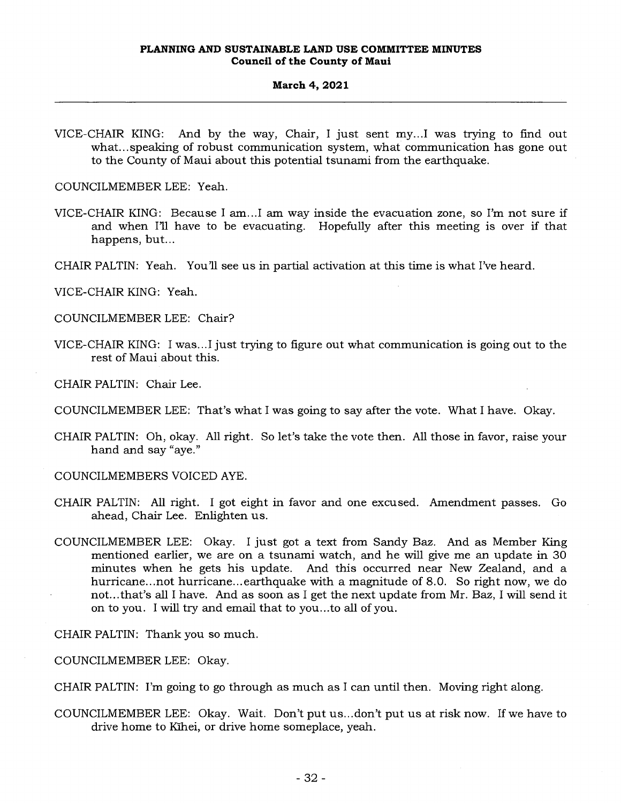VICE-CHAIR KING: And by the way, Chair, I just sent my...I was trying to find out what... speaking of robust communication system, what communication has gone out to the County of Maui about this potential tsunami from the earthquake.

COUNCILMEMBER LEE: Yeah.

- VICE-CHAIR KING: Because I am...I am way inside the evacuation zone, so I'm not sure if and when I'll have to be evacuating. Hopefully after this meeting is over if that happens, but...
- CHAIR PALTIN: Yeah. You'll see us in partial activation at this time is what I've heard.

VICE-CHAIR KING: Yeah.

COUNCILMEMBER LEE: Chair?

VICE-CHAIR KING: I was...I just trying to figure out what communication is going out to the rest of Maui about this.

CHAIR PALTIN: Chair Lee.

CHAIR PALTIN: Oh, okay. All right. So let's take the vote then. All those in favor, raise your hand and say "aye."

COUNCILMEMBERS VOICED AYE.

- CHAIR PALTIN: All right. I got eight in favor and one excused. Amendment passes. Go ahead, Chair Lee. Enlighten us.
- COUNCILMEMBER LEE: Okay. I just got a text from Sandy Baz. And as Member King mentioned earlier, we are on a tsunami watch, and he will give me an update in 30 minutes when he gets his update. And this occurred near New Zealand, and a hurricane...not hurricane...earthquake with a magnitude of 8.0. So right now, we do not...that's all I have. And as soon as I get the next update from Mr. Baz, I will send it on to you. I will try and email that to you...to all of you.

CHAIR PALTIN: Thank you so much.

COUNCILMEMBER LEE: Okay.

CHAIR PALTIN: I'm going to go through as much as I can until then. Moving right along.

COUNCILMEMBER LEE: Okay. Wait. Don't put us...don't put us at risk now. If we have to drive home to Kihei, or drive home someplace, yeah.

COUNCILMEMBER LEE: That's what I was going to say after the vote. What I have. Okay.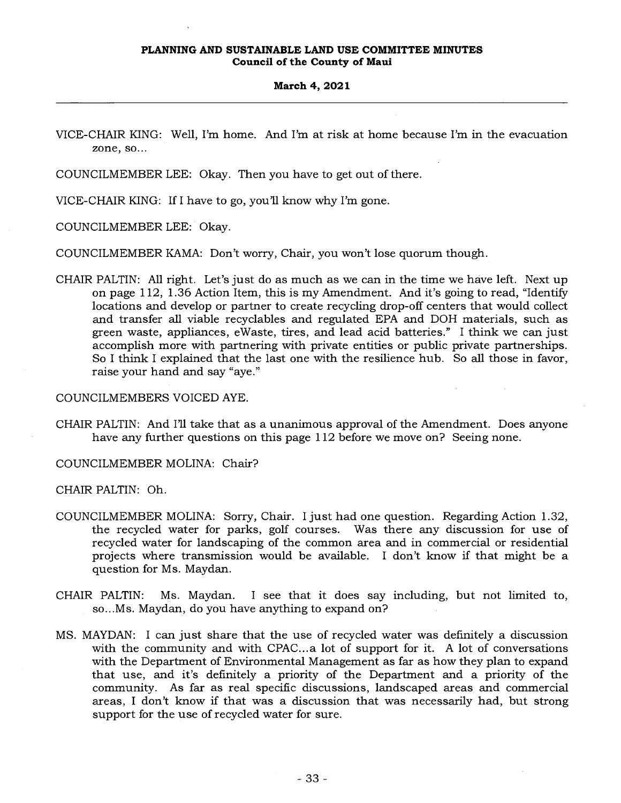#### **March 4, 2021**

VICE-CHAIR KING: Well, I'm home. And I'm at risk at home because I'm in the evacuation zone, so...

COUNCILMEMBER LEE: Okay. Then you have to get out of there.

VICE-CHAIR KING: If I have to go, you'll know why I'm gone.

COUNCILMEMBER LEE: Okay.

COUNCILMEMBER KAMA: Don't worry, Chair, you won't lose quorum though.

CHAIR PALTIN: All right. Let's just do as much as we can in the time we have left. Next up on page 112, 1.36 Action Item, this is my Amendment. And it's going to read, "Identify locations and develop or partner to create recycling drop-off centers that would collect and transfer all viable recyclables and regulated EPA and DOH materials, such as green waste, appliances, eWaste, tires, and lead acid batteries." I think we can just accomplish more with partnering with private entities or public private partnerships. So I think I explained that the last one with the resilience hub. So all those in favor, raise your hand and say "aye."

COUNCILMEMBERS VOICED AYE.

CHAIR PALTIN: And I'll take that as a unanimous approval of the Amendment. Does anyone have any further questions on this page 112 before we move on? Seeing none.

COUNCILMEMBER MOLINA: Chair?

CHAIR PALTIN: Oh.

- COUNCILMEMBER MOLINA: Sorry, Chair. I just had one question. Regarding Action 1.32, the recycled water for parks, golf courses. Was there any discussion for use of recycled water for landscaping of the common area and in commercial or residential projects where transmission would be available. I don't know if that might be a question for Ms. Maydan.
- CHAIR PALTIN: Ms. Maydan. I see that it does say including, but not limited to, so...Ms. Maydan, do you have anything to expand on?
- MS. MAYDAN: I can just share that the use of recycled water was definitely a discussion with the community and with CPAC...a lot of support for it. A lot of conversations with the Department of Environmental Management as far as how they plan to expand that use, and it's definitely a priority of the Department and a priority of the community. As far as real specific discussions, landscaped areas and commercial areas, I don't know if that was a discussion that was necessarily had, but strong support for the use of recycled water for sure.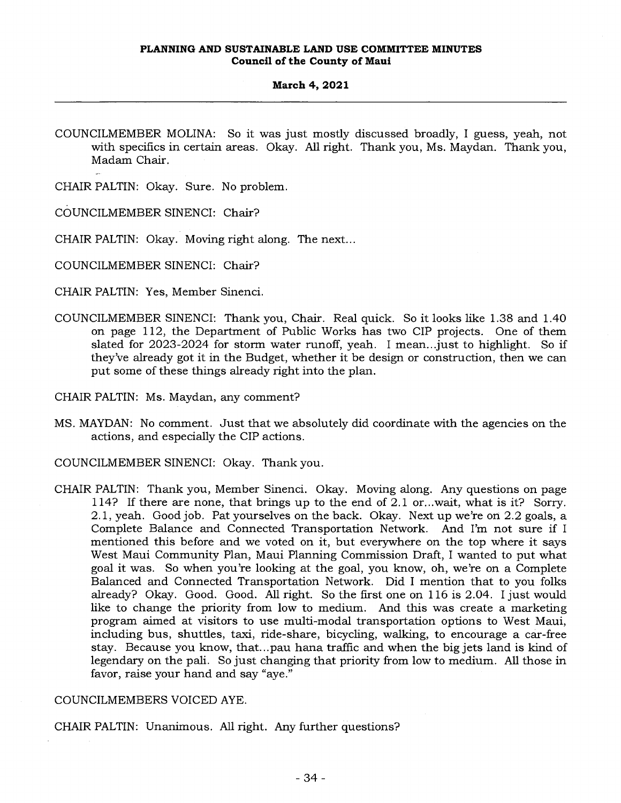COUNCILMEMBER MOLINA: So it was just mostly discussed broadly, I guess, yeah, not with specifics in certain areas. Okay. All right. Thank you, Ms. Maydan. Thank you, Madam Chair.

CHAIR PALTIN: Okay. Sure. No problem.

COUNCILMEMBER SINENCI: Chair?

CHAIR PALTIN: Okay. Moving right along. The next...

COUNCILMEMBER SINENCI: Chair?

- CHAIR PALTIN: Yes, Member Sinenci.
- COUNCILMEMBER SINENCI: Thank you, Chair. Real quick. So it looks like 1.38 and 1.40 on page 112, the Department of Public Works has two CIP projects. One of them slated for 2023-2024 for storm water runoff, yeah. I mean...just to highlight. So if they've already got it in the Budget, whether it be design or construction, then we can put some of these things already right into the plan.
- CHAIR PALTIN: Ms. Maydan, any comment?
- MS. MAYDAN: No comment. Just that we absolutely did coordinate with the agencies on the actions, and especially the CIP actions.
- COUNCILMEMBER SINENCI: Okay. Thank you.
- CHAIR PALTIN: Thank you, Member Sinenci. Okay. Moving along. Any questions on page 114? If there are none, that brings up to the end of 2.1 or...wait, what is it? Sorry. 2.1, yeah. Good job. Pat yourselves on the back. Okay. Next up we're on 2.2 goals, a Complete Balance and Connected Transportation Network. And I'm not sure if I mentioned this before and we voted on it, but everywhere on the top where it says West Maui Community Plan, Maui Planning Commission Draft, I wanted to put what goal it was. So when you're looking at the goal, you know, oh, we're on a Complete Balanced and Connected Transportation Network. Did I mention that to you folks already? Okay. Good. Good. All right. So the first one on 116 is 2.04. I just would like to change the priority from low to medium. And this was create a marketing program aimed at visitors to use multi-modal transportation options to West Maui, including bus, shuttles, taxi, ride-share, bicycling, walking, to encourage a car-free stay. Because you know, that...pau hana traffic and when the big jets land is kind of legendary on the pali. So just changing that priority from low to medium. All those in favor, raise your hand and say "aye."

## COUNCILMEMBERS VOICED AYE.

CHAIR PALTIN: Unanimous. All right. Any further questions?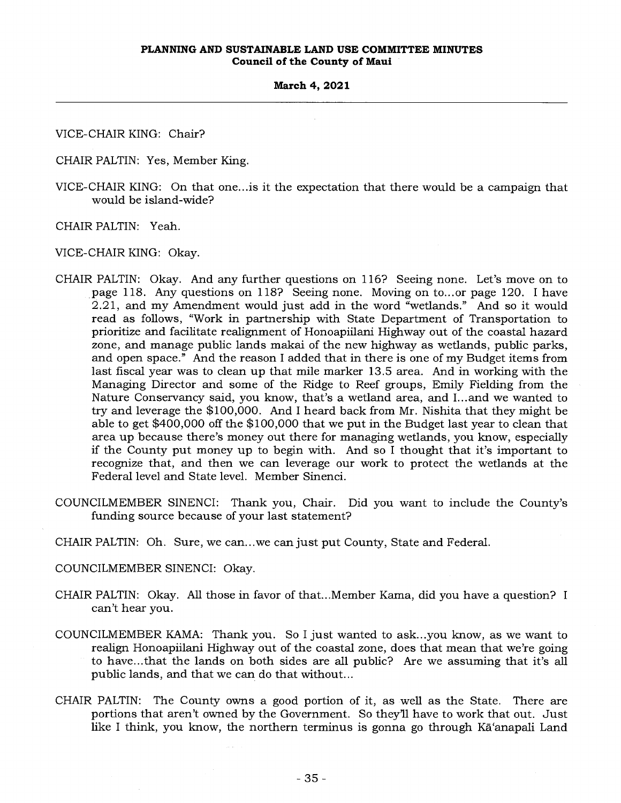VICE-CHAIR KING: Chair?

CHAIR PALTIN: Yes, Member King.

VICE-CHAIR KING: On that one...is it the expectation that there would be a campaign that would be island-wide?

CHAIR PALTIN: Yeah.

VICE-CHAIR KING: Okay.

- CHAIR PALTIN: Okay. And any further questions on 116? Seeing none. Let's move on to page 118. Any questions on 118? Seeing none. Moving on to...or page 120. I have 2.21, and my Amendment would just add in the word "wetlands." And so it would read as follows, "Work in partnership with State Department of Transportation to prioritize and facilitate realignment of Honoapiilani Highway out of the coastal hazard zone, and manage public lands makai of the new highway as wetlands, public parks, and open space." And the reason I added that in there is one of my Budget items from last fiscal year was to clean up that mile marker 13.5 area. And in working with the Managing Director and some of the Ridge to Reef groups, Emily Fielding from the Nature Conservancy said, you know, that's a wetland area, and I... and we wanted to try and leverage the \$100,000. And I heard back from Mr. Nishita that they might be able to get \$400,000 off the \$100,000 that we put in the Budget last year to clean that area up because there's money out there for managing wetlands, you know, especially if the County put money up to begin with. And so I thought that it's important to recognize that, and then we can leverage our work to protect the wetlands at the Federal level and State level. Member Sinenci.
- COUNCILMEMBER SINENCI: Thank you, Chair. Did you want to include the County's funding source because of your last statement?
- CHAIR PALTIN: Oh. Sure, we can...we can just put County, State and Federal.
- COUNCILMEMBER SINENCI: Okay.
- CHAIR PALTIN: Okay. All those in favor of that...Member Kama, did you have a question? I can't hear you.
- COUNCILMEMBER KAMA: Thank you. So I just wanted to ask...you know, as we want to realign Honoapiilani Highway out of the coastal zone, does that mean that we're going to have...that the lands on both sides are all public? Are we assuming that it's all public lands, and that we can do that without...
- CHAIR PALTIN: The County owns a good portion of it, as well as the State. There are portions that aren't owned by the Government. So they'll have to work that out. Just like I think, you know, the northern terminus is gonna go through Ka'anapali Land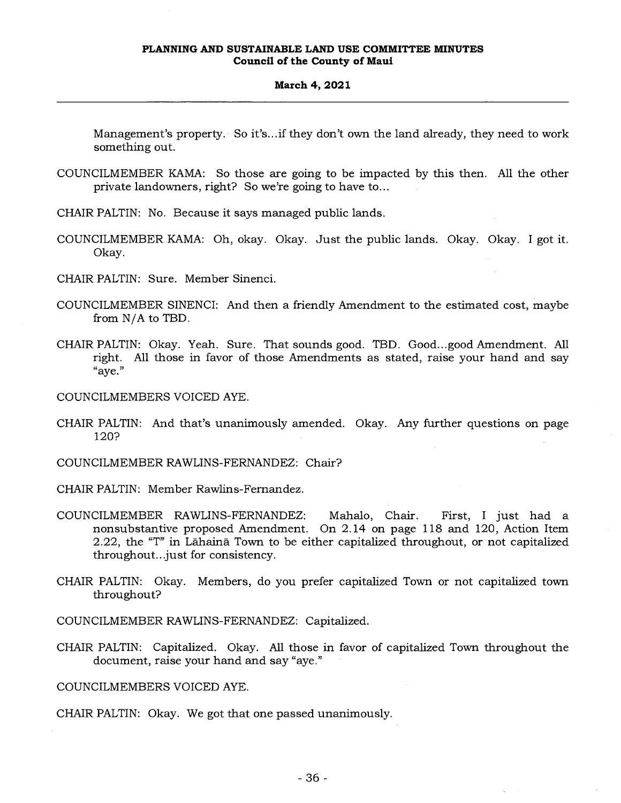#### **March 4, 2021**

Management's property. So it's...if they don't own the land already, they need to work something out.

COUNCILMEMBER KAMA: So those are going to be impacted by this then. All the other private landowners, right? So we're going to have to...

CHAIR PALTIN: No. Because it says managed public lands.

- COUNCILMEMBER KAMA: Oh, okay. Okay. Just the public lands. Okay. Okay. I got it. Okay.
- CHAIR PALTIN: Sure. Member Sinenci.
- COUNCILMEMBER SINENCI: And then a friendly Amendment to the estimated cost, maybe from N/A to TBD.
- CHAIR PALTIN: Okay. Yeah. Sure. That sounds good. TBD. Good...good Amendment. All right. All those in favor of those Amendments as stated, raise your hand and say "aye."

COUNCILMEMBERS VOICED AYE.

CHAIR PALTIN: And that's unanimously amended. Okay. Any further questions on page 120?

COUNCILMEMBER RAWLINS-FERNANDEZ: Chair?

CHAIR PALTIN: Member Rawlins-Fernandez.

- COUNCILMEMBER RAWLINS-FERNANDEZ: Mahalo, Chair. First, I just had a nonsubstantive proposed Amendment. On 2.14 on page 118 and 120, Action Item 2.22, the "T" in Lahaina. Town to be either capitalized throughout, or not capitalized throughout...just for consistency.
- CHAIR PALTIN: Okay. Members, do you prefer capitalized Town or not capitalized town throughout?

COUNCILMEMBER RAWLINS-FERNANDEZ: Capitalized.

CHAIR PALTIN: Capitalized. Okay. All those in favor of capitalized Town throughout the document, raise your hand and say "aye."

COUNCILMEMBERS VOICED AYE.

CHAIR PALTIN: Okay. We got that one passed unanimously.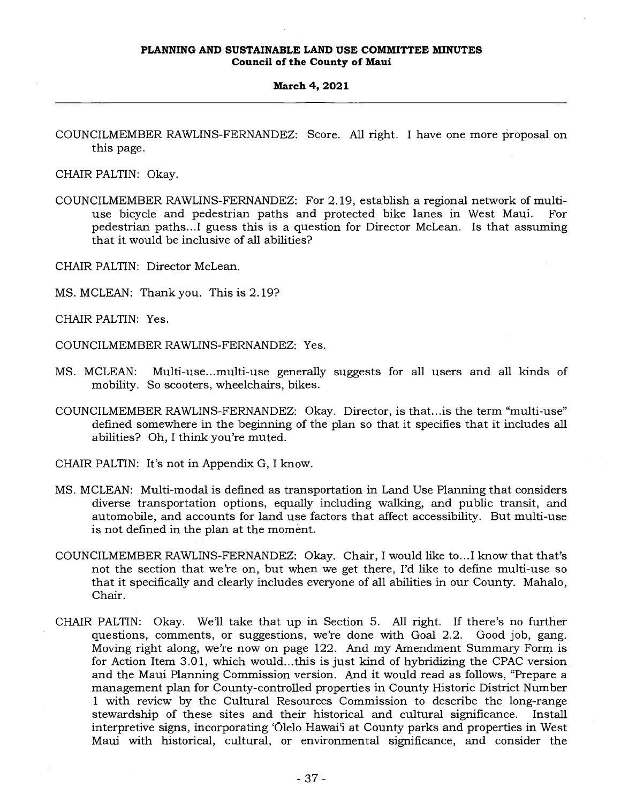#### **March 4, 2021**

COUNCILMEMBER RAWLINS-FERNANDEZ: Score. All right. I have one more proposal on this page.

CHAIR PALTIN: Okay.

- COUNCILMEMBER RAWLINS-FERNANDEZ: For 2.19, establish a regional network of multiuse bicycle and pedestrian paths and protected bike lanes in West Maui. For pedestrian paths...I guess this is a question for Director McLean. Is that assuming that it would be inclusive of all abilities?
- CHAIR PALTIN: Director McLean.
- MS. MCLEAN: Thank you. This is 2.19?

CHAIR PALTIN: Yes.

COUNCILMEMBER RAWLINS-FERNANDEZ: Yes.

- MS. MCLEAN: Multi-use...multi-use generally suggests for all users and all kinds of mobility. So scooters, wheelchairs, bikes.
- COUNCILMEMBER RAWLINS-FERNANDEZ: Okay. Director, is that...is the term "multi-use" defined somewhere in the beginning of the plan so that it specifies that it includes all abilities? Oh, I think you're muted.
- CHAIR PALTIN: It's not in Appendix G, I know.
- MS. MCLEAN: Multi-modal is defined as transportation in Land Use Planning that considers diverse transportation options, equally including walking, and public transit, and automobile, and accounts for land use factors that affect accessibility. But multi-use is not defined in the plan at the moment.
- COUNCILMEMBER RAWLINS-FERNANDEZ: Okay. Chair, I would like to...I know that that's not the section that we're on, but when we get there, I'd like to define multi-use so that it specifically and clearly includes everyone of all abilities in our County. Mahalo, Chair.
- CHAIR PALTIN: Okay. We'll take that up in Section 5. All right. If there's no further questions, comments, or suggestions, we're done with Goal 2.2. Good job, gang. Moving right along, we're now on page 122. And my Amendment Summary Form is for Action Item 3.01, which would...this is just kind of hybridizing the CPAC version and the Maui Planning Commission version. And it would read as follows, "Prepare a management plan for County-controlled properties in County Historic District Number 1 with review by the Cultural Resources Commission to describe the long-range stewardship of these sites and their historical and cultural significance. Install interpretive signs, incorporating 'Olelo Hawai'i at County parks and properties in West Maui with historical, cultural, or environmental significance, and consider the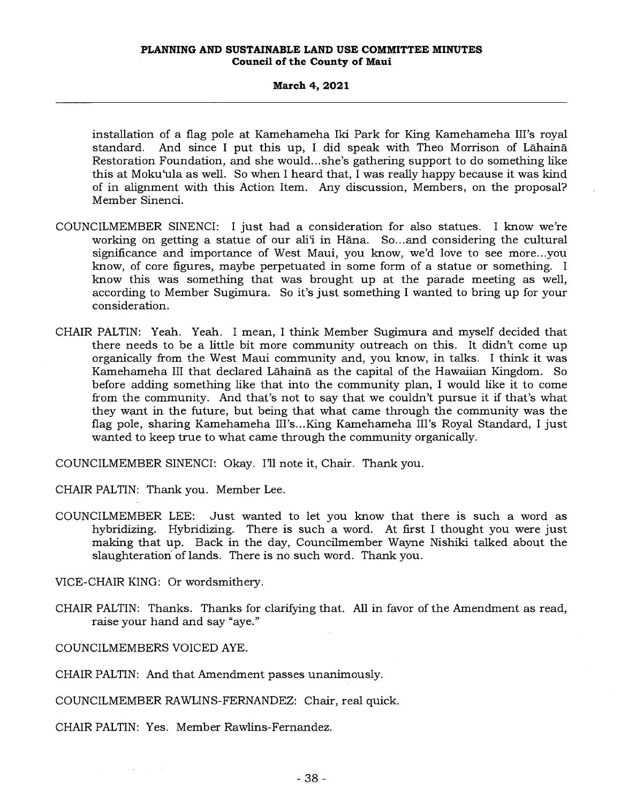installation of a flag pole at Kamehameha Iki Park for King Kamehameha III's royal standard. And since I put this up, I did speak with Theo Morrison of Lahaina Restoration Foundation, and she would... she's gathering support to do something like this at Moku'ula as well. So when I heard that, I was really happy because it was kind of in alignment with this Action Item. Any discussion, Members, on the proposal? Member Sinenci.

- COUNCILMEMBER SINENCI: I just had a consideration for also statues. I know we're working on getting a statue of our ali'i in Hāna. So...and considering the cultural significance and importance of West Maui, you know, we'd love to see more...you know, of core figures, maybe perpetuated in some form of a statue or something. I know this was something that was brought up at the parade meeting as well, according to Member Sugimura. So it's just something I wanted to bring up for your consideration.
- CHAIR PALTIN: Yeah. Yeah. I mean, I think Member Sugimura and myself decided that there needs to be a little bit more community outreach on this. It didn't come up organically from the West Maui community and, you know, in talks. I think it was Kamehameha III that declared Lahaina as the capital of the Hawaiian Kingdom. So before adding something like that into the community plan, I would like it to come from the community. And that's not to say that we couldn't pursue it if that's what they want in the future, but being that what came through the community was the flag pole, sharing Kamehameha III's...King Kamehameha III's Royal Standard, I just wanted to keep true to what came through the community organically.

COUNCILMEMBER SINENCI: Okay. I'll note it, Chair. Thank you.

CHAIR PALTIN: Thank you. Member Lee.

COUNCILMEMBER LEE: Just wanted to let you know that there is such a word as hybridizing. Hybridizing. There is such a word. At first I thought you were just making that up. Back in the day, Councilmember Wayne Nishiki talked about the slaughteration of lands. There is no such word. Thank you.

VICE-CHAIR KING: Or wordsmithery.

CHAIR PALTIN: Thanks. Thanks for clarifying that. All in favor of the Amendment as read, raise your hand and say "aye."

COUNCILMEMBERS VOICED AYE.

 $\Delta \omega$  , and  $\Delta \omega$ 

CHAIR PALTIN: And that Amendment passes unanimously.

COUNCILMEMBER RAWLINS-FERNANDEZ: Chair, real quick.

CHAIR PALTIN: Yes. Member Rawlins-Fernandez.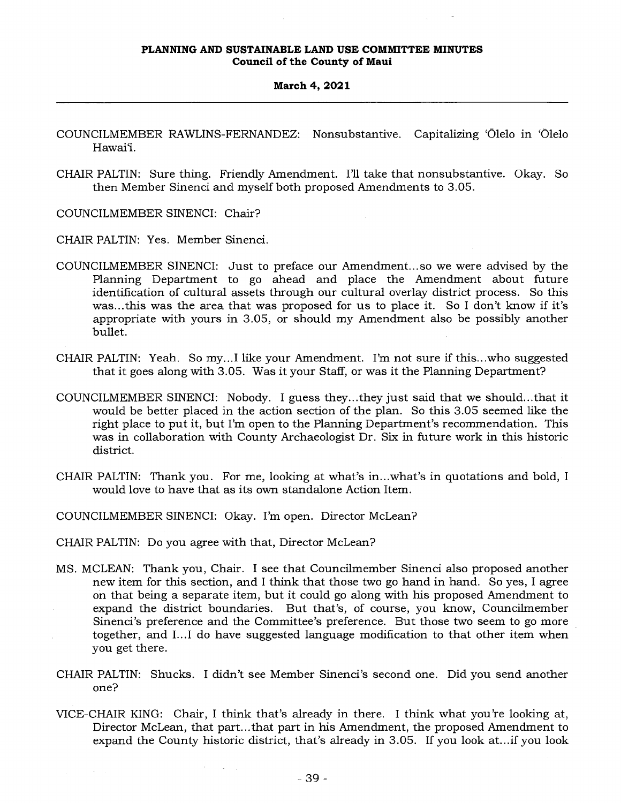#### **March 4, 2021**

- COUNCILMEMBER RAWLINS-FERNANDEZ: Nonsubstantive. Capitalizing 'Ōlelo in 'Ōlelo Hawai'i.
- CHAIR PALTIN: Sure thing. Friendly Amendment. I'll take that nonsubstantive. Okay. So then Member Sinenci and myself both proposed Amendments to 3.05.

COUNCILMEMBER SINENCI: Chair?

CHAIR PALTIN: Yes. Member Sinenci.

- COUNCILMEMBER SINENCI: Just to preface our Amendment... so we were advised by the Planning Department to go ahead and place the Amendment about future identification of cultural assets through our cultural overlay district process. So this was...this was the area that was proposed for us to place it. So I don't know if it's appropriate with yours in 3.05, or should my Amendment also be possibly another bullet.
- CHAIR PALTIN: Yeah. So my...I like your Amendment. I'm not sure if this...who suggested that it goes along with 3.05. Was it your Staff, or was it the Planning Department?
- COUNCILMEMBER SINENCI: Nobody. I guess they...they just said that we should...that it would be better placed in the action section of the plan. So this 3.05 seemed like the right place to put it, but I'm open to the Planning Department's recommendation. This was in collaboration with County Archaeologist Dr. Six in future work in this historic district.
- CHAIR PALTIN: Thank you. For me, looking at what's in...what's in quotations and bold, I would love to have that as its own standalone Action Item.
- COUNCILMEMBER SINENCI: Okay. I'm open. Director McLean?
- CHAIR PALTIN: Do you agree with that, Director McLean?
- MS. MCLEAN: Thank you, Chair. I see that Councilmember Sinenci also proposed another new item for this section, and I think that those two go hand in hand. So yes, I agree on that being a separate item, but it could go along with his proposed Amendment to expand the district boundaries. But that's, of course, you know, Councilmember Sinenci's preference and the Committee's preference. But those two seem to go more together, and I...I do have suggested language modification to that other item when you get there.
- CHAIR PALTIN: Shucks. I didn't see Member Sinenci's second one. Did you send another one?
- VICE-CHAIR KING: Chair, I think that's already in there. I think what you're looking at, Director McLean, that part...that part in his Amendment, the proposed Amendment to expand the County historic district, that's already in 3.05. If you look at...if you look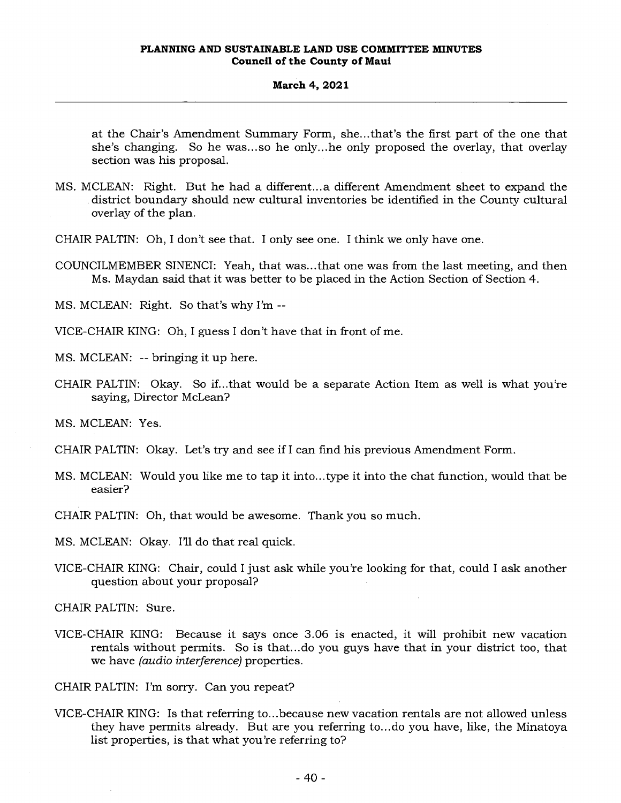at the Chair's Amendment Summary Form, she...that's the first part of the one that she's changing. So he was...so he only...he only proposed the overlay, that overlay section was his proposal.

- MS. MCLEAN: Right. But he had a different...a different Amendment sheet to expand the district boundary should new cultural inventories be identified in the County cultural overlay of the plan.
- CHAIR PALTIN: Oh, I don't see that. I only see one. I think we only have one.
- COUNCILMEMBER SINENCI: Yeah, that was...that one was from the last meeting, and then Ms. Maydan said that it was better to be placed in the Action Section of Section 4.

MS. MCLEAN: Right. So that's why I'm --

VICE-CHAIR KING: Oh, I guess I don't have that in front of me.

MS. MCLEAN: -- bringing it up here.

CHAIR PALTIN: Okay. So if...that would be a separate Action Item as well is what you're saying, Director McLean?

MS. MCLEAN: Yes.

- CHAIR PALTIN: Okay. Let's try and see if I can find his previous Amendment Form.
- MS. MCLEAN: Would you like me to tap it into...type it into the chat function, would that be easier?

CHAIR PALTIN: Oh, that would be awesome. Thank you so much.

MS. MCLEAN: Okay. I'll do that real quick.

VICE-CHAIR KING: Chair, could I just ask while you're looking for that, could I ask another question about your proposal?

CHAIR PALTIN: Sure.

VICE-CHAIR KING: Because it says once 3.06 is enacted, it will prohibit new vacation rentals without permits. So is that...do you guys have that in your district too, that we have *(audio interference)* properties.

CHAIR PALTIN: I'm sorry. Can you repeat?

VICE-CHAIR KING: Is that referring to...because new vacation rentals are not allowed unless they have permits already. But are you referring to... do you have, like, the Minatoya list properties, is that what you're referring to?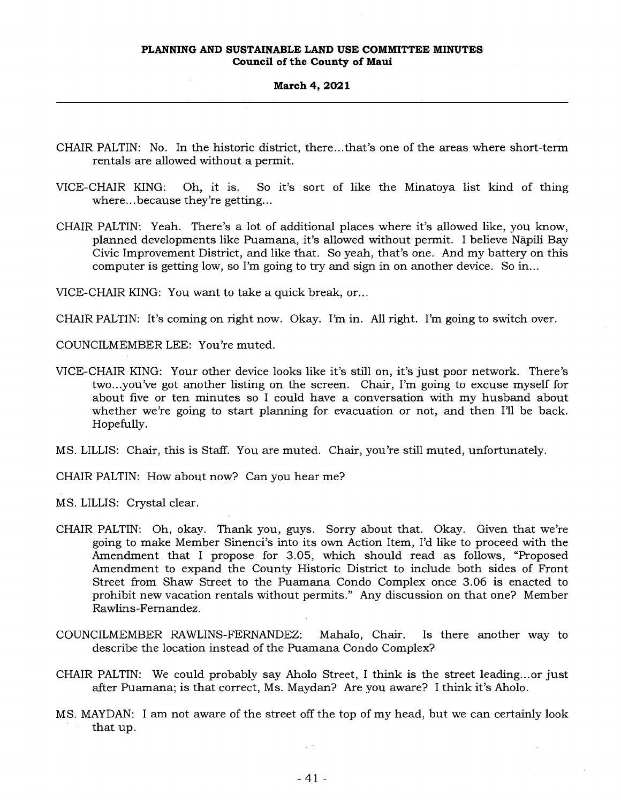#### **March 4, 2021**

- CHAIR PALTIN: No. In the historic district, there...that's one of the areas where short-term rentals are allowed without a permit.
- VICE-CHAIR KING: Oh, it is. So it's sort of like the Minatoya list kind of thing where...because they're getting...
- CHAIR PALTIN: Yeah. There's a lot of additional places where it's allowed like, you know, planned developments like Puamana, it's allowed without permit. I believe Napili Bay Civic Improvement District, and like that. So yeah, that's one. And my battery on this computer is getting low, so I'm going to try and sign in on another device. So in...

VICE-CHAIR KING: You want to take a quick break, or...

CHAIR PALTIN: It's coming on right now. Okay. I'm in. All right. I'm going to switch over.

COUNCILMEMBER LEE: You're muted.

- VICE-CHAIR KING: Your other device looks like it's still on, it's just poor network. There's two...you've got another listing on the screen. Chair, I'm going to excuse myself for about five or ten minutes so I could have a conversation with my husband about whether we're going to start planning for evacuation or not, and then I'll be back. Hopefully.
- MS. LILLIS: Chair, this is Staff. You are muted. Chair, you're still muted, unfortunately.
- CHAIR PALTIN: How about now? Can you hear me?
- MS. LILLIS: Crystal clear.
- CHAIR PALTIN: Oh, okay. Thank you, guys. Sorry about that. Okay. Given that we're going to make Member Sinenci's into its own Action Item, I'd like to proceed with the Amendment that I propose for 3.05, which should read as follows, "Proposed Amendment to expand the County Historic District to include both sides of Front Street from Shaw Street to the Puamana Condo Complex once 3.06 is enacted to prohibit new vacation rentals without permits." Any discussion on that one? Member Rawlins-Fernandez.
- COUNCILMEMBER RAWLINS-FERNANDEZ: Mahalo, Chair. Is there another way to describe the location instead of the Puamana Condo Complex?
- CHAIR PALTIN: We could probably say Aholo Street, I think is the street leading...or just after Puamana; is that correct, Ms. Maydan? Are you aware? I think it's Aholo.
- MS. MAYDAN: I am not aware of the street off the top of my head, but we can certainly look that up.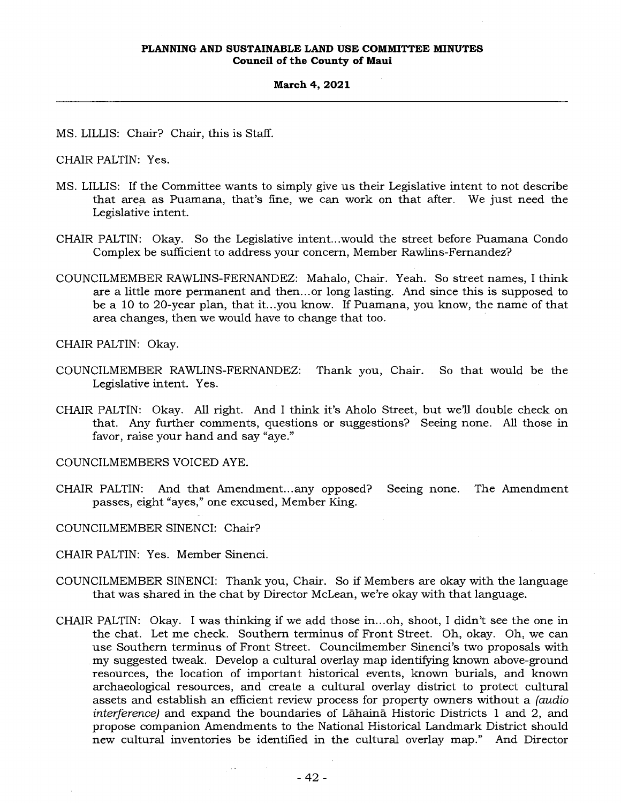**March 4, 2021** 

MS. LILLIS: Chair? Chair, this is Staff.

CHAIR PALTIN: Yes.

- MS. LILLIS: If the Committee wants to simply give us their Legislative intent to not describe that area as Puamana, that's fine, we can work on that after. We just need the Legislative intent.
- CHAIR PALTIN: Okay. So the Legislative intent...would the street before Puamana Condo Complex be sufficient to address your concern, Member Rawlins-Fernandez?
- COUNCILMEMBER RAWLINS-FERNANDEZ: Mahalo, Chair. Yeah. So street names, I think are a little more permanent and then... or long lasting. And since this is supposed to be a 10 to 20-year plan, that it...you know. If Puamana, you know, the name of that area changes, then we would have to change that too.

CHAIR PALTIN: Okay.

- COUNCILMEMBER RAWLINS-FERNANDEZ: Thank you, Chair. So that would be the Legislative intent. Yes.
- CHAIR PALTIN: Okay. All right. And I think it's Aholo Street, but we'll double check on that. Any further comments, questions or suggestions? Seeing none. All those in favor, raise your hand and say "aye."

COUNCILMEMBERS VOICED AYE.

CHAIR PALTIN: And that Amendment... any opposed? Seeing none. The Amendment passes, eight "ayes," one excused, Member King.

COUNCILMEMBER SINENCI: Chair?

CHAIR PALTIN: Yes. Member Sinenci.

- COUNCILMEMBER SINENCI: Thank you, Chair. So if Members are okay with the language that was shared in the chat by Director McLean, we're okay with that language.
- CHAIR PALTIN: Okay. I was thinking if we add those in...oh, shoot, I didn't see the one in the chat. Let me check. Southern terminus of Front Street. Oh, okay. Oh, we can use Southern terminus of Front Street. Councilmember Sinenci's two proposals with my suggested tweak. Develop a cultural overlay map identifying known above-ground resources, the location of important historical events, known burials, and known archaeological resources, and create a cultural overlay district to protect cultural assets and establish an efficient review process for property owners without a *(audio interference)* and expand the boundaries of Lahaina Historic Districts 1 and 2, and propose companion Amendments to the National Historical Landmark District should new cultural inventories be identified in the cultural overlay map." And Director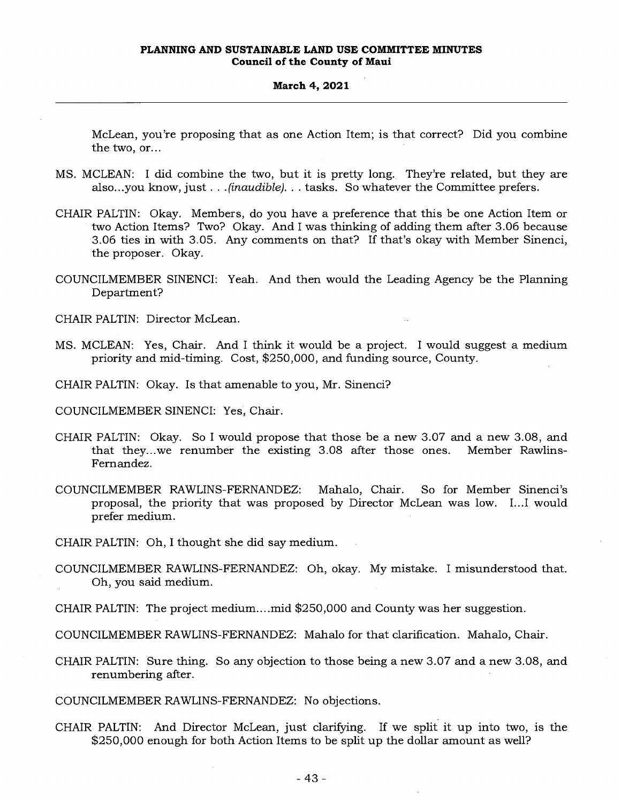McLean, you're proposing that as one Action Item; is that correct? Did you combine the two, or...

- MS. MCLEAN: I did combine the two, but it is pretty long. They're related, but they are also...you know, just . . . *(inaudible). . .* tasks. So whatever the Committee prefers.
- CHAIR PALTIN: Okay. Members, do you have a preference that this be one Action Item or two Action Items? Two? Okay. And I was thinking of adding them after 3.06 because 3.06 ties in with 3.05. Any comments on that? If that's okay with Member Sinenci, the proposer. Okay.
- COUNCILMEMBER SINENCI: Yeah. And then would the Leading Agency be the Planning Department?

CHAIR PALTIN: Director McLean.

MS. MCLEAN: Yes, Chair. And I think it would be a project. I would suggest a medium priority and mid-timing. Cost, \$250,000, and funding source, County.

CHAIR PALTIN: Okay. Is that amenable to you, Mr. Sinenci?

COUNCILMEMBER SINENCI: Yes, Chair.

- CHAIR PALTIN: Okay. So I would propose that those be a new 3.07 and a new 3.08, and that they...we renumber the existing 3.08 after those ones. Member Rawlins-Fernandez.
- COUNCILMEMBER RAWLINS-FERNANDEZ: Mahalo, Chair. So for Member Sinenci's proposal, the priority that was proposed by Director McLean was low. I...I would prefer medium.

CHAIR PALTIN: Oh, I thought she did say medium.

COUNCILMEMBER RAWLINS-FERNANDEZ: Oh, okay. My mistake. I misunderstood that. Oh, you said medium.

CHAIR PALTIN: The project medium....mid \$250,000 and County was her suggestion.

COUNCILMEMBER RAWLINS-FERNANDEZ: Mahalo for that clarification. Mahalo, Chair.

CHAIR PALTIN: Sure thing. So any objection to those being a new 3.07 and a new 3.08, and renumbering after.

COUNCILMEMBER RAWLINS-FERNANDEZ: No objections.

CHAIR PALTIN: And Director McLean, just clarifying. If we split it up into two, is the \$250,000 enough for both Action Items to be split up the dollar amount as well?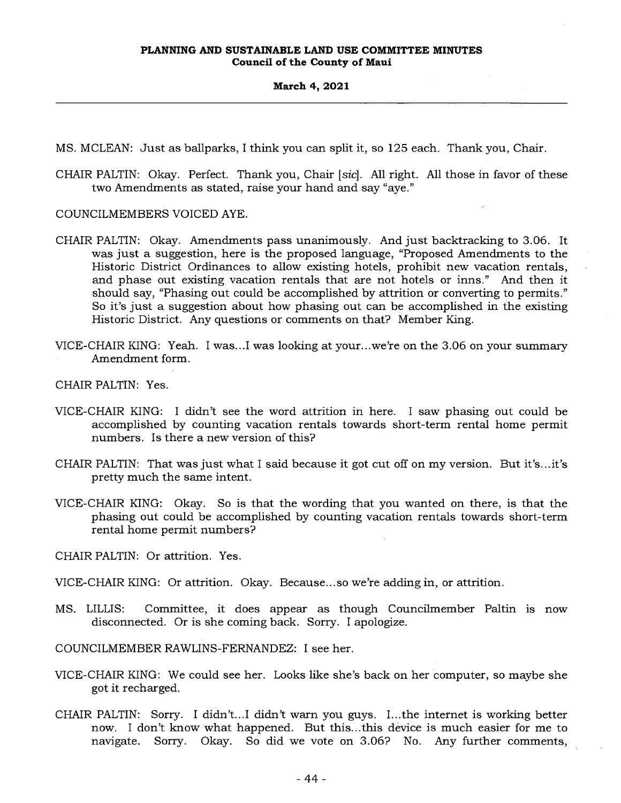MS. MCLEAN: Just as ballparks, I think you can split it, so 125 each. Thank you, Chair.

CHAIR PALTIN: Okay. Perfect. Thank you, Chair *[sic].* All right. All those in favor of these two Amendments as stated, raise your hand and say "aye."

COUNCILMEMBERS VOICED AYE.

- CHAIR PALTIN: Okay. Amendments pass unanimously. And just backtracking to 3.06. It was just a suggestion, here is the proposed language, "Proposed Amendments to the Historic District Ordinances to allow existing hotels, prohibit new vacation rentals, and phase out existing vacation rentals that are not hotels or inns." And then it should say, "Phasing out could be accomplished by attrition or converting to permits." So it's just a suggestion about how phasing out can be accomplished in the existing Historic District. Any questions or comments on that? Member King.
- VICE-CHAIR KING: Yeah. I was...I was looking at your...we're on the 3.06 on your summary Amendment form.
- CHAIR PALTIN: Yes.
- VICE-CHAIR KING: I didn't see the word attrition in here. I saw phasing out could be accomplished by counting vacation rentals towards short-term rental home permit numbers. Is there a new version of this?
- CHAIR PALTIN: That was just what I said because it got cut off on my version. But it's...it's pretty much the same intent.
- VICE-CHAIR KING: Okay. So is that the wording that you wanted on there, is that the phasing out could be accomplished by counting vacation rentals towards short-term rental home permit numbers?
- CHAIR PALTIN: Or attrition. Yes.
- VICE-CHAIR KING: Or attrition. Okay. Because... so we're adding in, or attrition.
- MS. LILLIS: Committee, it does appear as though Councilmember Paltin is now disconnected. Or is she coming back. Sorry. I apologize.

COUNCILMEMBER RAWLINS-FERNANDEZ: I see her.

- VICE-CHAIR KING: We could see her. Looks like she's back on her computer, so maybe she got it recharged.
- CHAIR PALTIN: Sorry. I didn't...I didn't warn you guys. I...the internet is working better now. I don't know what happened. But this...this device is much easier for me to navigate. Sorry. Okay. So did we vote on 3.06? No. Any further comments,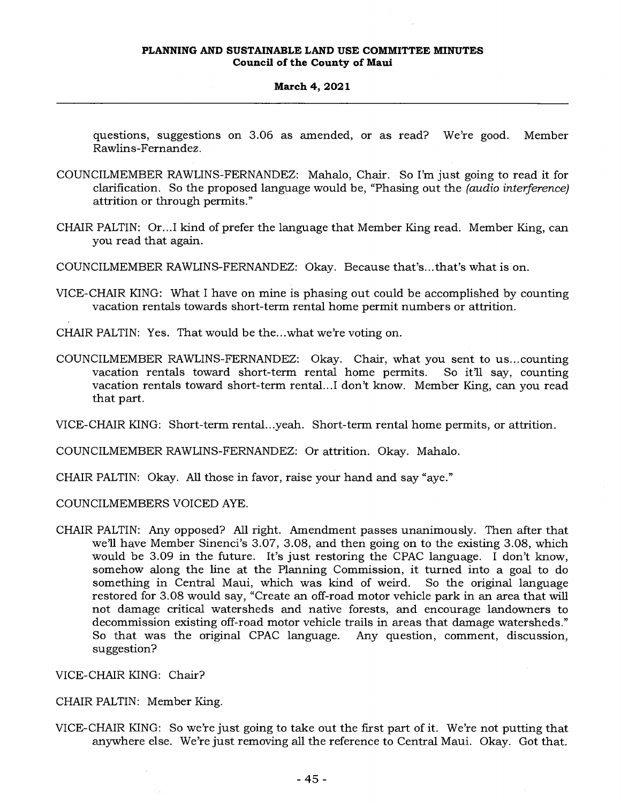questions, suggestions on 3.06 as amended, or as read? We're good. Member Rawlins-Fernandez.

- COUNCILMEMBER RAWLINS-FERNANDEZ: Mahalo, Chair. So I'm just going to read it for clarification. So the proposed language would be, "Phasing out the *(audio interference)*  attrition or through permits."
- CHAIR PALTIN: Or...I kind of prefer the language that Member King read. Member King, can you read that again.
- COUNCILMEMBER RAWLINS-FERNANDEZ: Okay. Because that's...that's what is on.
- VICE-CHAIR KING: What I have on mine is phasing out could be accomplished by counting vacation rentals towards short-term rental home permit numbers or attrition.
- CHAIR PALTIN: Yes. That would be the...what we're voting on.
- COUNCILMEMBER RAWLINS-FERNANDEZ: Okay. Chair, what you sent to us...counting vacation rentals toward short-term rental home permits. So it'll say, counting vacation rentals toward short-term rental...I don't know. Member King, can you read that part.

VICE-CHAIR KING: Short-term rental...yeah. Short-term rental home permits, or attrition.

COUNCILMEMBER RAWLINS-FERNANDEZ: Or attrition. Okay. Mahalo.

- CHAIR PALTIN: Okay. All those in favor, raise your hand and say "aye."
- COUNCILMEMBERS VOICED AYE.
- CHAIR PALTIN: Any opposed? All right. Amendment passes unanimously. Then after that we'll have Member Sinenci's 3.07, 3.08, and then going on to the existing 3.08, which would be 3.09 in the future. It's just restoring the CPAC language. I don't know, somehow along the line at the Planning Commission, it turned into a goal to do something in Central Maui, which was kind of weird. So the original language restored for 3.08 would say, "Create an off-road motor vehicle park in an area that will not damage critical watersheds and native forests, and encourage landowners to decommission existing off-road motor vehicle trails in areas that damage watersheds." So that was the original CPAC language. Any question, comment, discussion, suggestion?

VICE-CHAIR KING: Chair?

CHAIR PALTIN: Member King.

VICE-CHAIR KING: So we're just going to take out the first part of it. We're not putting that anywhere else. We're just removing all the reference to Central Maui. Okay. Got that.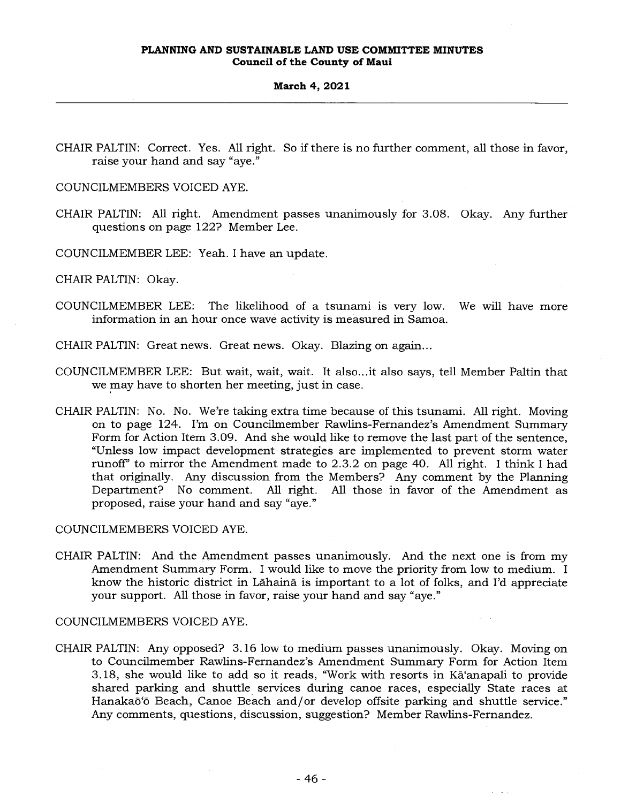CHAIR PALTIN: Correct. Yes. All right. So if there is no further comment, all those in favor, raise your hand and say "aye."

COUNCILMEMBERS VOICED AYE.

CHAIR PALTIN: All right. Amendment passes unanimously for 3.08. Okay. Any further questions on page 122? Member Lee.

COUNCILMEMBER LEE: Yeah. I have an update.

CHAIR PALTIN: Okay.

COUNCILMEMBER LEE: The likelihood of a tsunami is very low. We will have more information in an hour once wave activity is measured in Samoa.

CHAIR PALTIN: Great news. Great news. Okay. Blazing on again...

- COUNCILMEMBER LEE: But wait, wait, wait. It also...it also says, tell Member Paltin that we may have to shorten her meeting, just in case.
- CHAIR PALTIN: No. No. We're taking extra time because of this tsunami. All right. Moving on to page 124. I'm on Councilmember Rawlins-Fernandez's Amendment Summary Form for Action Item 3.09. And she would like to remove the last part of the sentence, "Unless low impact development strategies are implemented to prevent storm water runoff' to mirror the Amendment made to 2.3.2 on page 40. All right. I think I had that originally. Any discussion from the Members? Any comment by the Planning<br>Department? No comment. All right. All those in favor of the Amendment as Department? No comment. All right. proposed, raise your hand and say "aye."

COUNCILMEMBERS VOICED AYE.

CHAIR PALTIN: And the Amendment passes unanimously. And the next one is from my Amendment Summary Form. I would like to move the priority from low to medium. I know the historic district in Lahaina is important to a lot of folks, and I'd appreciate your support. All those in favor, raise your hand and say "aye."

COUNCILMEMBERS VOICED AYE.

CHAIR PALTIN: Any opposed? 3.16 low to medium passes unanimously. Okay. Moving on to Councilmember Rawlins-Fernandez's Amendment Summary Form for Action Item 3.18, she would like to add so it reads, "Work with resorts in Ka'anapali to provide shared parking and shuttle services during canoe races, especially State races at Hanakaō'ō Beach, Canoe Beach and/or develop offsite parking and shuttle service." Any comments, questions, discussion, suggestion? Member Rawlins-Fernandez.

 $\mathcal{F}^{\mathcal{G}}(\mathcal{G})$  , where  $\mathcal{G}$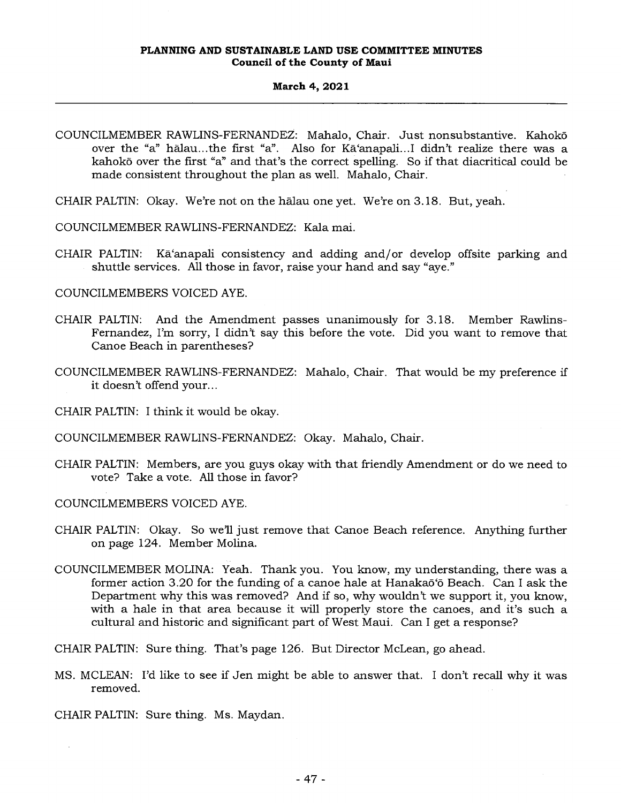#### **March 4, 2021**

- COUNCILMEMBER RAWLINS-FERNANDEZ: Mahalo, Chair. Just nonsubstantive. Kahoko over the "a" halau...the first "a". Also for Ka'anapali...I didn't realize there was a kahoko over the first "a" and that's the correct spelling. So if that diacritical could be made consistent throughout the plan as well. Mahalo, Chair.
- CHAIR PALTIN: Okay. We're not on the halau one yet. We're on 3.18. But, yeah.
- COUNCILMEMBER RAWLINS-FERNANDEZ: Kala mai.
- CHAIR PALTIN: Ka'anapali consistency and adding and/or develop offsite parking and shuttle services. All those in favor, raise your hand and say "aye."

COUNCILMEMBERS VOICED AYE.

- CHAIR PALTIN: And the Amendment passes unanimously for 3.18. Member Rawlins-Fernandez, I'm sorry, I didn't say this before the vote. Did you want to remove that Canoe Beach in parentheses?
- COUNCILMEMBER RAWLINS-FERNANDEZ: Mahalo, Chair. That would be my preference if it doesn't offend your...
- CHAIR PALTIN: I think it would be okay.
- COUNCILMEMBER RAWLINS-FERNANDEZ: Okay. Mahalo, Chair.
- CHAIR PALTIN: Members, are you guys okay with that friendly Amendment or do we need to vote? Take a vote. All those in favor?

COUNCILMEMBERS VOICED AYE.

- CHAIR PALTIN: Okay. So we'll just remove that Canoe Beach reference. Anything further on page 124. Member Molina.
- COUNCILMEMBER MOLINA: Yeah. Thank you. You know, my understanding, there was a former action 3.20 for the funding of a canoe hale at Hanakaō'ō Beach. Can I ask the Department why this was removed? And if so, why wouldn't we support it, you know, with a hale in that area because it will properly store the canoes, and it's such a cultural and historic and significant part of West Maui. Can I get a response?

CHAIR PALTIN: Sure thing. That's page 126. But Director McLean, go ahead.

MS. MCLEAN: I'd like to see if Jen might be able to answer that. I don't recall why it was removed.

CHAIR PALTIN: Sure thing. Ms. Maydan.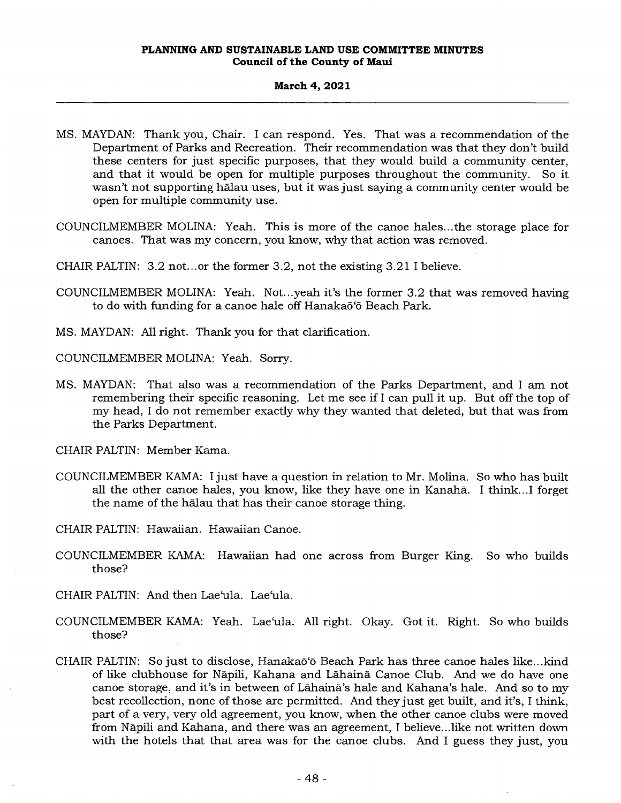- MS. MAYDAN: Thank you, Chair. I can respond. Yes. That was a recommendation of the Department of Parks and Recreation. Their recommendation was that they don't build these centers for just specific purposes, that they would build a community center, and that it would be open for multiple purposes throughout the community. So it wasn't not supporting halau uses, but it was just saying a community center would be open for multiple community use.
- COUNCILMEMBER MOLINA: Yeah. This is more of the canoe hales...the storage place for canoes. That was my concern, you know, why that action was removed.
- CHAIR PALTIN: 3.2 not...or the former 3.2, not the existing 3.21 I believe.
- COUNCILMEMBER MOLINA: Yeah. Not...yeah it's the former 3.2 that was removed having to do with funding for a canoe hale off Hanakaō'ō Beach Park.
- MS. MAYDAN: All right. Thank you for that clarification.
- COUNCILMEMBER MOLINA: Yeah. Sorry.
- MS. MAYDAN: That also was a recommendation of the Parks Department, and I am not remembering their specific reasoning. Let me see if I can pull it up. But off the top of my head, I do not remember exactly why they wanted that deleted, but that was from the Parks Department.
- CHAIR PALTIN: Member Kama.
- COUNCILMEMBER KAMA: I just have a question in relation to Mr. Molina. So who has built all the other canoe hales, you know, like they have one in Kanaha. I think...I forget the name of the halau that has their canoe storage thing.
- CHAIR PALTIN: Hawaiian. Hawaiian Canoe.
- COUNCILMEMBER KAMA: Hawaiian had one across from Burger King. So who builds those?
- CHAIR PALTIN: And then Lae`ula. Lae`ula.
- COUNCILMEMBER KAMA: Yeah. Lae'ula. All right. Okay. Got it. Right. So who builds those?
- CHAIR PALTIN: So just to disclose, Hanakaõ'õ Beach Park has three canoe hales like...kind of like clubhouse for Napili, Kahana and Lahaind Canoe Club. And we do have one canoe storage, and it's in between of Lahaina's hale and Kahana's hale. And so to my best recollection, none of those are permitted. And they just get built, and it's, I think, part of a very, very old agreement, you know, when the other canoe clubs were moved from Napili and Kahana, and there was an agreement, I believe...like not written down with the hotels that that area was for the canoe clubs. And I guess they just, you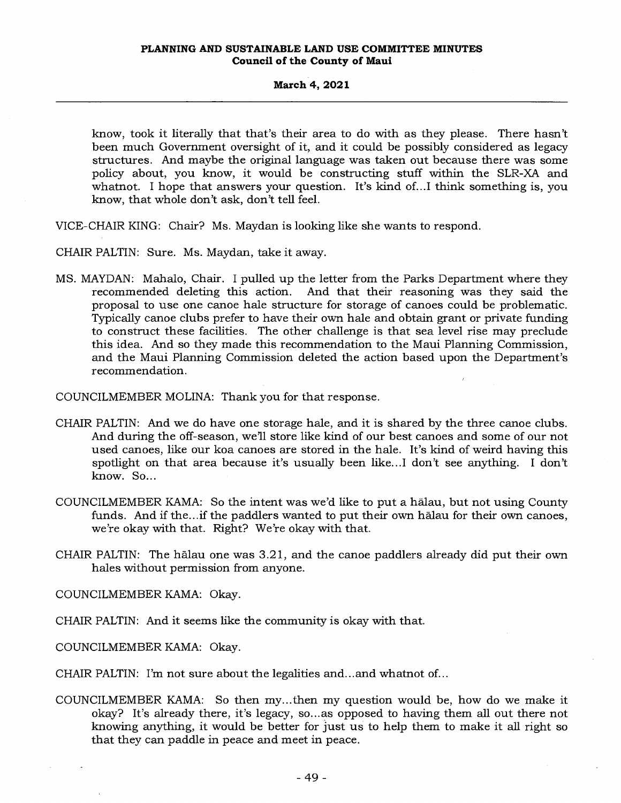know, took it literally that that's their area to do with as they please. There hasn't been much Government oversight of it, and it could be possibly considered as legacy structures. And maybe the original language was taken out because there was some policy about, you know, it would be constructing stuff within the SLR-XA and whatnot. I hope that answers your question. It's kind of...I think something is, you know, that whole don't ask, don't tell feel.

VICE-CHAIR KING: Chair? Ms. Maydan is looking like she wants to respond.

CHAIR PALTIN: Sure. Ms. Maydan, take it away.

MS. MAYDAN: Mahalo, Chair. I pulled up the letter from the Parks Department where they recommended deleting this action. And that their reasoning was they said the proposal to use one canoe hale structure for storage of canoes could be problematic. Typically canoe clubs prefer to have their own hale and obtain grant or private funding to construct these facilities. The other challenge is that sea level rise may preclude this idea. And so they made this recommendation to the Maui Planning Commission, and the Maui Planning Commission deleted the action based upon the Department's recommendation.

COUNCILMEMBER MOLINA: Thank you for that response.

- CHAIR PALTIN: And we do have one storage hale, and it is shared by the three canoe clubs. And during the off-season, we'll store like kind of our best canoes and some of our not used canoes, like our koa canoes are stored in the hale. It's kind of weird having this spotlight on that area because it's usually been like...I don't see anything. I don't know. So...
- COUNCILMEMBER KAMA: So the intent was we'd like to put a halau, but not using County funds. And if the...if the paddlers wanted to put their own halau for their own canoes, we're okay with that. Right? We're okay with that.
- CHAIR PALTIN: The halau one was 3.21, and the canoe paddlers already did put their own hales without permission from anyone.

COUNCILMEMBER KAMA: Okay.

CHAIR PALTIN: And it seems like the community is okay with that.

COUNCILMEMBER KAMA: Okay.

CHAIR PALTIN: I'm not sure about the legalities and...and whatnot of...

COUNCILMEMBER KAMA: So then my...then my question would be, how do we make it okay? It's already there, it's legacy, so...as opposed to having them all out there not knowing anything, it would be better for just us to help them to make it all right so that they can paddle in peace and meet in peace.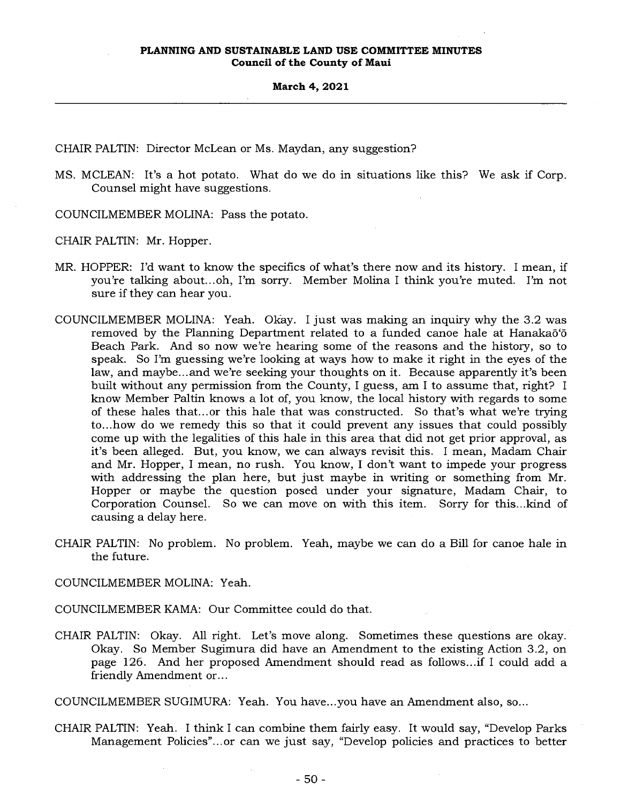CHAIR PALTIN: Director McLean or Ms. Maydan, any suggestion?

- MS. MCLEAN: It's a hot potato. What do we do in situations like this? We ask if Corp. Counsel might have suggestions.
- COUNCILMEMBER MOLINA: Pass the potato.

CHAIR PALTIN: Mr. Hopper.

- MR. HOPPER: I'd want to know the specifics of what's there now and its history. I mean, if you're talking about...oh, I'm sorry. Member Molina I think you're muted. I'm not sure if they can hear you.
- COUNCILMEMBER MOLINA: Yeah. Okay. I just was making an inquiry why the 3.2 was removed by the Planning Department related to a funded canoe hale at Hanakaō'ō Beach Park. And so now we're hearing some of the reasons and the history, so to speak. So I'm guessing we're looking at ways how to make it right in the eyes of the law, and maybe...and we're seeking your thoughts on it. Because apparently it's been built without any permission from the County, I guess, am I to assume that, right? I know Member Paltin knows a lot of, you know, the local history with regards to some of these hales that... or this hale that was constructed. So that's what we're trying to...how do we remedy this so that it could prevent any issues that could possibly come up with the legalities of this hale in this area that did not get prior approval, as it's been alleged. But, you know, we can always revisit this. I mean, Madam Chair and Mr. Hopper, I mean, no rush. You know, I don't want to impede your progress with addressing the plan here, but just maybe in writing or something from Mr. Hopper or maybe the question posed under your signature, Madam Chair, to Corporation Counsel. So we can move on with this item. Sorry for this...kind of causing a delay here.
- CHAIR PALTIN: No problem. No problem. Yeah, maybe we can do a Bill for canoe hale in the future.

COUNCILMEMBER MOLINA: Yeah.

COUNCILMEMBER KAMA: Our Committee could do that.

CHAIR PALTIN: Okay. All right. Let's move along. Sometimes these questions are okay. Okay. So Member Sugimura did have an Amendment to the existing Action 3.2, on page 126. And her proposed Amendment should read as follows...if I could add a friendly Amendment or...

COUNCILMEMBER SUGIMURA: Yeah. You have...you have an Amendment also, so...

CHAIR PALTIN: Yeah. I think I can combine them fairly easy. It would say, "Develop Parks Management Policies"...or can we just say, "Develop policies and practices to better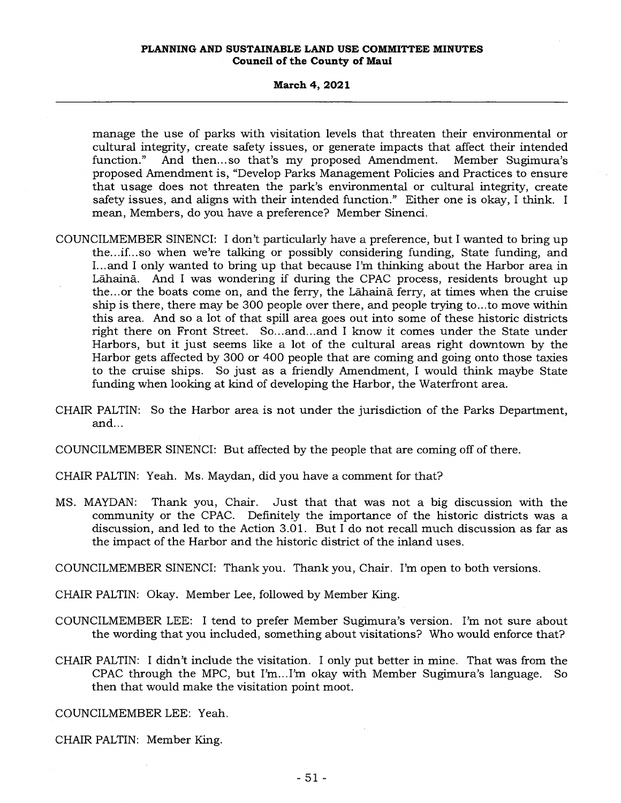#### **March 4, 2021**

manage the use of parks with visitation levels that threaten their environmental or cultural integrity, create safety issues, or generate impacts that affect their intended function." And then... so that's my proposed Amendment. Member Sugimura's proposed Amendment is, "Develop Parks Management Policies and Practices to ensure that usage does not threaten the park's environmental or cultural integrity, create safety issues, and aligns with their intended function." Either one is okay, I think. I mean, Members, do you have a preference? Member Sinenci.

- COUNCILMEMBER SINENCI: I don't particularly have a preference, but I wanted to bring up the...if...so when we're talking or possibly considering funding, State funding, and I... and I only wanted to bring up that because I'm thinking about the Harbor area in Lahaina. And I was wondering if during the CPAC process, residents brought up the... or the boats come on, and the ferry, the Lahaina ferry, at times when the cruise ship is there, there may be 300 people over there, and people trying to...to move within this area. And so a lot of that spill area goes out into some of these historic districts right there on Front Street. So...and...and I know it comes under the State under Harbors, but it just seems like a lot of the cultural areas right downtown by the Harbor gets affected by 300 or 400 people that are coming and going onto those taxies to the cruise ships. So just as a friendly Amendment, I would think maybe State funding when looking at kind of developing the Harbor, the Waterfront area.
- CHAIR PALTIN: So the Harbor area is not under the jurisdiction of the Parks Department, and...
- COUNCILMEMBER SINENCI: But affected by the people that are coming off of there.
- CHAIR PALTIN: Yeah. Ms. Maydan, did you have a comment for that?
- MS. MAYDAN: Thank you, Chair. Just that that was not a big discussion with the community or the CPAC. Definitely the importance of the historic districts was a discussion, and led to the Action 3.01. But I do not recall much discussion as far as the impact of the Harbor and the historic district of the inland uses.

COUNCILMEMBER SINENCI: Thank you. Thank you, Chair. I'm open to both versions.

- CHAIR PALTIN: Okay. Member Lee, followed by Member King.
- COUNCILMEMBER LEE: I tend to prefer Member Sugimura's version. I'm not sure about the wording that you included, something about visitations? Who would enforce that?
- CHAIR PALTIN: I didn't include the visitation. I only put better in mine. That was from the CPAC through the MPC, but I'm...I'm okay with Member Sugimura's language. So then that would make the visitation point moot.

COUNCILMEMBER LEE: Yeah.

CHAIR PALTIN: Member King.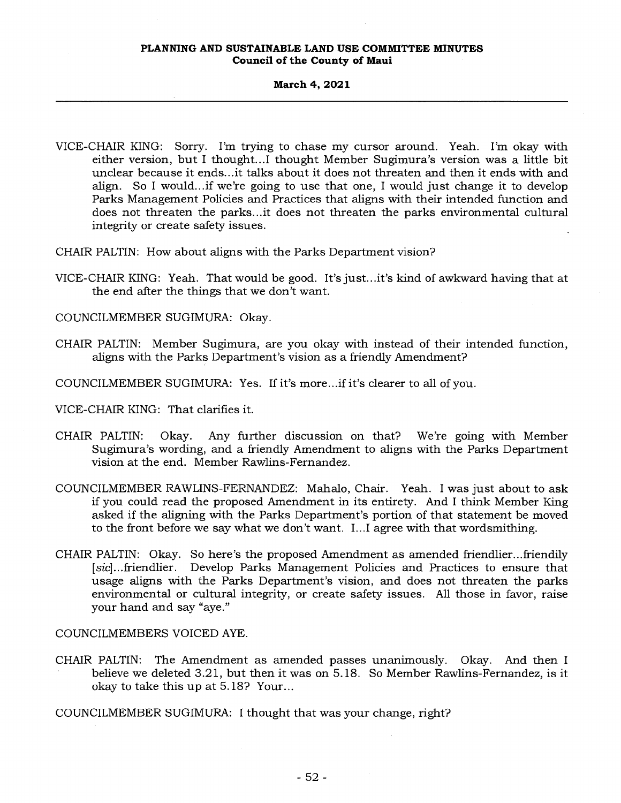### **March 4, 2021**

VICE-CHAIR KING: Sorry. I'm trying to chase my cursor around. Yeah. I'm okay with either version, but I thought...I thought Member Sugimura's version was a little bit unclear because it ends...it talks about it does not threaten and then it ends with and align. So I would...if we're going to use that one, I would just change it to develop Parks Management Policies and Practices that aligns with their intended function and does not threaten the parks...it does not threaten the parks environmental cultural integrity or create safety issues.

CHAIR PALTIN: How about aligns with the Parks Department vision?

- VICE-CHAIR KING: Yeah. That would be good. It's just...it's kind of awkward having that at the end after the things that we don't want.
- COUNCILMEMBER SUGIMURA: Okay.
- CHAIR PALTIN: Member Sugimura, are you okay with instead of their intended function, aligns with the Parks Department's vision as a friendly Amendment?

COUNCILMEMBER SUGIMURA: Yes. If it's more...if it's clearer to all of you.

- VICE-CHAIR KING: That clarifies it.
- CHAIR PALTIN: Okay. Any further discussion on that? We're going with Member Sugimura's wording, and a friendly Amendment to aligns with the Parks Department vision at the end. Member Rawlins-Fernandez.
- COUNCILMEMBER RAWLINS-FERNANDEZ: Mahalo, Chair. Yeah. I was just about to ask if you could read the proposed Amendment in its entirety. And I think Member King asked if the aligning with the Parks Department's portion of that statement be moved to the front before we say what we don't want. I...I agree with that wordsmithing.
- CHAIR PALTIN: Okay. So here's the proposed Amendment as amended friendlier...friendily [sic]...friendlier. Develop Parks Management Policies and Practices to ensure that usage aligns with the Parks Department's vision, and does not threaten the parks environmental or cultural integrity, or create safety issues. All those in favor, raise your hand and say "aye."

COUNCILMEMBERS VOICED AYE.

- CHAIR PALTIN: The Amendment as amended passes unanimously. Okay. And then I believe we deleted 3.21, but then it was on 5.18. So Member Rawlins-Fernandez, is it okay to take this up at 5.18? Your...
- COUNCILMEMBER SUGIMURA: I thought that was your change, right?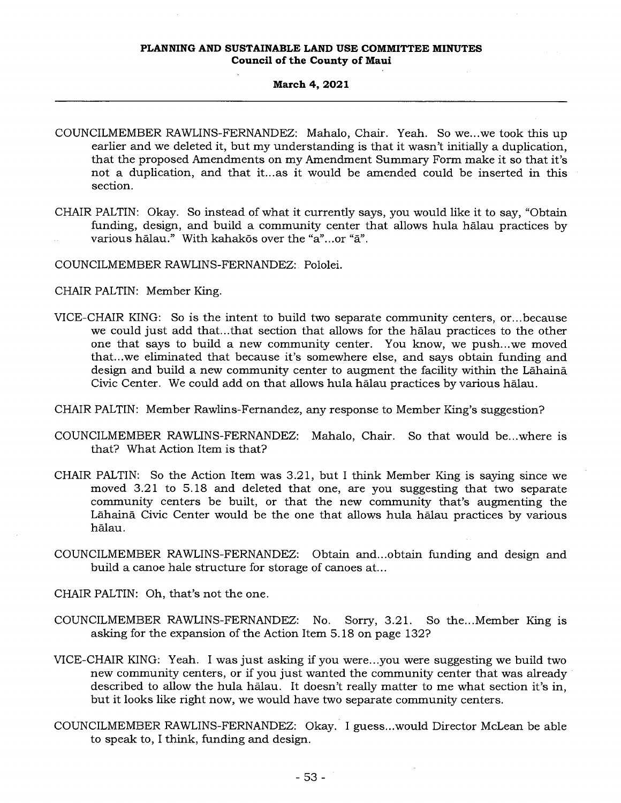## **March 4, 2021**

- COUNCILMEMBER RAWLINS-FERNANDEZ: Mahalo, Chair. Yeah. So we...we took this up earlier and we deleted it, but my understanding is that it wasn't initially a duplication, that the proposed Amendments on my Amendment Summary Form make it so that it's not a duplication, and that it...as it would be amended could be inserted in this section.
- CHAIR PALTIN: Okay. So instead of what it currently says, you would like it to say, "Obtain funding, design, and build a community center that allows hula halau practices by various hālau." With kahakōs over the "a"...or "ā".
- COUNCILMEMBER RAWLINS-FERNANDEZ: Pololei.
- CHAIR PALTIN: Member King.
- VICE-CHAIR KING: So is the intent to build two separate community centers, or...because we could just add that...that section that allows for the halau practices to the other one that says to build a new community center. You know, we push...we moved that...we eliminated that because it's somewhere else, and says obtain funding and design and build a new community center to augment the facility within the Lahaina Civic Center. We could add on that allows hula halau practices by various halau.
- CHAIR PALTIN: Member Rawlins-Fernandez, any response to Member King's suggestion?
- COUNCILMEMBER RAWLINS-FERNANDEZ: Mahalo, Chair. So that would be...where is that? What Action Item is that?
- CHAIR PALTIN: So the Action Item was 3.21, but I think Member King is saying since we moved 3.21 to 5.18 and deleted that one, are you suggesting that two separate community centers be built, or that the new community that's augmenting the Lahaina Civic Center would be the one that allows hula halau practices by various halau.
- COUNCILMEMBER RAWLINS-FERNANDEZ: Obtain and...obtain funding and design and build a canoe hale structure for storage of canoes at...
- CHAIR PALTIN: Oh, that's not the one.
- COUNCILMEMBER RAWLINS-FERNANDEZ: No. Sorry, 3.21. So the...Member King is asking for the expansion of the Action Item 5.18 on page 132?
- VICE-CHAIR KING: Yeah. I was just asking if you were...you were suggesting we build two new community centers, or if you just wanted the community center that was already described to allow the hula halau. It doesn't really matter to me what section it's in, but it looks like right now, we would have two separate community centers.
- COUNCILMEMBER RAWLINS-FERNANDEZ: Okay. I guess...would Director McLean be able to speak to, I think, funding and design.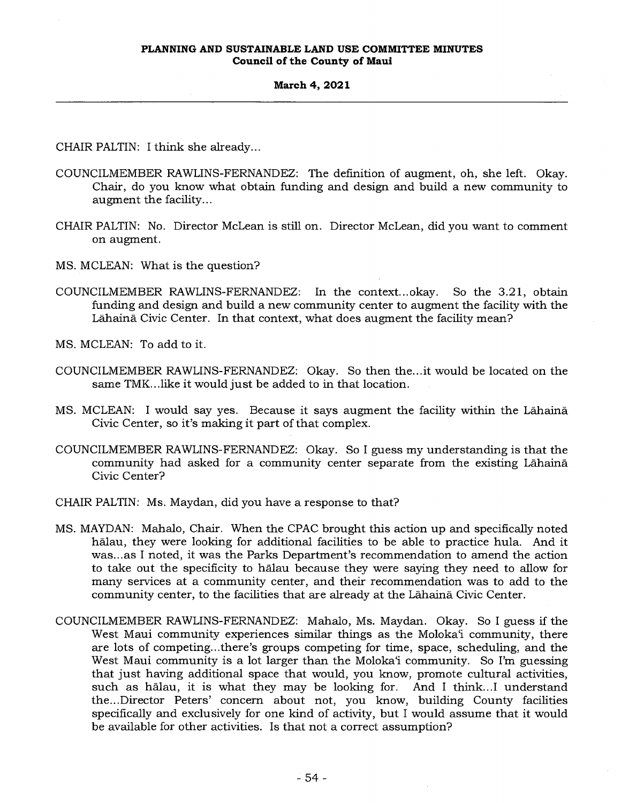CHAIR PALTIN: I think she already...

- COUNCILMEMBER RAWLINS-FERNANDEZ: The definition of augment, oh, she left. Okay. Chair, do you know what obtain funding and design and build a new community to augment the facility...
- CHAIR PALTIN: No. Director McLean is still on. Director McLean, did you want to comment on augment.
- MS. MCLEAN: What is the question?
- COUNCILMEMBER RAWLINS-FERNANDEZ: In the context... okay. So the 3.2 1 , obtain funding and design and build a new community center to augment the facility with the Lahaina Civic Center. In that context, what does augment the facility mean?
- MS. MCLEAN: To add to it.
- COUNCILMEMBER RAWLINS-FERNANDEZ: Okay. So then the...it would be located on the same TMK...like it would just be added to in that location.
- MS. MCLEAN: I would say yes. Because it says augment the facility within the Lahaina Civic Center, so it's making it part of that complex.
- COUNCILMEMBER RAWLINS-FERNANDEZ: Okay. So I guess my understanding is that the community had asked for a community center separate from the existing Lahaina Civic Center?
- CHAIR PALTIN: Ms. Maydan, did you have a response to that?
- MS. MAYDAN: Mahalo, Chair. When the CPAC brought this action up and specifically noted halau, they were looking for additional facilities to be able to practice hula. And it was...as I noted, it was the Parks Department's recommendation to amend the action to take out the specificity to halau because they were saying they need to allow for many services at a community center, and their recommendation was to add to the community center, to the facilities that are already at the Lahaina Civic Center.
- COUNCILMEMBER RAWLINS-FERNANDEZ: Mahalo, Ms. Maydan. Okay. So I guess if the West Maui community experiences similar things as the Moloka'i community, there are lots of competing...there's groups competing for time, space, scheduling, and the West Maui community is a lot larger than the Moloka'i community. So I'm guessing that just having additional space that would, you know, promote cultural activities, such as halau, it is what they may be looking for. And I think...I understand the...Director Peters' concern about not, you know, building County facilities specifically and exclusively for one kind of activity, but I would assume that it would be available for other activities. Is that not a correct assumption?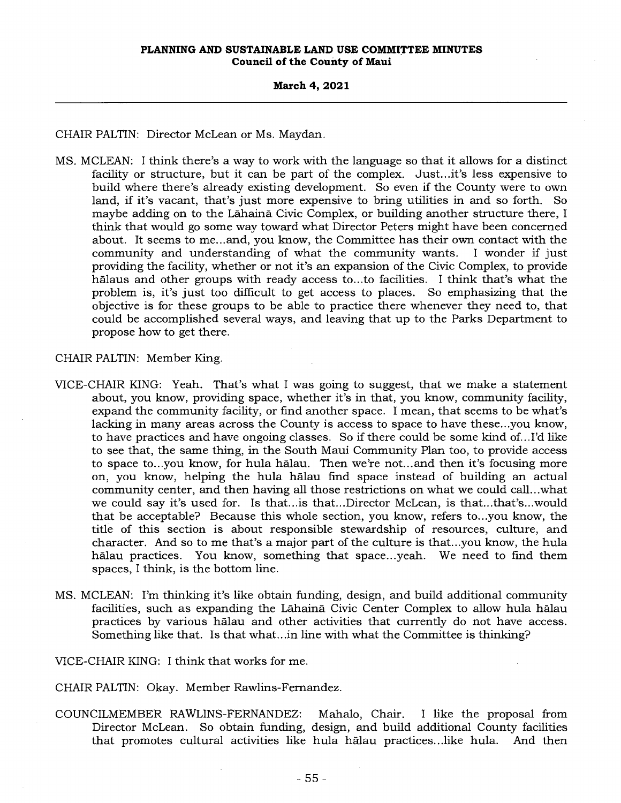CHAIR PALTIN: Director McLean or Ms. Maydan.

MS. MCLEAN: I think there's a way to work with the language so that it allows for a distinct facility or structure, but it can be part of the complex. Just...it's less expensive to build where there's already existing development. So even if the County were to own land, if it's vacant, that's just more expensive to bring utilities in and so forth. So maybe adding on to the Lahaina Civic Complex, or building another structure there, I think that would go some way toward what Director Peters might have been concerned about. It seems to me...and, you know, the Committee has their own contact with the community and understanding of what the community wants. I wonder if just providing the facility, whether or not it's an expansion of the Civic Complex, to provide halaus and other groups with ready access to...to facilities. I think that's what the problem is, it's just too difficult to get access to places. So emphasizing that the objective is for these groups to be able to practice there whenever they need to, that could be accomplished several ways, and leaving that up to the Parks Department to propose how to get there.

CHAIR PALTIN: Member King.

- VICE-CHAIR KING: Yeah. That's what I was going to suggest, that we make a statement about, you know, providing space, whether it's in that, you know, community facility, expand the community facility, or find another space. I mean, that seems to be what's lacking in many areas across the County is access to space to have these...you know, to have practices and have ongoing classes. So if there could be some kind of...I'd like to see that, the same thing, in the South Maui Community Plan too, to provide access to space to...you know, for hula halau. Then we're not...and then it's focusing more on, you know, helping the hula halau find space instead of building an actual community center, and then having all those restrictions on what we could call...what we could say it's used for. Is that...is that...Director McLean, is that...that's...would that be acceptable? Because this whole section, you know, refers to...you know, the title of this section is about responsible stewardship of resources, culture, and character. And so to me that's a major part of the culture is that...you know, the hula halau practices. You know, something that space...yeah. We need to find them spaces, I think, is the bottom line.
- MS. MCLEAN: I'm thinking it's like obtain funding, design, and build additional community facilities, such as expanding the Lahaina Civic Center Complex to allow hula halau practices by various halau and other activities that currently do not have access. Something like that. Is that what...in line with what the Committee is thinking?

VICE-CHAIR KING: I think that works for me.

CHAIR PALTIN: Okay. Member Rawlins-Fernandez.

COUNCILMEMBER RAWLINS-FERNANDEZ: Mahalo, Chair. I like the proposal from Director McLean. So obtain funding, design, and build additional County facilities that promotes cultural activities like hula halau practices...like hula. And then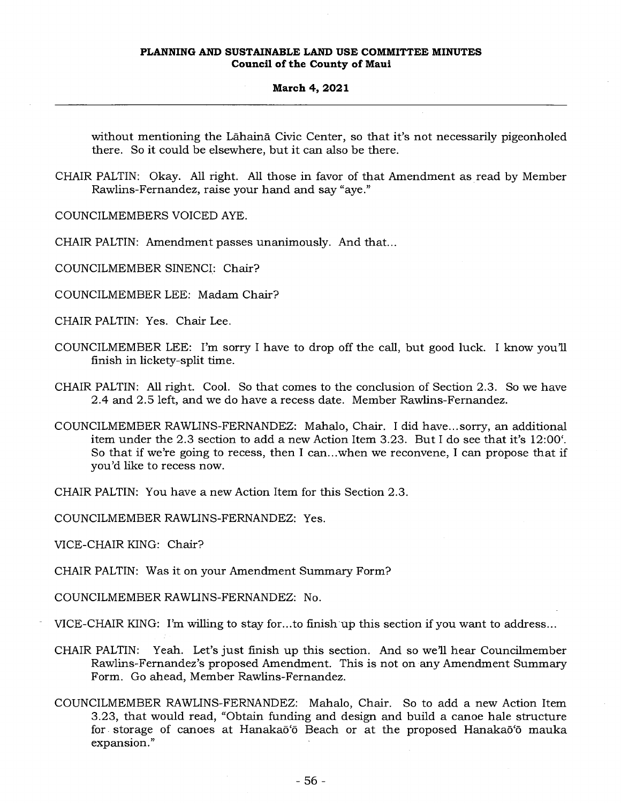#### **March 4, 2021**

without mentioning the Lahaina Civic Center, so that it's not necessarily pigeonholed there. So it could be elsewhere, but it can also be there.

CHAIR PALTIN: Okay. All right. All those in favor of that Amendment as read by Member Rawlins-Fernandez, raise your hand and say "aye."

COUNCILMEMBERS VOICED AYE.

CHAIR PALTIN: Amendment passes unanimously. And that...

COUNCILMEMBER SINENCI: Chair?

COUNCILMEMBER LEE: Madam Chair?

CHAIR PALTIN: Yes. Chair Lee.

- COUNCILMEMBER LEE: I'm sorry I have to drop off the call, but good luck. I know you'll finish in lickety-split time.
- CHAIR PALTIN: All right. Cool. So that comes to the conclusion of Section 2.3. So we have 2.4 and 2.5 left, and we do have a recess date. Member Rawlins-Fernandez.
- COUNCILMEMBER RAWLINS-FERNANDEZ: Mahalo, Chair. I did have... sorry, an additional item under the 2.3 section to add a new Action Item 3.23. But I do see that it's 12:00'. So that if we're going to recess, then I can...when we reconvene, I can propose that if you'd like to recess now.

CHAIR PALTIN: You have a new Action Item for this Section 2.3.

COUNCILMEMBER RAWLINS-FERNANDEZ: Yes.

VICE-CHAIR KING: Chair?

CHAIR PALTIN: Was it on your Amendment Summary Form?

COUNCILMEMBER RAWLINS-FERNANDEZ: No.

VICE-CHAIR KING: I'm willing to stay for...to finish up this section if you want to address...

- CHAIR PALTIN: Yeah. Let's just finish up this section. And so we'll hear Councilmember Rawlins-Fernandez's proposed Amendment. This is not on any Amendment Summary Form. Go ahead, Member Rawlins-Fernandez.
- COUNCILMEMBER RAWLINS-FERNANDEZ: Mahalo, Chair. So to add a new Action Item 3.23, that would read, "Obtain funding and design and build a canoe hale structure for storage of canoes at Hanakaō'ō Beach or at the proposed Hanakaō'ō mauka expansion."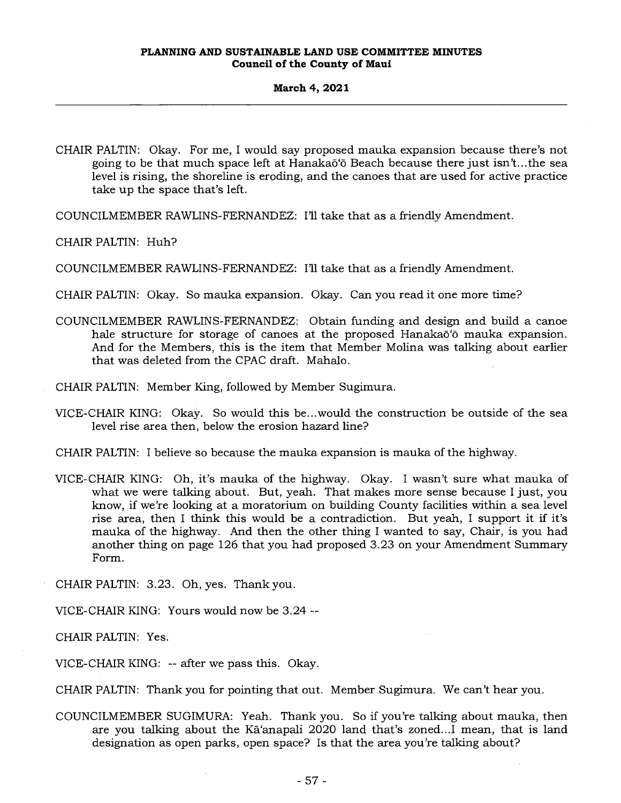CHAIR PALTIN: Okay. For me, I would say proposed mauka expansion because there's not going to be that much space left at Hanakaō'ō Beach because there just isn't...the sea level is rising, the shoreline is eroding, and the canoes that are used for active practice take up the space that's left.

COUNCILMEMBER RAWLINS-FERNANDEZ: I'll take that as a friendly Amendment.

CHAIR PALTIN: Huh?

COUNCILMEMBER RAWLINS-FERNANDEZ: I'll take that as a friendly Amendment.

CHAIR PALTIN: Okay. So mauka expansion. Okay. Can you read it one more time?

COUNCILMEMBER RAWLINS-FERNANDEZ: Obtain funding and design and build a canoe hale structure for storage of canoes at the proposed Hanakao<sup>to</sup> mauka expansion. And for the Members, this is the item that Member Molina was talking about earlier that was deleted from the CPAC draft. Mahalo.

CHAIR PALTIN: Member King, followed by Member Sugimura.

VICE-CHAIR KING: Okay. So would this be...would the construction be outside of the sea level rise area then, below the erosion hazard line?

CHAIR PALTIN: I believe so because the mauka expansion is mauka of the highway.

VICE-CHAIR KING: Oh, it's mauka of the highway. Okay. I wasn't sure what mauka of what we were talking about. But, yeah. That makes more sense because I just, you know, if we're looking at a moratorium on building County facilities within a sea level rise area, then I think this would be a contradiction. But yeah, I support it if it's mauka of the highway. And then the other thing I wanted to say, Chair, is you had another thing on page 126 that you had proposed 3.23 on your Amendment Summary Form.

CHAIR PALTIN: 3.23. Oh, yes. Thank you.

VICE-CHAIR KING: Yours would now be 3.24 --

CHAIR PALTIN: Yes.

VICE-CHAIR KING: -- after we pass this. Okay.

CHAIR PALTIN: Thank you for pointing that out. Member Sugimura. We can't hear you.

COUNCILMEMBER SUGIMURA: Yeah. Thank you. So if you're talking about mauka, then are you talking about the Ka'anapali 2020 land that's zoned...I mean, that is land designation as open parks, open space? Is that the area you're talking about?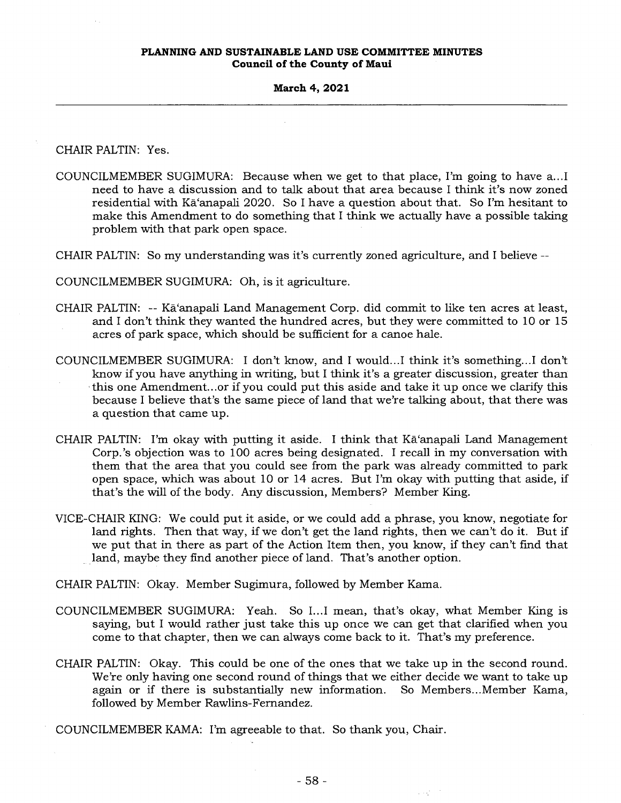#### **March 4, 2021**

CHAIR PALTIN: Yes.

- COUNCILMEMBER SUGIMURA: Because when we get to that place, I'm going to have a...I need to have a discussion and to talk about that area because I think it's now zoned residential with Ka'anapali 2020. So I have a question about that. So I'm hesitant to make this Amendment to do something that I think we actually have a possible taking problem with that park open space.
- CHAIR PALTIN: So my understanding was it's currently zoned agriculture, and I believe --

COUNCILMEMBER SUGIMURA: Oh, is it agriculture.

- CHAIR PALTIN: -- Kā'anapali Land Management Corp. did commit to like ten acres at least, and I don't think they wanted the hundred acres, but they were committed to 10 or 15 acres of park space, which should be sufficient for a canoe hale.
- COUNCILMEMBER SUGIMURA: I don't know, and I would...I think it's something...I don't know if you have anything in writing, but I think it's a greater discussion, greater than this one Amendment...or if you could put this aside and take it up once we clarify this because I believe that's the same piece of land that we're talking about, that there was a question that came up.
- CHAIR PALTIN: I'm okay with putting it aside. I think that Ka'anapali Land Management Corp.'s objection was to 100 acres being designated. I recall in my conversation with them that the area that you could see from the park was already committed to park open space, which was about 10 or 14 acres. But I'm okay with putting that aside, if that's the will of the body. Any discussion, Members? Member King.
- VICE-CHAIR KING: We could put it aside, or we could add a phrase, you know, negotiate for land rights. Then that way, if we don't get the land rights, then we can't do it. But if we put that in there as part of the Action Item then, you know, if they can't find that land, maybe they find another piece of land. That's another option.

CHAIR PALTIN: Okay. Member Sugimura, followed by Member Kama.

- COUNCILMEMBER SUGIMURA: Yeah. So I...I mean, that's okay, what Member King is saying, but I would rather just take this up once we can get that clarified when you come to that chapter, then we can always come back to it. That's my preference.
- CHAIR PALTIN: Okay. This could be one of the ones that we take up in the second round. We're only having one second round of things that we either decide we want to take up again or if there is substantially new information. So Members...Member Kama, followed by Member Rawlins-Fernandez.
- COUNCILMEMBER KAMA: I'm agreeable to that. So thank you, Chair.

 $\mathcal{L}(\mathcal{Q})$  ,  $\mathcal{I}$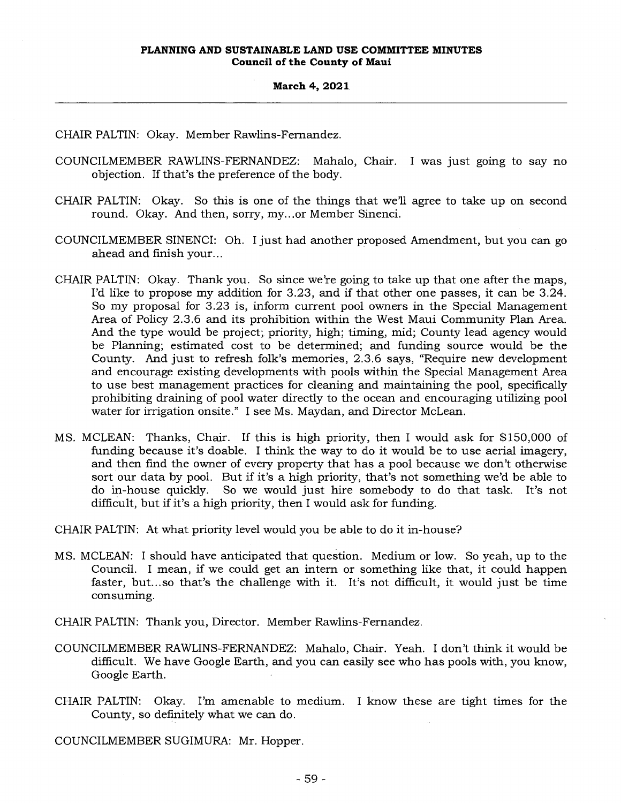#### **March 4, 2021**.

CHAIR PALTIN: Okay. Member Rawlins-Fernandez.

- COUNCILMEMBER RAWLINS-FERNANDEZ: Mahalo, Chair. I was just going to say no objection. If that's the preference of the body.
- CHAIR PALTIN: Okay. So this is one of the things that we'll agree to take up on second round. Okay. And then, sorry, my...or Member Sinenci.
- COUNCILMEMBER SINENCI: Oh. I just had another proposed Amendment, but you can go ahead and finish your...
- CHAIR PALTIN: Okay. Thank you. So since we're going to take up that one after the maps, I'd like to propose my addition for 3.23, and if that other one passes, it can be 3.24. So my proposal for 3.23 is, inform current pool owners in the Special Management Area of Policy 2.3.6 and its prohibition within the West Maui Community Plan Area. And the type would be project; priority, high; timing, mid; County lead agency would be Planning; estimated cost to be determined; and funding source would be the County. And just to refresh folk's memories, 2.3.6 says, "Require new development and encourage existing developments with pools within the Special Management Area to use best management practices for cleaning and maintaining the pool, specifically prohibiting draining of pool water directly to the ocean and encouraging utilizing pool water for irrigation onsite." I see Ms. Maydan, and Director McLean.
- MS. MCLEAN: Thanks, Chair. If this is high priority, then I would ask for \$150,000 of funding because it's doable. I think the way to do it would be to use aerial imagery, and then find the owner of every property that has a pool because we don't otherwise sort our data by pool. But if it's a high priority, that's not something we'd be able to do in-house quickly. So we would just hire somebody to do that task. It's not difficult, but if it's a high priority, then I would ask for funding.

CHAIR PALTIN: At what priority level would you be able to do it in-house?

- MS. MCLEAN: I should have anticipated that question. Medium or low. So yeah, up to the Council. I mean, if we could get an intern or something like that, it could happen faster, but...so that's the challenge with it. It's not difficult, it would just be time consuming.
- CHAIR PALTIN: Thank you, Director. Member Rawlins-Fernandez.
- COUNCILMEMBER RAWLINS-FERNANDEZ: Mahalo, Chair. Yeah. I don't think it would be difficult. We have Google Earth, and you can easily see who has pools with, you know, Google Earth.
- CHAIR PALTIN: Okay. I'm amenable to medium. I know these are tight times for the County, so definitely what we can do.

COUNCILMEMBER SUGIMURA: Mr. Hopper.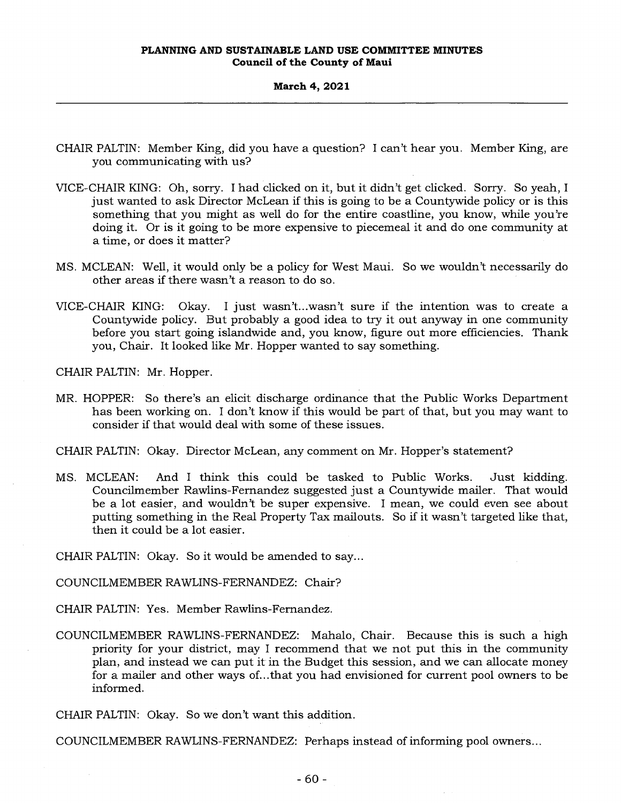- CHAIR PALTIN: Member King, did you have a question? I can't hear you. Member King, are you communicating with us?
- VICE-CHAIR KING: Oh, sorry. I had clicked on it, but it didn't get clicked. Sorry. So yeah, I just wanted to ask Director McLean if this is going to be a Countywide policy or is this something that you might as well do for the entire coastline, you know, while you're doing it. Or is it going to be more expensive to piecemeal it and do one community at a time, or does it matter?
- MS. MCLEAN: Well, it would only be a policy for West Maui. So we wouldn't necessarily do other areas if there wasn't a reason to do so.
- VICE-CHAIR KING: Okay. I just wasn't...wasn't sure if the intention was to create a Countywide policy. But probably a good idea to try it out anyway in one community before you start going islandwide and, you know, figure out more efficiencies. Thank you, Chair. It looked like Mr. Hopper wanted to say something.

CHAIR PALTIN: Mr. Hopper.

MR. HOPPER: So there's an elicit discharge ordinance that the Public Works Department has been working on. I don't know if this would be part of that, but you may want to consider if that would deal with some of these issues.

CHAIR PALTIN: Okay. Director McLean, any comment on Mr. Hopper's statement?

MS. MCLEAN: And I think this could be tasked to Public Works. Just kidding. Councilmember Rawlins-Fernandez suggested just a Countywide mailer. That would be a lot easier, and wouldn't be super expensive. I mean, we could even see about putting something in the Real Property Tax mailouts. So if it wasn't targeted like that, then it could be a lot easier.

CHAIR PALTIN: Okay. So it would be amended to say...

COUNCILMEMBER RAWLINS-FERNANDEZ: Chair?

CHAIR PALTIN: Yes. Member Rawlins-Fernandez.

COUNCILMEMBER RAWLINS-FERNANDEZ: Mahalo, Chair. Because this is such a high priority for your district, may I recommend that we not put this in the community plan, and instead we can put it in the Budget this session, and we can allocate money for a mailer and other ways of...that you had envisioned for current pool owners to be informed.

CHAIR PALTIN: Okay. So we don't want this addition.

COUNCILMEMBER RAWLINS-FERNANDEZ: Perhaps instead of informing pool owners...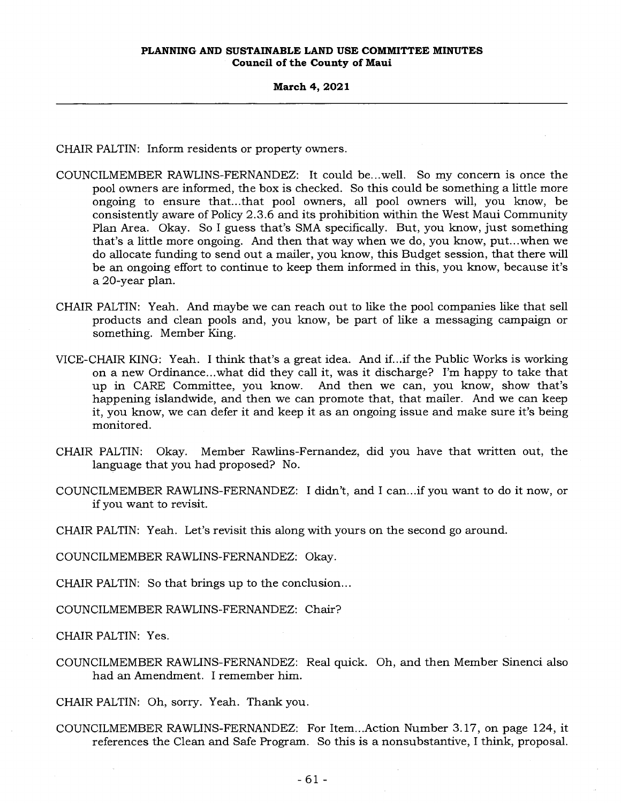CHAIR PALTIN: Inform residents or property owners.

- COUNCILMEMBER RAWLINS-FERNANDEZ: It could be...well. So my concern is once the pool owners are informed, the box is checked. So this could be something a little more ongoing to ensure that...that pool owners, all pool owners will, you know, be consistently aware of Policy 2.3.6 and its prohibition within the West Maui Community Plan Area. Okay. So I guess that's SMA specifically. But, you know, just something that's a little more ongoing. And then that way when we do, you know, put...when we do allocate funding to send out a mailer, you know, this Budget session, that there will be an ongoing effort to continue to keep them informed in this, you know, because it's a 20-year plan.
- CHAIR PALTIN: Yeah. And maybe we can reach out to like the pool companies like that sell products and clean pools and, you know, be part of like a messaging campaign or something. Member King.
- VICE-CHAIR KING: Yeah. I think that's a great idea. And if...if the Public Works is working on a new Ordinance...what did they call it, was it discharge? I'm happy to take that up in CARE Committee, you know. And then we can, you know, show that's happening islandwide, and then we can promote that, that mailer. And we can keep it, you know, we can defer it and keep it as an ongoing issue and make sure it's being monitored.
- CHAIR PALTIN: Okay. Member Rawlins-Fernandez, did you have that written out, the language that you had proposed? No.
- COUNCILMEMBER RAWLINS-FERNANDEZ: I didn't, and I can...if you want to do it now, or if you want to revisit.

CHAIR PALTIN: Yeah. Let's revisit this along with yours on the second go around.

COUNCILMEMBER RAWLINS-FERNANDEZ: Okay.

CHAIR PALTIN: So that brings up to the conclusion...

COUNCILMEMBER RAWLINS-FERNANDEZ: Chair?

CHAIR PALTIN: Yes.

COUNCILMEMBER RAWLINS-FERNANDEZ: Real quick. Oh, and then Member Sinenci also had an Amendment. I remember him.

CHAIR PALTIN: Oh, sorry. Yeah. Thank you.

COUNCILMEMBER RAWLINS-FERNANDEZ: For Item...Action Number 3.17, on page 124, it references the Clean and Safe Program. So this is a nonsubstantive, I think, proposal.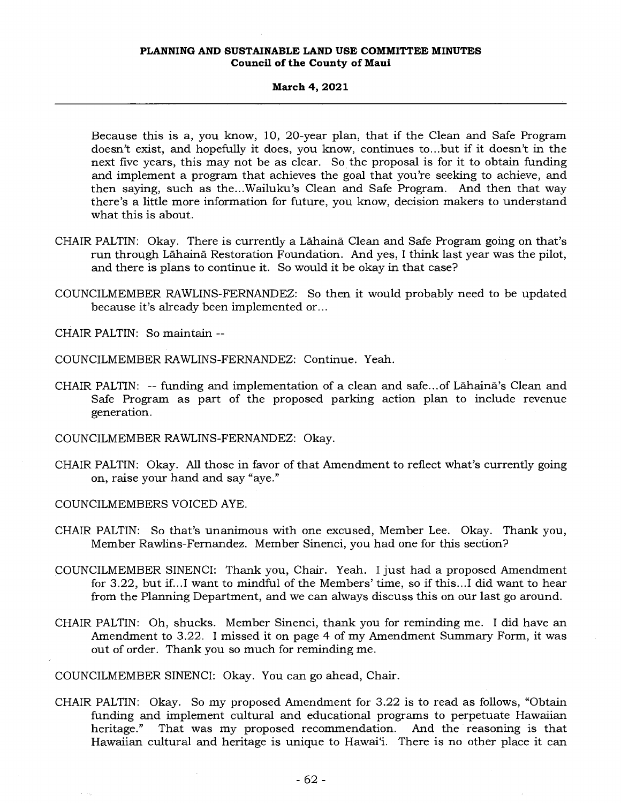## **March 4, 2021**

Because this is a, you know, 10, 20-year plan, that if the Clean and Safe Program doesn't exist, and hopefully it does, you know, continues to...but if it doesn't in the next five years, this may not be as clear. So the proposal is for it to obtain funding and implement a program that achieves the goal that you're seeking to achieve, and then saying, such as the...Wailuku's Clean and Safe Program. And then that way there's a little more information for future, you know, decision makers to understand what this is about.

- CHAIR PALTIN: Okay. There is currently a Lahaina Clean and Safe Program going on that's run through Lahaina Restoration Foundation. And yes, I think last year was the pilot, and there is plans to continue it. So would it be okay in that case?
- COUNCILMEMBER RAWLINS-FERNANDEZ: So then it would probably need to be updated because it's already been implemented or...

CHAIR PALTIN: So maintain --

COUNCILMEMBER RAWLINS-FERNANDEZ: Continue. Yeah.

- CHAIR PALTIN: -- funding and implementation of a clean and safe... of Lahaina's Clean and Safe Program as part of the proposed parking action plan to include revenue generation.
- COUNCILMEMBER RAWLINS-FERNANDEZ: Okay.
- CHAIR PALTIN: Okay. All those in favor of that Amendment to reflect what's currently going on, raise your hand and say "aye."

COUNCILMEMBERS VOICED AYE.

- CHAIR PALTIN: So that's unanimous with one excused, Member Lee. Okay. Thank you, Member Rawlins-Fernandez. Member Sinenci, you had one for this section?
- COUNCILMEMBER SINENCI: Thank you, Chair. Yeah. I just had a proposed Amendment for 3.22, but if...I want to mindful of the Members' time, so if this...I did want to hear from the Planning Department, and we can always discuss this on our last go around.
- CHAIR PALTIN: Oh, shucks. Member Sinenci, thank you for reminding me. I did have an Amendment to 3.22. I missed it on page 4 of my Amendment Summary Form, it was out of order. Thank you so much for reminding me.

COUNCILMEMBER SINENCI: Okay. You can go ahead, Chair.

CHAIR PALTIN: Okay. So my proposed Amendment for 3.22 is to read as follows, "Obtain funding and implement cultural and educational programs to perpetuate Hawaiian heritage." That was my proposed recommendation. And the reasoning is that Hawaiian cultural and heritage is unique to Hawai'i. There is no other place it can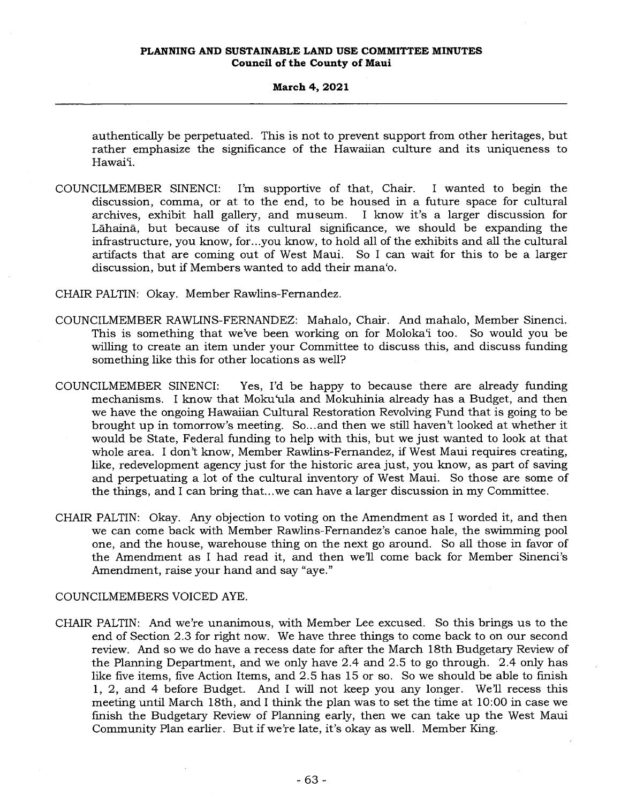authentically be perpetuated. This is not to prevent support from other heritages, but rather emphasize the significance of the Hawaiian culture and its uniqueness to Hawai'i.

COUNCILMEMBER SINENCI: I'm supportive of that, Chair. I wanted to begin the discussion, comma, or at to the end, to be housed in a future space for cultural archives, exhibit hall gallery, and museum. I know it's a larger discussion for Lahaina, but because of its cultural significance, we should be expanding the infrastructure, you know, for...you know, to hold all of the exhibits and all the cultural artifacts that are coming out of West Maui. So I can wait for this to be a larger discussion, but if Members wanted to add their mana'o.

## CHAIR PALTIN: Okay. Member Rawlins-Fernandez.

- COUNCILMEMBER RAWLINS-FERNANDEZ: Mahalo, Chair. And mahalo, Member Sinenci. This is something that we've been working on for Moloka'i too. So would you be willing to create an item under your Committee to discuss this, and discuss funding something like this for other locations as well?
- COUNCILMEMBER SINENCI: Yes, I'd be happy to because there are already funding mechanisms. I know that Moku'ula and Mokuhinia already has a Budget, and then we have the ongoing Hawaiian Cultural Restoration Revolving Fund that is going to be brought up in tomorrow's meeting. So... and then we still haven't looked at whether it would be State, Federal funding to help with this, but we just wanted to look at that whole area. I don't know, Member Rawlins-Fernandez, if West Maui requires creating, like, redevelopment agency just for the historic area just, you know, as part of saving and perpetuating a lot of the cultural inventory of West Maui. So those are some of the things, and I can bring that...we can have a larger discussion in my Committee.
- CHAIR PALTIN: Okay. Any objection to voting on the Amendment as I worded it, and then we can come back with Member Rawlins-Fernandez's canoe hale, the swimming pool one, and the house, warehouse thing on the next go around. So all those in favor of the Amendment as I had read it, and then well come back for Member Sinenci's Amendment, raise your hand and say "aye."

## COUNCILMEMBERS VOICED AYE.

CHAIR PALTIN: And we're unanimous, with Member Lee excused. So this brings us to the end of Section 2.3 for right now. We have three things to come back to on our second review. And so we do have a recess date for after the March 18th Budgetary Review of the Planning Department, and we only have 2.4 and 2.5 to go through. 2.4 only has like five items, five Action Items, and 2.5 has 15 or so. So we should be able to finish 1, 2, and 4 before Budget. And I will not keep you any longer. We'll recess this meeting until March 18th, and I think the plan was to set the time at 10:00 in case we finish the Budgetary Review of Planning early, then we can take up the West Maui Community Plan earlier. But if we're late, it's okay as well. Member King.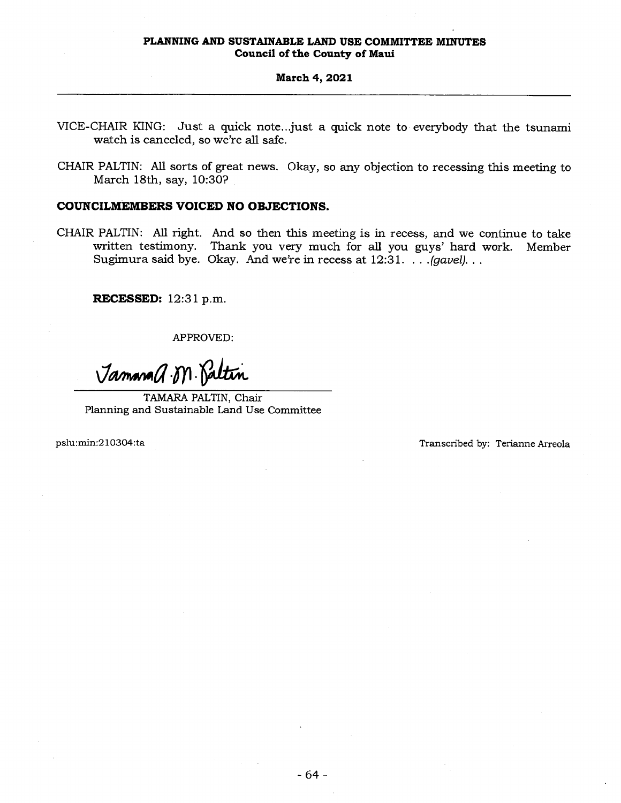## **March 4, 2021**

- VICE-CHAIR KING: Just a quick note...just a quick note to everybody that the tsunami watch is canceled, so we're all safe.
- CHAIR PALTIN: All sorts of great news. Okay, so any objection to recessing this meeting to March 18th, say, 10:30?

## **COUNCILMEMBERS VOICED NO OBJECTIONS.**

CHAIR PALTIN: All right. And so then this meeting is in recess, and we continue to take written testimony. Thank you very much for all you guys' hard work. Member Sugimura said bye. Okay. And we're in recess at 12:31. . . . *(gavel).. .* 

**RECESSED:** 12:31 p.m.

APPROVED:

Jammad M. Paltin

TAMARA PALTIN, Chair Planning and Sustainable Land Use Committee

pslu:min:210304:ta Transcribed by: Terianne Arreola